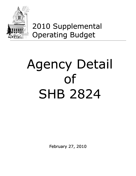

## 2010 Supplemental Operating Budget

# Agency Detail of SHB 2824

February 27, 2010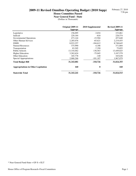#### February 27, 2010 7:56 pm

## **2009-11 Revised Omnibus Operating Budget (2010 Supp)**

## **House Committee Passed**

**Near General Fund - State** (Dollars in Thousands)

|                                            | Original 2009-11<br><b>Approps</b> | 2010 Supplemental | <b>Revised 2009-11</b><br><b>Approps</b> |
|--------------------------------------------|------------------------------------|-------------------|------------------------------------------|
| Legislative                                | 156,095                            | $-3,034$          | 153,061                                  |
| Judicial                                   | 229,184                            | $-610$            | 228,574                                  |
| Governmental Operations                    | 473,144                            | $-15,504$         | 457,640                                  |
| <b>Other Human Services</b>                | 2,285,076                          | $-65,621$         | 2,219,455                                |
| <b>DSHS</b>                                | 8.933.257                          | $-184,612$        | 8,748,645                                |
| <b>Natural Resources</b>                   | 375,990                            | $-4,186$          | 371,804                                  |
| Transportation                             | 83,205                             | $-7,350$          | 75,855                                   |
| Public Schools                             | 13,310,462                         | 138,563           | 13,449,025                               |
| <b>Higher Education</b>                    | 3,262,624                          | $-75,045$         | 3,187,579                                |
| Other Education                            | 165,778                            | $-140$            | 165,638                                  |
| Special Appropriations                     | 2,068,266                          | $-101,187$        | 1,967,079                                |
| <b>Total Budget Bill</b>                   | 31,343,081                         | $-318,726$        | 31,024,355                               |
| <b>Appropriations in Other Legislation</b> | <b>160</b>                         | $\boldsymbol{0}$  | 160                                      |
| <b>Statewide Total</b>                     | 31, 343, 241                       | $-318,726$        | 31,024,515                               |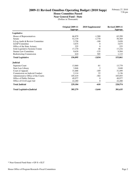#### **House Committee Passed**

**Near General Fund - State**

|                                     | Original 2009-11<br><b>Approps</b> | 2010 Supplemental | <b>Revised 2009-11</b><br><b>Approps</b> |
|-------------------------------------|------------------------------------|-------------------|------------------------------------------|
| Legislative                         |                                    |                   |                                          |
| House of Representatives            | 66,879                             | $-1,580$          | 65,299                                   |
| Senate                              | 52,139                             | $-1,770$          | 50,369                                   |
| Jt Leg Audit & Review Committee     | 5,758                              | $-100$            | 5,658                                    |
| <b>LEAP Committee</b>               | 3,675                              | $\Omega$          | 3,675                                    |
| Office of the State Actuary         | 225                                | $\Omega$          | 225                                      |
| Joint Legislative Systems Comm      | 17,170                             | 46                | 17,216                                   |
| <b>Statute Law Committee</b>        | 9,639                              | $-135$            | 9,504                                    |
| <b>Redistricting Commission</b>     | 610                                | 505               | 1,115                                    |
| <b>Total Legislative</b>            | 156,095                            | $-3,034$          | 153,061                                  |
| <b>Judicial</b>                     |                                    |                   |                                          |
| Supreme Court                       | 13,860                             | -81               | 13,779                                   |
| State Law Library                   | 3,846                              | $\overline{2}$    | 3,848                                    |
| Court of Appeals                    | 31,688                             | $-189$            | 31,499                                   |
| Commission on Judicial Conduct      | 2,114                              | 22                | 2,136                                    |
| Administrative Office of the Courts | 105,419                            | $-364$            | 105,055                                  |
| Office of Public Defense            | 49,977                             | $\theta$          | 49,977                                   |
| Office of Civil Legal Aid           | 22,280                             | $\theta$          | 22,280                                   |
| <b>Total Judicial</b>               | 229,184                            | $-610$            | 228,574                                  |
| <b>Total Legislative/Judicial</b>   | 385,279                            | $-3,644$          | 381,635                                  |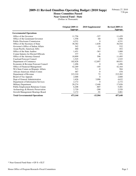**House Committee Passed**

**Near General Fund - State**

|                                      | <b>Original 2009-11</b><br>Approps | 2010 Supplemental | <b>Revised 2009-11</b><br>Approps |
|--------------------------------------|------------------------------------|-------------------|-----------------------------------|
| <b>Governmental Operations</b>       |                                    |                   |                                   |
| Office of the Governor               | 11,756                             | $-327$            | 11,429                            |
| Office of the Lieutenant Governor    | 1,558                              | $-60$             | 1,498                             |
| <b>Public Disclosure Commission</b>  | 4,531                              | $\Omega$          | 4,531                             |
| Office of the Secretary of State     | 38,382                             | $-1,838$          | 36,544                            |
| Governor's Office of Indian Affairs  | 542                                | $-10$             | 532                               |
| Asian-Pacific-American Affrs         | 460                                | $-8$              | 452                               |
| Office of the State Auditor          | 1,451                              | $-363$            | 1,088                             |
| Comm Salaries for Elected Officials  | 377                                | -6                | 371                               |
| Office of the Attorney General       | 10,899                             | 596               | 11,495                            |
| <b>Caseload Forecast Council</b>     | 1,525                              | $\Omega$          | 1,525                             |
| Department of Commerce               | 102,828                            | $-12,897$         | 89,931                            |
| Economic & Revenue Forecast Council  | 1,496                              | 0                 | 1,496                             |
| Office of Financial Management       | 42,269                             | $-105$            | 42,164                            |
| WA State Comm on Hispanic Affairs    | 513                                | -9                | 504                               |
| African-American Affairs Comm        | 487                                | -9                | 478                               |
| Department of Revenue                | 215,210                            | 72                | 215,282                           |
| Board of Tax Appeals                 | 2,688                              | $\Omega$          | 2,688                             |
| Dept of General Administration       | 1,626                              | 3,006             | 4,632                             |
| Department of Information Services   | 2,172                              | $\Omega$          | 2,172                             |
| Military Department                  | 20,274                             | $-2,448$          | 17,826                            |
| Public Employment Relations Comm     | 6,208                              | $-807$            | 5,401                             |
| Archaeology & Historic Preservation  | 2,720                              | $-200$            | 2,520                             |
| Growth Management Hearings Board     | 3,172                              | $-91$             | 3,081                             |
| <b>Total Governmental Operations</b> | 473,144                            | -15,504           | 457,640                           |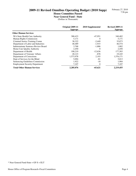**House Committee Passed**

**Near General Fund - State**

|                                       | Original 2009-11<br><b>Approps</b> | 2010 Supplemental | <b>Revised 2009-11</b><br><b>Approps</b> |
|---------------------------------------|------------------------------------|-------------------|------------------------------------------|
| <b>Other Human Services</b>           |                                    |                   |                                          |
| WA State Health Care Authority        | 388,433                            | $-47,951$         | 340,482                                  |
| Human Rights Commission               | 5,171                              | $\theta$          | 5,171                                    |
| Criminal Justice Training Comm        | 38,322                             | $-2,449$          | 35,873                                   |
| Department of Labor and Industries    | 48,489                             | $-1,915$          | 46,574                                   |
| Indeterminate Sentence Review Board   | 3,768                              | $-1,886$          | 1,882                                    |
| Home Care Quality Authority           | 2,450                              | $\Omega$          | 2,450                                    |
| Department of Health                  | 190,219                            | $-12,636$         | 177,583                                  |
| Department of Veterans' Affairs       | 20,123                             | $-878$            | 19,245                                   |
| Department of Corrections             | 1,573,978                          | 2,193             | 1,576,171                                |
| Dept of Services for the Blind        | 5,094                              | $-81$             | 5,013                                    |
| Sentencing Guidelines Commission      | 1,922                              | $-18$             | 1,904                                    |
| <b>Employment Security Department</b> | 7,107                              | $\theta$          | 7,107                                    |
| <b>Total Other Human Services</b>     | 2,285,076                          | $-65,621$         | 2,219,455                                |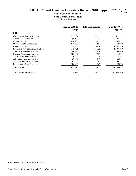#### **House Committee Passed**

**Near General Fund - State**

|                                    | Original 2009-11<br>Approps | 2010 Supplemental | <b>Revised 2009-11</b><br>Approps |
|------------------------------------|-----------------------------|-------------------|-----------------------------------|
| <b>DSHS</b>                        |                             |                   |                                   |
| Children and Family Services       | 631,604                     | $-9,023$          | 622,581                           |
| Juvenile Rehabilitation            | 196,577                     | 7,144             | 203,721                           |
| Mental Health                      | 820,730                     | $-13,919$         | 806,811                           |
| Developmental Disabilities         | 816,697                     | $-43,897$         | 772,800                           |
| Long-Term Care                     | 1,278,066                   | $-26,836$         | 1,251,230                         |
| Economic Services Administration   | 1,145,425                   | $-35,935$         | 1,109,490                         |
| Alcohol & Substance Abuse          | 166,710                     | $-2,810$          | 163,900                           |
| <b>Medical Assistance Payments</b> | 3,583,840                   | $-67,557$         | 3,516,283                         |
| <b>Vocational Rehabilitation</b>   | 20,576                      | $-434$            | 20,142                            |
| <b>Administration/Support Svcs</b> | 69,052                      | $-4,049$          | 65,003                            |
| Special Commitment Center          | 97,077                      | $-1,263$          | 95,814                            |
| Payments to Other Agencies         | 106,903                     | 13,967            | 120,870                           |
| <b>Total DSHS</b>                  | 8,933,257                   | $-184,612$        | 8,748,645                         |
| <b>Total Human Services</b>        | 11,218,333                  | $-250,233$        | 10,968,100                        |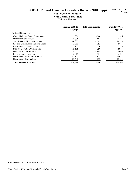#### **House Committee Passed**

**Near General Fund - State**

|                                        | Original 2009-11<br><b>Approps</b> | 2010 Supplemental | <b>Revised 2009-11</b><br><b>Approps</b> |
|----------------------------------------|------------------------------------|-------------------|------------------------------------------|
| <b>Natural Resources</b>               |                                    |                   |                                          |
| Columbia River Gorge Commission        | 886                                | $-300$            | 586                                      |
| Department of Ecology                  | 118,038                            | $-7,681$          | 110,357                                  |
| <b>State Parks and Recreation Comm</b> | 46,055                             | $-2,542$          | 43,513                                   |
| Rec and Conservation Funding Board     | 3,069                              | $-252$            | 2.817                                    |
| <b>Environmental Hearings Office</b>   | 2,153                              | 76                | 2,229                                    |
| <b>State Conservation Commission</b>   | 15,165                             | $-250$            | 14,915                                   |
| Dept of Fish and Wildlife              | 79,577                             | $-2,908$          | 76,669                                   |
| <b>Puget Sound Partnership</b>         | 6,315                              | $-134$            | 6,181                                    |
| Department of Natural Resources        | 81,132                             | 4,952             | 86,084                                   |
| Department of Agriculture              | 23,600                             | 4,853             | 28,453                                   |
| <b>Total Natural Resources</b>         | 375,990                            | $-4,186$          | 371,804                                  |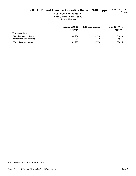#### February 27, 2010 7:56 pm

## **2009-11 Revised Omnibus Operating Budget (2010 Supp)**

## **House Committee Passed**

**Near General Fund - State** (Dollars in Thousands)

|                             | Original 2009-11<br><b>Approps</b> | 2010 Supplemental | <b>Revised 2009-11</b><br><b>Approps</b> |
|-----------------------------|------------------------------------|-------------------|------------------------------------------|
| <b>Transportation</b>       |                                    |                   |                                          |
| Washington State Patrol     | 80,234                             | $-7,350$          | 72,884                                   |
| Department of Licensing     | 2,971                              | $\Omega$          | 2,971                                    |
| <b>Total Transportation</b> | 83,205                             | $-7,350$          | 75,855                                   |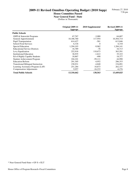#### **House Committee Passed**

**Near General Fund - State**

|                                           | Original 2009-11<br><b>Approps</b> | 2010 Supplemental | <b>Revised 2009-11</b><br>Approps |
|-------------------------------------------|------------------------------------|-------------------|-----------------------------------|
| <b>Public Schools</b>                     |                                    |                   |                                   |
| <b>OSPI &amp; Statewide Programs</b>      | 67,767                             | $-3,080$          | 64,687                            |
| General Apportionment                     | 10,186,760                         | 117,954           | 10,304,714                        |
| <b>Pupil Transportation</b>               | 614,427                            | $-581$            | 613,846                           |
| <b>School Food Services</b>               | 6,318                              | $\overline{0}$    | 6,318                             |
| Special Education                         | 1,294,103                          | $-9,962$          | 1,284,141                         |
| <b>Educational Service Districts</b>      | 16,789                             | -76               | 16,713                            |
| Levy Equalization                         | 252,918                            | 110,673           | 363,591                           |
| <b>Institutional Education</b>            | 36,935                             | $-1,612$          | 35,323                            |
| Ed of Highly Capable Students             | 18,867                             | -490              | 18,377                            |
| Student Achievement Program               | 104,101                            | $-59,111$         | 44,990                            |
| <b>Education Reform</b>                   | 291,305                            | $-4,952$          | 286,353                           |
| <b>Transitional Bilingual Instruction</b> | 158,931                            | $-4,840$          | 154,091                           |
| Learning Assistance Program (LAP)         | 251,284                            | 10,873            | 262,157                           |
| <b>Compensation Adjustments</b>           | 9,957                              | $-16,233$         | $-6,276$                          |
| <b>Total Public Schools</b>               | 13,310,462                         | 138,563           | 13,449,025                        |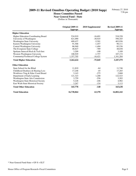#### **House Committee Passed**

**Near General Fund - State**

|                                            | <b>Original 2009-11</b><br><b>Approps</b> | 2010 Supplemental | <b>Revised 2009-11</b><br><b>Approps</b> |
|--------------------------------------------|-------------------------------------------|-------------------|------------------------------------------|
| <b>Higher Education</b>                    |                                           |                   |                                          |
| <b>Higher Education Coordinating Board</b> | 534,919                                   | $-16,691$         | 518,228                                  |
| University of Washington                   | 621,090                                   | $-30,925$         | 590,165                                  |
| <b>Washington State University</b>         | 409,437                                   | $-5,501$          | 403,936                                  |
| Eastern Washington University              | 91,568                                    | $-1,457$          | 90,111                                   |
| Central Washington University              | 86,940                                    | $-1,404$          | 85,536                                   |
| The Evergreen State College                | 48,827                                    | $-789$            | 48,038                                   |
| Spokane Intercoll Rsch & Tech Inst         | 3,209                                     | $-100$            | 3,109                                    |
| Western Washington University              | 108,929                                   | $-1,757$          | 107,172                                  |
| Community/Technical College System         | 1,357,705                                 | $-16,421$         | 1,341,284                                |
| <b>Total Higher Education</b>              | 3,262,624                                 | $-75,045$         | 3,187,579                                |
| <b>Other Education</b>                     |                                           |                   |                                          |
| State School for the Blind                 | 11,810                                    | -64               | 11,746                                   |
| Childhood Deafness & Hearing Loss          | 17,248                                    | $-45$             | 17,203                                   |
| Workforce Trng & Educ Coord Board          | 3,143                                     | $-275$            | 2,868                                    |
| Department of Early Learning               | 121,323                                   | 1,200             | 122,523                                  |
| <b>Washington State Arts Commission</b>    | 3,759                                     | $-556$            | 3,203                                    |
| <b>Washington State Historical Society</b> | 5,228                                     | $-246$            | 4,982                                    |
| East Wash State Historical Society         | 3,267                                     | $-154$            | 3,113                                    |
| <b>Total Other Education</b>               | 165,778                                   | $-140$            | 165,638                                  |
| <b>Total Education</b>                     | 16,738,864                                | 63,378            | 16,802,242                               |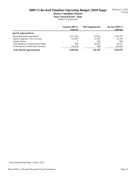**House Committee Passed**

**Near General Fund - State**

|                                     | Original 2009-11<br><b>Approps</b> | 2010 Supplemental | <b>Revised 2009-11</b><br><b>Approps</b> |
|-------------------------------------|------------------------------------|-------------------|------------------------------------------|
| <b>Special Appropriations</b>       |                                    |                   |                                          |
| <b>Bond Retirement and Interest</b> | 1,813,244                          | $-19.447$         | 1,793,797                                |
| Special Approps to the Governor     | 123.992                            | $-32.634$         | 91,358                                   |
| Sundry Claims                       | $\Omega$                           | 809               | 809                                      |
| State Employee Compensation Adjust  | 800                                | $-49.015$         | $-48,215$                                |
| Contributions to Retirement Systems | 130,230                            | $-900$            | 129,330                                  |
| <b>Total Special Appropriations</b> | 2,068,266                          | $-101,187$        | 1,967,079                                |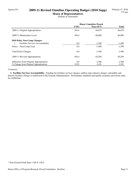## Agency 011 **2009-11 Revised Omnibus Operating Budget (2010 Supp)**

**House of Representatives** (Dollars in Thousands)

|                                                 | <b>House Committee Passed</b> |           |              |
|-------------------------------------------------|-------------------------------|-----------|--------------|
|                                                 | <b>FTEs</b>                   | Near GF-S | <b>Total</b> |
| 2009-11 Original Appropriations                 | 394.4                         | 66,879    | 66,879       |
| 2009-11 Maintenance Level                       | 394.4                         | 66.889    | 66,889       |
| <b>2010 Policy Non-Comp Changes:</b>            |                               |           |              |
| <b>Facilities Services Accountability</b><br>1. | $0.0\,$                       | $-1,590$  | $-1,590$     |
| Policy -- Non-Comp Total                        | 0.0                           | $-1,590$  | $-1,590$     |
| <b>Total Policy Changes</b>                     | 0.0                           | $-1,590$  | $-1,590$     |
| 2009-11 Revised Appropriations                  | 394.4                         | 65,299    | 65,299       |
| Difference from Original Appropriations         | 0.0                           | $-1,580$  | $-1,580$     |
| % Change from Original Appropriations           | $0.0\%$                       | $-2.4\%$  | $-2.4\%$     |

#### *Comments:*

 **1. Facilities Services Accountability -** Funding for facilities services charges, utilities and contracts charges, and public and historic facilities charges is transferred to the General Administration. Performance standards and quality assurance provisions must be established.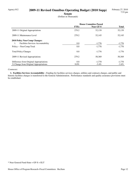## Agency 012 **2009-11 Revised Omnibus Operating Budget (2010 Supp)**

**Senate**

(Dollars in Thousands)

|                                           | <b>House Committee Passed</b> |           |              |
|-------------------------------------------|-------------------------------|-----------|--------------|
|                                           | <b>FTEs</b>                   | Near GF-S | <b>Total</b> |
| 2009-11 Original Appropriations           | 279.2                         | 52,139    | 52,139       |
| 2009-11 Maintenance Level                 | 279.2                         | 52,145    | 52,145       |
| <b>2010 Policy Non-Comp Changes:</b>      |                               |           |              |
| <b>Facilities Services Accountability</b> | 0.0                           | $-1,776$  | $-1,776$     |
| Policy -- Non-Comp Total                  | 0.0                           | $-1,776$  | $-1,776$     |
| <b>Total Policy Changes</b>               | 0.0                           | $-1,776$  | $-1,776$     |
| 2009-11 Revised Appropriations            | 279.2                         | 50,369    | 50,369       |
| Difference from Original Appropriations   | 0.0                           | $-1,770$  | $-1,770$     |
| % Change from Original Appropriations     | $0.0\%$                       | $-3.4\%$  | $-3.4\%$     |

#### *Comments:*

 **1. Facilities Services Accountability -** Funding for facilities services charges, utilities and contracts charges, and public and historic facilities charges is transferred to the General Administration. Performance standards and quality assurance provisions must be established.

<sup>\*</sup> Near General Fund-State = GF-S + ELT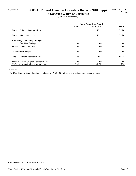## Agency 014 **2009-11 Revised Omnibus Operating Budget (2010 Supp)**

**Jt Leg Audit & Review Committee** (Dollars in Thousands)

|                                         | <b>House Committee Passed</b> |           |              |
|-----------------------------------------|-------------------------------|-----------|--------------|
|                                         | <b>FTEs</b>                   | Near GF-S | <b>Total</b> |
| 2009-11 Original Appropriations         | 22.5                          | 5,758     | 5,758        |
| 2009-11 Maintenance Level               | 22.5                          | 5,758     | 5,758        |
| <b>2010 Policy Non-Comp Changes:</b>    |                               |           |              |
| One Time Savings<br>1.                  | 0.0                           | $-100$    | $-100$       |
| Policy -- Non-Comp Total                | 0.0                           | $-100$    | $-100$       |
| <b>Total Policy Changes</b>             | 0.0                           | $-100$    | $-100$       |
| 2009-11 Revised Appropriations          | 22.5                          | 5,658     | 5,658        |
| Difference from Original Appropriations | 0.0                           | $-100$    | $-100$       |
| % Change from Original Appropriations   | $0.0\%$                       | $-1.7\%$  | $-1.7\%$     |

#### *Comments:*

 **1. One Time Savings -** Funding is reduced in FY 2010 to reflect one-time temporary salary savings.

<sup>\*</sup> Near General Fund-State = GF-S + ELT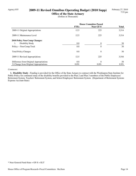## Agency 035 **2009-11 Revised Omnibus Operating Budget (2010 Supp)**

**Office of the State Actuary** (Dollars in Thousands)

|                                         | <b>House Committee Passed</b> |                |              |
|-----------------------------------------|-------------------------------|----------------|--------------|
|                                         | <b>FTEs</b>                   | Near GF-S      | <b>Total</b> |
| 2009-11 Original Appropriations         | 12.5                          | 225            | 3,514        |
| 2009-11 Maintenance Level               | 12.5                          | 225            | 3,514        |
| 2010 Policy Non-Comp Changes:           |                               |                |              |
| Disability Study<br>1.                  | 0.0                           | 0              | 30           |
| Policy -- Non-Comp Total                | 0.0                           | $\theta$       | 30           |
| <b>Total Policy Changes</b>             | 0.0                           | $\overline{0}$ | 30           |
| 2009-11 Revised Appropriations          | 12.5                          | 225            | 3,544        |
| Difference from Original Appropriations | 0.0                           | $\Omega$       | 30           |
| % Change from Original Appropriations   | $0.0\%$                       | $0.0\%$        | $0.9\%$      |

#### *Comments:*

 **1. Disability Study -** Funding is provided for the Office of the State Actuary to contract with the Washington State Institute for Public Policy for continued study of the disability benefits provided to the Plan 2 and Plan 3 members of the Public Employees' Retirement System, Teachers' Retirement System, and School Employees' Retirement System. (Department of Retirement Systems Expense Account-State)

<sup>\*</sup> Near General Fund-State = GF-S + ELT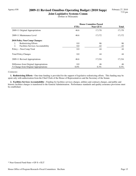## Agency 038 **2009-11 Revised Omnibus Operating Budget (2010 Supp)**

**Joint Legislative Systems Comm** (Dollars in Thousands)

|                                          | <b>House Committee Passed</b> |           |              |
|------------------------------------------|-------------------------------|-----------|--------------|
|                                          | <b>FTEs</b>                   | Near GF-S | <b>Total</b> |
| 2009-11 Original Appropriations          | 46.6                          | 17,170    | 17,170       |
| 2009-11 Maintenance Level                | 46.6                          | 17,172    | 17,172       |
| <b>2010 Policy Non-Comp Changes:</b>     |                               |           |              |
| <b>Redistricting Efforts</b><br>1.       | 0.0                           | 86        | 86           |
| 2.<br>Facilities Services Accountability | 0.0                           | $-42$     | $-42$        |
| Policy -- Non-Comp Total                 | 0.0                           | 44        | 44           |
| <b>Total Policy Changes</b>              | 0.0                           | 44        | 44           |
| 2009-11 Revised Appropriations           | 46.6                          | 17,216    | 17,216       |
| Difference from Original Appropriations  | 0.0                           | 46        | 46           |
| % Change from Original Appropriations    | $0.0\%$                       | $0.3\%$   | $0.3\%$      |

#### *Comments:*

 **1. Redistricting Efforts -** One-time funding is provided for the support of legislative redistricting efforts. This funding may be spent only with authorization from the Chief Clerk of the House of Representatives and the Secretary of the Senate.

 **2. Facilities Services Accountability -** Funding for facilities services charges, utilities and contracts charges, and public and historic facilities charges is transferred to the General Administration. Performance standards and quality assurance provisions must be established.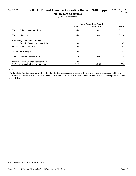## Agency 040 **2009-11 Revised Omnibus Operating Budget (2010 Supp)**

**Statute Law Committee** (Dollars in Thousands)

|                                                 | <b>House Committee Passed</b> |                  |              |
|-------------------------------------------------|-------------------------------|------------------|--------------|
|                                                 | <b>FTEs</b>                   | <b>Near GF-S</b> | <b>Total</b> |
| 2009-11 Original Appropriations                 | 46.6                          | 9,639            | 10,711       |
| 2009-11 Maintenance Level                       | 46.6                          | 9,641            | 10,713       |
| 2010 Policy Non-Comp Changes:                   |                               |                  |              |
| <b>Facilities Services Accountability</b><br>1. | 0.0                           | $-137$           | $-137$       |
| Policy -- Non-Comp Total                        | 0.0                           | $-137$           | $-137$       |
| <b>Total Policy Changes</b>                     | 0.0                           | $-137$           | $-137$       |
| 2009-11 Revised Appropriations                  | 46.6                          | 9,504            | 10,576       |
| Difference from Original Appropriations         | 0.0                           | $-135$           | $-135$       |
| % Change from Original Appropriations           | $0.0\%$                       | $-1.4\%$         | $-1.3\%$     |

#### *Comments:*

 **1. Facilities Services Accountability -** Funding for facilities services charges, utilities and contracts charges, and public and historic facilities charges is transferred to the General Administration. Performance standards and quality assurance provisions must be established.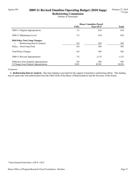## Agency 091 **2009-11 Revised Omnibus Operating Budget (2010 Supp)**

**Redistricting Commission** (Dollars in Thousands)

|                                         | <b>House Committee Passed</b> |           |              |
|-----------------------------------------|-------------------------------|-----------|--------------|
|                                         | <b>FTEs</b>                   | Near GF-S | <b>Total</b> |
| 2009-11 Original Appropriations         | 3.5                           | 610       | 610          |
| 2009-11 Maintenance Level               | 3.5                           | 610       | 610          |
| 2010 Policy Non-Comp Changes:           |                               |           |              |
| Redistricting Data & Analysis<br>1.     | 0.0                           | 505       | 505          |
| Policy -- Non-Comp Total                | 0.0                           | 505       | 505          |
| <b>Total Policy Changes</b>             | 0.0                           | 505       | 505          |
| 2009-11 Revised Appropriations          | 3.5                           | 1,115     | 1,115        |
| Difference from Original Appropriations | 0.0                           | 505       | 505          |
| % Change from Original Appropriations   | $0.0\%$                       | 82.8%     | 82.8%        |

#### *Comments:*

 **1. Redistricting Data & Analysis -** One-time funding is provided for the support of legislative redistricting efforts. This funding may be spent only with authorization from the Chief Clerk of the House of Representatives and the Secretary of the Senate.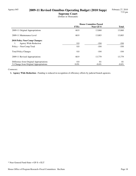## Agency 045 **2009-11 Revised Omnibus Operating Budget (2010 Supp)**

**Supreme Court**

(Dollars in Thousands)

|                                         | <b>House Committee Passed</b> |                  |              |
|-----------------------------------------|-------------------------------|------------------|--------------|
|                                         | <b>FTEs</b>                   | <b>Near GF-S</b> | <b>Total</b> |
| 2009-11 Original Appropriations         | 60.9                          | 13,860           | 13,860       |
| 2009-11 Maintenance Level               | 60.9                          | 13,883           | 13,883       |
| <b>2010 Policy Non-Comp Changes:</b>    |                               |                  |              |
| Agency Wide Reduction<br>1.             | 0.0                           | $-104$           | $-104$       |
| Policy -- Non-Comp Total                | 0.0                           | $-104$           | $-104$       |
| <b>Total Policy Changes</b>             | 0.0                           | $-104$           | $-104$       |
| 2009-11 Revised Appropriations          | 60.9                          | 13.779           | 13,779       |
| Difference from Original Appropriations | 0.0                           | $-81$            | $-81$        |
| % Change from Original Appropriations   | $0.0\%$                       | $-0.6\%$         | $-0.6\%$     |

#### *Comments:*

 **1. Agency Wide Reduction -** Funding is reduced in recognition of efficiency efforts by judicial branch agencies.

<sup>\*</sup> Near General Fund-State = GF-S + ELT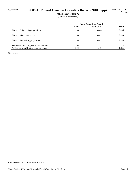## Agency 046 **2009-11 Revised Omnibus Operating Budget (2010 Supp)**

**State Law Library** (Dollars in Thousands)

|                                         | <b>House Committee Passed</b> |           |              |
|-----------------------------------------|-------------------------------|-----------|--------------|
|                                         | <b>FTEs</b>                   | Near GF-S | <b>Total</b> |
| 2009-11 Original Appropriations         | 13.8                          | 3,846     | 3,846        |
| 2009-11 Maintenance Level               | 13.8                          | 3.848     | 3,848        |
| 2009-11 Revised Appropriations          | 13.8                          | 3,848     | 3,848        |
| Difference from Original Appropriations | 0.0                           | っ         |              |
| % Change from Original Appropriations   | $0.0\%$                       | $0.1\%$   | $0.1\%$      |

*Comments:*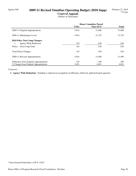## Agency 048 **2009-11 Revised Omnibus Operating Budget (2010 Supp)**

**Court of Appeals** (Dollars in Thousands)

|                                         | <b>House Committee Passed</b> |                  |              |
|-----------------------------------------|-------------------------------|------------------|--------------|
|                                         | <b>FTEs</b>                   | <b>Near GF-S</b> | <b>Total</b> |
| 2009-11 Original Appropriations         | 139.6                         | 31,688           | 31,688       |
| 2009-11 Maintenance Level               | 139.6                         | 31,735           | 31,735       |
| 2010 Policy Non-Comp Changes:           |                               |                  |              |
| Agency Wide Reduction<br>1.             | 0.0                           | $-236$           | $-236$       |
| Policy -- Non-Comp Total                | 0.0                           | $-236$           | $-236$       |
| <b>Total Policy Changes</b>             | 0.0                           | $-236$           | $-236$       |
| 2009-11 Revised Appropriations          | 139.6                         | 31,499           | 31,499       |
| Difference from Original Appropriations | 0.0                           | $-189$           | -189         |
| % Change from Original Appropriations   | $0.0\%$                       | $-0.6\%$         | $-0.6\%$     |

#### *Comments:*

 **1. Agency Wide Reduction -** Funding is reduced in recognition of efficiency efforts by judicial branch agencies.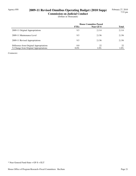## Agency 050 **2009-11 Revised Omnibus Operating Budget (2010 Supp)**

**Commission on Judicial Conduct** (Dollars in Thousands)

|                                         | <b>House Committee Passed</b> |                  |              |
|-----------------------------------------|-------------------------------|------------------|--------------|
|                                         | <b>FTEs</b>                   | <b>Near GF-S</b> | <b>Total</b> |
| 2009-11 Original Appropriations         | 9.5                           | 2,114            | 2,114        |
| 2009-11 Maintenance Level               | 9.5                           | 2.136            | 2,136        |
| 2009-11 Revised Appropriations          | 9.5                           | 2,136            | 2,136        |
| Difference from Original Appropriations | 0.0                           | 22               | 22           |
| % Change from Original Appropriations   | $0.0\%$                       | $1.0\%$          | $1.0\%$      |

*Comments:*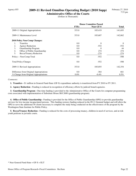## Agency 055 **2009-11 Revised Omnibus Operating Budget (2010 Supp)**

**Administrative Office of the Courts** (Dollars in Thousands)

|                                         | <b>House Committee Passed</b> |                  |              |
|-----------------------------------------|-------------------------------|------------------|--------------|
|                                         | <b>FTEs</b>                   | <b>Near GF-S</b> | <b>Total</b> |
| 2009-11 Original Appropriations         | 353.0                         | 105,419          | 141,693      |
| 2009-11 Maintenance Level               | 353.0                         | 105,607          | 142,862      |
| 2010 Policy Non-Comp Changes:           |                               |                  |              |
| <b>Transfers</b><br>1.                  | 0.0                           | $\Omega$         | $\theta$     |
| 2.<br><b>Agency Reduction</b>           | 0.0                           | $-552$           | $-552$       |
| 3.<br>Guardianship Program              | 0.0                           | $\Omega$         | 44           |
| 4.<br>Office of Public Guardianship     | 0.0                           | 274              | 274          |
| 5.<br><b>Becca/Truancy Reduction</b>    | 0.0                           | $-274$           | $-274$       |
| Policy -- Non-Comp Total                | 0.0                           | $-552$           | $-508$       |
| <b>Total Policy Changes</b>             | 0.0                           | $-552$           | $-508$       |
| 2009-11 Revised Appropriations          | 353.0                         | 105,055          | 142,354      |
| Difference from Original Appropriations | 0.0                           | $-364$           | 661          |
| % Change from Original Appropriations   | $0.0\%$                       | $-0.4\%$         | $0.5\%$      |

*Comments:*

 **1. Transfers -** \$1 million in General Fund-State (GF-S) expenditure authority is transferred from FY 2010 to FY 2011.

 **2. Agency Reduction -** Funding is reduced in recognition of efficiency efforts by judicial branch agencies.

 **3. Guardianship Program -** One-time funding is provided to the Administrative Office of the Courts for computer programming costs associated with implementation of Substitute House Bill 2680 (guardianship program).

 **4. Office of Public Guardianship -** Funding is provided for the Office of Public Guardianship (OPG) to provide guardianship services for low-income incapacitated persons. This funding restores funding reduced in the 09-11 biennial budget and will allow the OPG to serve the additional 50 clients necessary to complete the study being conducted on the effectiveness of the program by the Washington State Institute for Public Policy.

 **5. Becca/Truancy Reduction -** Funding is reduced for the costs of processing truancy, children in need of services, and at-risk youth petitions in juvenile courts.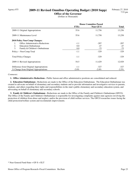## Agency 075 **2009-11 Revised Omnibus Operating Budget (2010 Supp)**

**Office of the Governor** (Dollars in Thousands)

|                                               | <b>House Committee Passed</b> |                  |              |
|-----------------------------------------------|-------------------------------|------------------|--------------|
|                                               | <b>FTEs</b>                   | <b>Near GF-S</b> | <b>Total</b> |
| 2009-11 Original Appropriations               | 55.6                          | 11,756           | 13,256       |
| 2009-11 Maintenance Level                     | 55.6                          | 11,758           | 13,258       |
| 2010 Policy Non-Comp Changes:                 |                               |                  |              |
| <b>Office Administrative Reductions</b><br>1. | $-1.1$                        | $-207$           | $-207$       |
| 2.<br><b>Education Ombudsman</b>              | 0.0                           | $-47$            | -47          |
| 3.<br>Family & Children's Ombudsman           | 0.0                           | $-75$            | $-75$        |
| Policy -- Non-Comp Total                      | $-1.1$                        | $-329$           | $-329$       |
| <b>Total Policy Changes</b>                   | $-1.1$                        | $-329$           | $-329$       |
| 2009-11 Revised Appropriations                | 54.5                          | 11,429           | 12,929       |
| Difference from Original Appropriations       | $-1.1$                        | $-327$           | $-327$       |
| % Change from Original Appropriations         | $-2.0\%$                      | $-2.8\%$         | $-2.5\%$     |

#### *Comments:*

 **1. Office Administrative Reductions -** Public liaison and office administrative positions are consolidated and reduced.

 **2. Education Ombudsman -** Reductions are made to the Office of the Education Ombudsman. The Education Ombudsman was created to advocate on behalf of elementary and secondary students and to provide information and investigative services to parents, students, and others regarding their rights and responsibilities in the state's public elementary and secondary education system, and advocating on behalf of elementary and secondary schools.

 **3. Family & Children's Ombudsman -** Reductions are made to the Office of the Family and Children's Ombudsman (OFCO). The Office of the Family and Children's Ombudsman is responsible for investigating complaints against state agencies involving the protection of children from abuse and neglect, and/or the provision of child welfare services. The OFCO researches issues facing the child protection/welfare system and recommends improvements.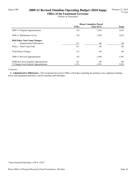## Agency 080 **2009-11 Revised Omnibus Operating Budget (2010 Supp)**

**Office of the Lieutenant Governor** (Dollars in Thousands)

|                                         | <b>House Committee Passed</b> |           |              |
|-----------------------------------------|-------------------------------|-----------|--------------|
|                                         | <b>FTEs</b>                   | Near GF-S | <b>Total</b> |
| 2009-11 Original Appropriations         | 6.9                           | 1,558     | 1,653        |
| 2009-11 Maintenance Level               | 6.9                           | 1,558     | 1,653        |
| 2010 Policy Non-Comp Changes:           |                               |           |              |
| Administrative Efficiencies             | $-0.1$                        | $-60$     | $-60$        |
| Policy -- Non-Comp Total                | $-0.1$                        | $-60$     | $-60$        |
| <b>Total Policy Changes</b>             | $-0.1$                        | $-60$     | $-60$        |
| 2009-11 Revised Appropriations          | 6.8                           | 1,498     | 1,593        |
| Difference from Original Appropriations | $-0.1$                        | -60       | -60          |
| % Change from Original Appropriations   | $-1.5\%$                      | $-3.9\%$  | $-3.6\%$     |

#### *Comments:*

 **1. Administrative Efficiencies -** The Lieutenant Governor's Office will reduce spending for printing costs, employee training, travel, and equipment purchases, and by enacting staff furloughs.

<sup>\*</sup> Near General Fund-State = GF-S + ELT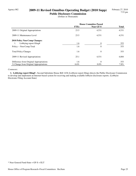## Agency 082 **2009-11 Revised Omnibus Operating Budget (2010 Supp)**

**Public Disclosure Commission**

(Dollars in Thousands)

|                                         | <b>House Committee Passed</b> |           |              |
|-----------------------------------------|-------------------------------|-----------|--------------|
|                                         | <b>FTEs</b>                   | Near GF-S | <b>Total</b> |
| 2009-11 Original Appropriations         | 23.5                          | 4,531     | 4,531        |
| 2009-11 Maintenance Level               | 23.5                          | 4,531     | 4,531        |
| <b>2010 Policy Non-Comp Changes:</b>    |                               |           |              |
| Lobbying report filing#<br>1.           | 1.6                           | $\Omega$  | 353          |
| Policy -- Non-Comp Total                | 1.6                           | $\theta$  | 353          |
| <b>Total Policy Changes</b>             | 1.6                           | $\theta$  | 353          |
| 2009-11 Revised Appropriations          | 25.1                          | 4,531     | 4,884        |
| Difference from Original Appropriations | 1.6                           | $\theta$  | 353          |
| % Change from Original Appropriations   | $6.6\%$                       | $0.0\%$   | $7.8\%$      |

#### *Comments:*

 **1. Lobbying report filing# -** Second Substitute House Bill 1436 (Lobbyist report filing) directs the Public Disclosure Commission to develop and implement an Internet-based system for receiving and making available lobbyist disclosure reports. (Lobbyist Electronic Filing Account-State)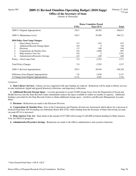## Agency 085 **2009-11 Revised Omnibus Operating Budget (2010 Supp)**

**Office of the Secretary of State** (Dollars in Thousands)

|                                               | <b>House Committee Passed</b> |                  |         |
|-----------------------------------------------|-------------------------------|------------------|---------|
|                                               | <b>FTEs</b>                   | <b>Near GF-S</b> | Total   |
| 2009-11 Original Appropriations               | 336.3                         | 38,382           | 106,011 |
| 2009-11 Maintenance Level                     | 336.3                         | 39,309           | 106,711 |
| 2010 Policy Non-Comp Changes:                 |                               |                  |         |
| 1.<br><b>State Library Services</b>           | $-3.5$                        | $-432$           | $-432$  |
| 2.<br><b>Additional Records Storage Space</b> | 0.0                           | $\Omega$         | 156     |
| 3.<br>Elections                               | $-1.5$                        | $-196$           | $-196$  |
| 4.<br>Corporations & Charities Fees           | 0.0                           | $-1,888$         | 697     |
| 5.<br>Help America Vote Act                   | 0.0                           | $\Omega$         | 1,541   |
| 6.<br>Administrative/Executive Savings        | $-2.0$                        | $-249$           | $-249$  |
| Policy -- Non-Comp Total                      | $-7.0$                        | $-2,765$         | 1,517   |
| <b>Total Policy Changes</b>                   | $-7.0$                        | $-2,765$         | 1,517   |
| 2009-11 Revised Appropriations                | 329.3                         | 36,544           | 108,228 |
| Difference from Original Appropriations       | $-7.0$                        | $-1,838$         | 2,217   |
| % Change from Original Appropriations         | $-2.1\%$                      | $-4.8\%$         | 2.1%    |

#### *Comments:*

 **1. State Library Services -** Library services supported with state funding are reduced. Reductions will be made to library services in state institutions, digital and general historical collections, and depository collections.

 **2. Additional Records Storage Space -** A recent agreement to accept 25,000 storage boxes from the Department of Social and Health Services into the State Records Center immediately reduces the space available to within six months of capacity. Additional funding is provided for the State Records Center to obtain additional storage space. (Archives and Records Management Account-State)

 **3. Elections -** Reductions are made to the Elections Division.

 **4. Corporations & Charities Fees -** Fees in the Corporations and Charities division are restructured which allows for a decrease in General Fund-State (GF-S) funding (see Substitute House Bill 2576), while funding from the Secretary of State's Revolving Account (account 407-6) is increased.

 **5. Help America Vote Act -** State funds in the amount of \$77,000 will leverage \$1,464,000 in federal funding for Help America Vote Act (HAVA) programs.

 **6. Administrative/Executive Savings -** Reductions are made to the Offices administrative and executive functions.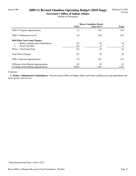## Agency 086 **2009-11 Revised Omnibus Operating Budget (2010 Supp)**

**Governor's Office of Indian Affairs** (Dollars in Thousands)

|                                         | <b>House Committee Passed</b> |           |                |
|-----------------------------------------|-------------------------------|-----------|----------------|
|                                         | <b>FTEs</b>                   | Near GF-S | <b>Total</b>   |
| 2009-11 Original Appropriations         | 2.5                           | 542       | 542            |
| 2009-11 Maintenance Level               | 2.5                           | 542       | 542            |
| <b>2010 Policy Non-Comp Changes:</b>    |                               |           |                |
| Reduce Administrative Expenditures      | $-0.5$                        | $-10$     | $-10$          |
| <b>Fiscal Year Shift</b><br>2.          | 0.0                           | 0         | $\overline{0}$ |
| Policy -- Non-Comp Total                | $-0.5$                        | $-10$     | $-10$          |
| <b>Total Policy Changes</b>             | $-0.5$                        | $-10$     | $-10$          |
| 2009-11 Revised Appropriations          | 2.0                           | 532       | 532            |
| Difference from Original Appropriations | $-0.5$                        | $-10$     | $-10$          |
| % Change from Original Appropriations   | $-20.0\%$                     | $-1.9\%$  | $-1.9\%$       |

#### *Comments:*

 **1. Reduce Administrative Expenditures -** The Governor's Office of Indian Affairs will reduce staffing levels and expenditures for travel, goods, and services.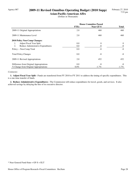## Agency 087 **2009-11 Revised Omnibus Operating Budget (2010 Supp)**

**Asian-Pacific-American Affrs**

(Dollars in Thousands)

|                                          | <b>House Committee Passed</b> |                  |              |
|------------------------------------------|-------------------------------|------------------|--------------|
|                                          | <b>FTEs</b>                   | <b>Near GF-S</b> | <b>Total</b> |
| 2009-11 Original Appropriations          | 2.0                           | 460              | 460          |
| 2009-11 Maintenance Level                | 2.0                           | 460              | 460          |
| 2010 Policy Non-Comp Changes:            |                               |                  |              |
| <b>Adjust Fiscal Year Split</b><br>1.    | 0.0                           | 0                | $\theta$     |
| Reduce Administrative Expenditures<br>2. | 0.0                           | $-8$             | $-8$         |
| Policy -- Non-Comp Total                 | 0.0                           | $-8$             | $-8$         |
| <b>Total Policy Changes</b>              | 0.0                           | -8               | -8           |
| 2009-11 Revised Appropriations           | 2.0                           | 452              | 452          |
| Difference from Original Appropriations  | 0.0                           | $-8$             | -8           |
| % Change from Original Appropriations    | $0.0\%$                       | $-1.7\%$         | $-1.7\%$     |

#### *Comments:*

 **1. Adjust Fiscal Year Split -** Funds are transferred from FY 2010 to FY 2011 to address the timing of specific expenditures. This is a one-time transfer of funds.

 **2. Reduce Administrative Expenditures -** The Commission will reduce expenditures for travel, goods, and services. It also achieved savings by delaying the hire of its executive director.

<sup>\*</sup> Near General Fund-State = GF-S + ELT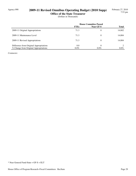## Agency 090 **2009-11 Revised Omnibus Operating Budget (2010 Supp)**

**Office of the State Treasurer**

(Dollars in Thousands)

|                                         | <b>House Committee Passed</b> |                  |              |
|-----------------------------------------|-------------------------------|------------------|--------------|
|                                         | <b>FTEs</b>                   | <b>Near GF-S</b> | <b>Total</b> |
| 2009-11 Original Appropriations         | 71.3                          | 0                | 14,802       |
| 2009-11 Maintenance Level               | 71.3                          | 0                | 14,804       |
| 2009-11 Revised Appropriations          | 71.3                          | 0                | 14,804       |
| Difference from Original Appropriations | 0.0                           | 0                |              |
| % Change from Original Appropriations   | $0.0\%$                       | $0.0\%$          | $0.0\%$      |

*Comments:*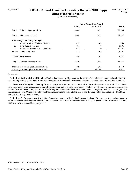## Agency 095 **2009-11 Revised Omnibus Operating Budget (2010 Supp)**

**Office of the State Auditor** (Dollars in Thousands)

|                                         | <b>House Committee Passed</b> |                  |              |
|-----------------------------------------|-------------------------------|------------------|--------------|
|                                         | <b>FTEs</b>                   | <b>Near GF-S</b> | <b>Total</b> |
| 2009-11 Original Appropriations         | 343.0                         | 1,451            | 78,335       |
| 2009-11 Maintenance Level               | 343.0                         | 1,451            | 78,347       |
| <b>2010 Policy Non-Comp Changes:</b>    |                               |                  |              |
| Reduce Review of School District<br>1.  | $-1.9$                        | $-363$           | $-363$       |
| 2.<br><b>State Audit Reduction</b>      | $-3.4$                        | $\theta$         | $-1,206$     |
| 3.<br>Reduce Performance Audit Activity | $-2.2$                        | 0                | $-3,292$     |
| Policy -- Non-Comp Total                | $-7.5$                        | $-363$           | $-4,861$     |
| <b>Total Policy Changes</b>             | $-7.5$                        | $-363$           | $-4,861$     |
| 2009-11 Revised Appropriations          | 335.6                         | 1,088            | 73,486       |
| Difference from Original Appropriations | $-7.5$                        | $-363$           | $-4,849$     |
| % Change from Original Appropriations   | $-2.2\%$                      | $-25.0\%$        | $-6.2\%$     |

#### *Comments:*

 **1. Reduce Review of School District -** Funding is reduced by 25 percent for the audits of school district data that is submitted for state funding purposes. The State Auditor conducts audits of the school districts to verify the accuracy of the information submitted.

 **2. State Audit Reduction -** Funding for state agency audit activities and associated administrative costs are reduced. The audit of state government activities consists of periodic compliance audits of state government spending, investigation of improper government actions (whistleblower cases), and audits of Washington State's Comprehensive Annual Financial Report (CAFR) and the Single State Federal audits. The Office of the State Auditor must continue to complete the CAFR and the Single State Federal audits. (Auditing Services Revolving Account-State)

 **3. Reduce Performance Audit Activity -** Expenditure authority for the Performance Audits of Government Account is reduced to match the current spending plan submitted by the agency. Excess funds are transferred to the state general fund. (Performance Audits of Government Account-Nonappropriated)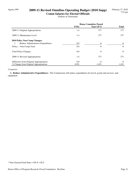## Agency 099 **2009-11 Revised Omnibus Operating Budget (2010 Supp)**

**Comm Salaries for Elected Officials** (Dollars in Thousands)

|                                         | <b>House Committee Passed</b> |           |              |
|-----------------------------------------|-------------------------------|-----------|--------------|
|                                         | <b>FTEs</b>                   | Near GF-S | <b>Total</b> |
| 2009-11 Original Appropriations         | 1.4                           | 377       | 377          |
| 2009-11 Maintenance Level               | 1.4                           | 377       | 377          |
| <b>2010 Policy Non-Comp Changes:</b>    |                               |           |              |
| Reduce Administrative Expenditures      | 0.0                           | -6        | -6           |
| Policy -- Non-Comp Total                | 0.0                           | -6        | -6           |
| <b>Total Policy Changes</b>             | 0.0                           | -6        | -6           |
| 2009-11 Revised Appropriations          | 1.4                           | 371       | 371          |
| Difference from Original Appropriations | 0.0                           | -6        | -6           |
| % Change from Original Appropriations   | $0.0\%$                       | $-1.6\%$  | $-1.6\%$     |

#### *Comments:*

 **1. Reduce Administrative Expenditures -** The Commission will reduce expenditures for travel, goods and services, and equipment.

<sup>\*</sup> Near General Fund-State = GF-S + ELT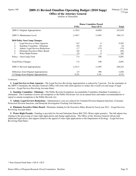## Agency 100 **2009-11 Revised Omnibus Operating Budget (2010 Supp)**

**Office of the Attorney General** (Dollars in Thousands)

|                                                      | <b>House Committee Passed</b> |                  |              |
|------------------------------------------------------|-------------------------------|------------------|--------------|
|                                                      | <b>FTEs</b>                   | <b>Near GF-S</b> | <b>Total</b> |
| 2009-11 Original Appropriations                      | 1,138.9                       | 10,899           | 241,878      |
| 2009-11 Maintenance Level                            | 1,148.7                       | 11,693           | 246,113      |
| 2010 Policy Non-Comp Changes:                        |                               |                  |              |
| Legal Services to State Agencies<br>1.               | $-8.5$                        | $\Omega$         | $-5,583$     |
| Sunshine Committee - Eliminate<br>2.                 | 0.0                           | $-24$            | $-24$        |
| 3.<br>Admin. Legal Services Reductions               | $-1.7$                        | $-174$           | $-174$       |
| $\overline{4}$ .<br>Eliminate Executive Ethics Board | 0.0                           | 0                | -492         |
| 5.<br>Water Right Permits                            | 2.8                           | 0                | 382          |
| Policy -- Non-Comp Total                             | $-7.4$                        | $-198$           | $-5,891$     |
| <b>Total Policy Changes</b>                          | $-7.4$                        | $-198$           | $-5,891$     |
| 2009-11 Revised Appropriations                       | 1,141.3                       | 11,495           | 240,222      |
| Difference from Original Appropriations              | 2.5                           | 596              | $-1,656$     |
| % Change from Original Appropriations                | $0.2\%$                       | 5.5%             | $-0.7\%$     |

#### *Comments:*

 **1. Legal Services to State Agencies -** The Legal Services Revolving Appropriation is reduced by 5 percent. For the remainder of the 2009-11 biennium, the Attorney General's Office will work with client agencies to reduce the overall cost and usage of legal services. (Legal Services Revolving Account-State)

 **2. Sunshine Committee - Eliminate -** The Public Records Exemptions Accountability Committee (Sunshine Committee) is eliminated. The Committee reviews all exemptions to the Public Disclosure Act on an annual basis and makes recommendations to repeal or amend exemptions to the Public Records Act.

 **3. Admin. Legal Services Reductions -** Administrative costs are reduced for Criminal Division litigation functions, Consumer Protection Division functions, and Homicide Investigation Tracking Unit functions.

 **4. Eliminate Executive Ethics Board -** Eliminates funding for the Executive Ethics Board for fiscal year 2011. (Legal Services Revolving Account-State)

 **5. Water Right Permits -** Funding is provided for Second Substitute House Bill 2591 (Water rights permits). The bill adjusts fees relating to the processing of water right applications and change applications. The Office of the Attorney General will provide additional legal advice and support related to the appeal of water right applications to the Department of Ecology. (Legal Services Revolving Fund-State)

<sup>\*</sup> Near General Fund-State = GF-S + ELT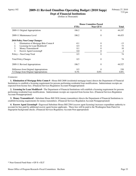## Agency 102 **2009-11 Revised Omnibus Operating Budget (2010 Supp)**

**Dept of Financial Institutions** (Dollars in Thousands)

|                                             | <b>House Committee Passed</b> |                |                |
|---------------------------------------------|-------------------------------|----------------|----------------|
|                                             | <b>FTEs</b>                   | Near GF-S      | <b>Total</b>   |
| 2009-11 Original Appropriations             | 186.2                         | 0              | 44,197         |
| 2009-11 Maintenance Level                   | 186.2                         | 0              | 44,453         |
| 2010 Policy Non-Comp Changes:               |                               |                |                |
| Elimination of Mortgage Brks Comm#<br>1.    | $-0.1$                        | 0              | $-13$          |
| Licensing for Loan Modifiers#<br>2.         | 0.5                           | 0              | 73             |
| 3.<br>Money Transmitters#                   | 0.1                           |                | 10             |
| $\overline{4}$ .<br>Escrow Agent Licensing# | 0.0                           | 0              | $\overline{4}$ |
| Policy -- Non-Comp Total                    | 0.5                           | $\theta$       | 74             |
| <b>Total Policy Changes</b>                 | 0.5                           | 0              | 74             |
| 2009-11 Revised Appropriations              | 186.7                         | $\overline{0}$ | 44,527         |
| Difference from Original Appropriations     | 0.5                           | 0              | 330            |
| % Change from Original Appropriations       | $0.3\%$                       | $0.0\%$        | $0.8\%$        |

#### *Comments:*

 **1. Elimination of Mortgage Brks Comm # -** House Bill 2608 (residential mortgage loans) directs the Department of Financial Institutions to establish a licensing requirement for persons performing residential loan modifications. Indeterminate receipts are expected from license fees. (Financial Services Regulation Account-Nonappropriated)

 **2. Licensing for Loan Modifiers# -** The Department of Financial Institutions will establish a licensing requirement for persons performing residential loan modifications. Indeterminate receipts are expected from license fees. (Financial Services Regulation Account-Nonappropriated)

 **3. Money Transmitters# -** Substitute House Bill 2636 (money transmitters) directs the Department of Financial Institutions to establish licensing requirements for money transmitters. (Financial Services Regulation Account-Nonappropriated)

 **4. Escrow Agent Licensing# -** Engrossed Substitute House Bill 2564 (escrow agent licensing) increases expenditure authority to account for fees paid by additional escrow agent license applicants. These fees will be paid to the Washington State Patrol for fingerprint background checks. (Financial Services Regulatory Account-Non-appropriated)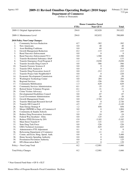## Agency 103 **2009-11 Revised Omnibus Operating Budget (2010 Supp)**

**Department of Commerce**

|     |                                          | <b>House Committee Passed</b> |                  |                |
|-----|------------------------------------------|-------------------------------|------------------|----------------|
|     |                                          | <b>FTEs</b>                   | <b>Near GF-S</b> | <b>Total</b>   |
|     | 2009-11 Original Appropriations          | 294.0                         | 102,828          | 591,822        |
|     | 2009-11 Maintenance Level                | 294.0                         | 102,832          | 590,009        |
|     | 2010 Policy Non-Comp Changes:            |                               |                  |                |
| 1.  | <b>Community Services Reduction</b>      | $-0.7$                        | $-382$           | $-382$         |
| 2.  | New Americans                            | 0.0                           | 40               | 40             |
| 3.  | <b>Asset Building Coalitions</b>         | 0.0                           | 69               | 69             |
| 4.  | Growth Management Reduction              | $-0.2$                        | $-115$           | $-115$         |
| 5.  | <b>Rural Narcotics Enforcement</b>       | 0.0                           | $\theta$         | $\theta$       |
| 6.  | <b>Rural Narcotics Enforcement FY11</b>  | 0.0                           | 1,500            | 1,500          |
| 7.  | Transfer Residential Substance Abu#      | 0.0                           | $\theta$         | $-133$         |
| 8.  | Transfer Emergency Food Program #        | $-1.2$                        | $-5,030$         | $-5,030$       |
| 9.  | Transfer Juvenile Drug Courts #          | 0.0                           | $-566$           | $-566$         |
| 10. | Transfer Forensic Sciences #             | 0.0                           | 0                | $-288$         |
| 11. | Transfer DNA Analysis #                  | 0.0                           | $\overline{0}$   | $-313$         |
| 12. | Transfer Drug Prosecution Assist #       | 0.0                           | $-212$           | $-212$         |
| 13. | Transfer Project Safe Neighborhd #       | 0.0                           | $\boldsymbol{0}$ | $-228$         |
| 14. | Economic Development Commission          | $-0.2$                        | $-50$            | $-50$          |
| 15. | Washington Technology Center             | 0.0                           | 284              | 284            |
| 16. | <b>Regional Services</b>                 | $-3.5$                        | $-356$           | $-356$         |
| 17. | <b>Community Mobilization</b>            | $-1.3$                        | $-629$           | $-629$         |
| 18. | <b>Community Services Administration</b> | $-0.1$                        | $-35$            | $-35$          |
| 19. | Retired Senior Volunteer Program         | $-0.1$                        | $-31$            | $-31$          |
| 20. | Crime Victims Advocacy                   | $-1.5$                        | $\boldsymbol{0}$ | $\overline{0}$ |
| 21. | Developmental Disabilities Council       | 0.0                           | $-87$            | $-87$          |
| 22. | Local Government Administration          | 0.0                           | $-26$            | $-26$          |
| 23. | <b>Growth Management Grants</b>          | $0.0\,$                       | $-3,762$         | $-3,762$       |
| 24. | Transfer Municipal Research Servic#      | 0.0                           | $\boldsymbol{0}$ | 2,726          |
| 25. | Transfer DD Council #                    | $-4.5$                        | $-57$            | $-2,149$       |
| 26. | State Energy Strategy #                  | 1.2                           | 858              | 858            |
| 27. | Merge OMWBE to Dept. of Commerce #       | 8.0                           | $\boldsymbol{0}$ | 1,804          |
| 28. | Community & Surplus Schools              | 1.3                           | $\boldsymbol{0}$ | 295            |
| 29. | Reduce Drug Prosecution Assistance       | $0.0\,$                       | $-24$            | $-24$          |
| 30. | Federal Way Incubator - Elim.            | $0.0\,$                       | $-125$           | $-125$         |
| 31. | Reduce ITED Division by 20%              | $-5.9$                        | $-3,182$         | $-3,182$       |
| 32. | Main Street Transfer #                   | $-0.5$                        | $-121$           | $-121$         |
| 33. | <b>State Drug Task Force</b>             | 0.0                           | $-226$           | $-226$         |
| 34. | <b>GMA</b> Technical Assistance          | 0.0                           | $-625$           | $-625$         |
| 35. | Administrative FTE Adjustment            | 0.1                           | $\mathbf{0}$     | $\theta$       |
| 36. | Refocusing Department of Commerce        | 0.0                           | -11              | $-11$          |
| 37. | Comm. and Econ. Hsng. Spend. Auth.       | 0.0                           | 0                | 5,400          |
| 38. | Home Security Spending Authority         | 0.0                           | 0                | 3,800          |
| 39. | Prostitution Prevention Authority        | $0.0\,$                       | 0                | 125            |
| 40. | EPA Renovation Rule *                    | 0.7                           | 0                | 139            |
|     | Policy -- Non-Comp Total                 | $-8.2$                        | $-12,901$        | $-1,666$       |
|     | <b>Total Policy Changes</b>              | $-8.2$                        | $-12,901$        | $-1,666$       |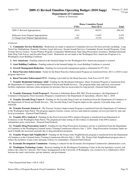## Agency 103 **2009-11 Revised Omnibus Operating Budget (2010 Supp)**

**Department of Commerce** (Dollars in Thousands)

|                                         | <b>House Committee Passed</b> |           |          |
|-----------------------------------------|-------------------------------|-----------|----------|
|                                         | <b>FTEs</b>                   | Near GF-S | Total    |
| 2009-11 Revised Appropriations          | 285.8                         | 89.931    | 588,343  |
| Difference from Original Appropriations | $-8.2$                        | $-12.897$ | $-3.479$ |
| % Change from Original Appropriations   | $-2.8\%$                      | $-12.5\%$ | $-0.6\%$ |

#### *Comments:*

 **1. Community Services Reduction -** Reductions are made to numerous Community Services Division activities including: Long Term Care Ombudsman, Domestic Violence Legal Advocacy, Sexual Assault Services, Community Sexual Assault Programs, Crime Victims Service Centers, Victim Witness Program, Community Mobilization, State Drug Prosecution Assistance, Multijurisdictional State Drug Task Forces, and Juvenile Drug Courts. Reductions are not made to the Washington New Americans Program or to Washington Asset Building Coalitions.

 **2. New Americans -** Funding reduced in the biennial budget for the Washington New Americans program is restored.

 **3. Asset Building Coalitions -** Funding reduced in the biennial budget for Asset Building Coalitions is restored.

**4. Growth Management Reduction - Funding for local growth management grants is eliminated for FY 2011.** 

 **5. Rural Narcotics Enforcement -** Funds for the Rural Narcotics Enforcement Program are transferred from 2011 to 2010 to meet program objectives.

 **6. Rural Narcotics Enforcement FY11 -** Funding is provided for the Rural Narcotics Task Force for FY 2011.

 **7. Transfer Residential Substance Abu# -** Funding for the Residential Substance Abuse Treatment Program is transferred from the Department of Commerce to the Department of Social and Health Services. The program helps state and local correctional facilities implement substance abuse programs for prisoners that are incarcerated for long periods. (General Fund-Federal)

 **8. Transfer Emergency Food Program # -** Pursuant to Substitute House Bill 2863 (Food assistance), the Department of Commerce's Emergency Food Assistance Program is transferred to the Department of Agriculture, effective July 1, 2010.

 **9. Transfer Juvenile Drug Courts # -** Funding for the Juvenile Drug Courts are transferred from the Department of Commerce to the Department of Social and Health Services. The Juvenile Drug Court Program improves the capacity of juvenile drug courts statewide.

 **10. Transfer Forensic Sciences # -** The Forensic Sciences Improvement Program is transferred from the Department of Commerce to the Washington State Patrol. The program supports forensic science services and medical examiner services provided by state and local governments. (General Fund-Federal)

 **11. Transfer DNA Analysis # -** Funding for the Post-Conviction DNA Analysis Program is transferred from Department of Commerce to the Washington State Patrol. The program provides testing of old evidence to determine if the DNA analysis substantiates prior convictions. (General Fund-Federal)

 **12. Transfer Drug Prosecution Assist # -** Funding for the Drug Prosecution Assistance activity is transferred from the Department of Commerce to the Washington Criminal Justice Training Commission effective July 1, 2010. Drug Prosecution Assistance funds are used to handle the increased caseloads due to drug interdiction programs.

 **13. Transfer Project Safe Neighborhd # -** Funding for the Project Safe Neighborhoods program is transferred from the Department of Commerce to the Criminal Justice Training Commission effective July 1, 2010. The Project Safe Neighborhood program aims to reduce the incidence of gun crime and gang violence in communities. (General Fund-Federal)

 **14. Economic Development Commission -** Funding is reduced for the Economic Development Commission's administrative costs.

 **15. Washington Technology Center -** Restores funding for the Washington Technology Center in the last legislative session, and reduces the center by 3 percent. The Center, headquartered at the University of Washington, was created to be a collaborative effort between the state's universities, private industry, and government.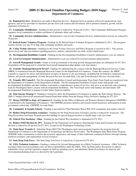**16. Regional Services -** Reductions are made to Regional Services. Regional Services partners with local organizations, state agencies, and service providers to maximize private sector job creation and investment, and to promote retention, growth, and the expansion of businesses.

 **17. Community Mobilization -** Funding for this activity is reduced by 30 percent in 2011. The Community Mobilization Program organizes local communities to address problems of substance abuse and violence.

 **18. Community Services Administration -** Administrative costs for the Community Services Administration activity are reduced by 10 percent.

 **19. Retired Senior Volunteer Program -** Funding for the Retired Senior Volunteer Program is eliminated in 2011. This program recruits citizens over age 55 to help with community problems and needs.

 **20. Crime Victims Advocacy -** Funding for the Crime Victims Advocacy and Policy Program is restored in 2011. This activity advises local and state government regarding practices, policies, and priorities on crime victim related issues.

 **21. Developmental Disabilities Council -** Funding for the Developmental Disabilities Council's administrative costs are reduced.

 **22. Local Government Administration -** Administrative costs are reduced for local government administration.

 **23. Growth Management Grants -** Grants to local governments to develop growth management plans are eliminated for FY 2011. (Legislation will be proposed to extend the local growth management plan update cycle time frame.)

 **24. Transfer Municipal Research Servic# -** Funding for administering the contract with the Municipal Research Services Center (MRSC) is transferred from the Municipal Research Council to the Department of Commerce. Under this contract, the MRSC responds to requests for advice and information on topics of interest to city governments, including but not limited to municipal law, finance, and growth management. (County Research Services Account-State, City and Town Research Services Account-State)

 **25. Transfer DD Council # -** The Developmental Disabilities Council and Endowment Trust Fund (Trust Fund) are transferred from the Department of Commerce to the Department of Health. The Developmental Disabilities Council works with people with developmental disabilities and their families to promote a comprehensive system of services, and serve as an advocate and a planning body for Washington State's citizens with developmental disabilities. The Trust Fund works with families and individuals with developmental disabilities to prepare for their future financial stability.

 **26. State Energy Strategy # -** Funding is restored to allow the Department of Commerce to update the State Energy Strategy. The 2009-11 budget removed all unrestricted General Fund-State dollars from the Energy Policy Division's funding for FY 2011.

 **27. Merge OMWBE to Dept. of Commerce # -** Funding for the Office of Minority and Women's Business Enterprises (OMWBE) is transferred to the Department of Commerce. The OMWBE promotes minority and women-owned businesses' participation in state government contracting. (OMWBE Account-State)

 **28. Community & Surplus Schools -** Funding is provided for Third Substitute House Bill 1618 (community and surplus schools).

 **29. Reduce Drug Prosecution Assistance -** Funding for the Drug Prosecution Assistance activity is reduced by 10 percent. The Drug Prosecution Assistance Program provides funding for special drug prosecutors to handle large court case loads.

 **30. Federal Way Incubator - Elim. -** Funding for the Federal Way Incubator is eliminated for FY 2011.

 **31. Reduce ITED Division by 20% -** Funding for the Department of Commerce's International Trade and Economic Development division is reduced by 20 percent for FY 2011, except for the Washington Technology Center.

 **32. Main Street Transfer # -** Substitute House Bill 2704 (Washington main street program) transfers the program from the Department of Commerce to the Department of Archaeology and Historic Preservation. The Washington State Main Street Program (WSMSP) helps communities revitalize the economy, appearance, and image of their traditional commercial districts through training, technical assistance, and organization of local resources.

 **33. State Drug Task Force -** The State Drug Task Force is reduced by 15 percent for FY 2011.

 **34. GMA Technical Assistance -** Funding is reduced for Growth Management Act (GMA) Technical Assistance. GMA Technical assistance helps local governments carry out their responsibilities under the GMA. They facilitate policy discussions to address stakeholder issues, provide legislative support on land use planning issues, and administer financial assistance for land use and environmental planning projects as directed by the Legislature.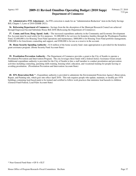### Agency 103 **2009-11 Revised Omnibus Operating Budget (2010 Supp) Department of Commerce**

 **35. Administrative FTE Adjustment -** An FTE correction is made for an "Administration Reduction" item in the Early Savings Bill, Chapter 3, Laws of 2010 (ESHB 2921).

 **36. Refocusing Department of Commerce -** Savings from the the absorption of the Municpal Research Council are achieved through Engrossed Second Substitute House Bill 2658 (Refocusing the Department of Commerce).

 **37. Comm. and Econ. Hsng. Spend. Auth. -** The increased expenditure authority in the Community and Economic Development Fee Account must be used solely for five purposes. \$1,000,000 is for services for homeless families through the Washington Families Fund, \$2,600,000 is for Housing Trust Fund operations and maintenance, \$800,000 is for Housing Trust Fund portfolio management, \$500,000 is for foreclosure counseling and support, and \$500,000 is for use as a reserve in the account.

**38. Home Security Spending Authority - \$3.8 million of the home security fund--state appropriation is provided for the homeless** grant assistance program. (Home Security Fund Account-State)

 **39. Prostitution Prevention Authority -** The Department of Commerce provides a grant to the City of Seattle to operate a Prostitution Prevention and Intervention Program. The city leverages these funds with a federal Justice Assistance Grant award. Additional expenditure authority is provided for the City of Seattle to hire a staff member to conduct prostitution and prevention activities including counseling, parenting skills training, housing relief, education, and vocational training for people leaving or avoiding prostitution. (Prostitution Prevention and Intervention Account-State)

 **40. EPA Renovation Rule \* -** Expenditure authority is provided to administer the Environmental Protection Agency's Renovation, Repair, and Painting rule, which goes into effect April 2010. This rule requires people who update, maintain, or modify pre-1978 buildings containing lead-based paint to be trained and certified to follow work practices that minimize lead hazards to children. (General Fund-Federal, Lead Paint Account-State)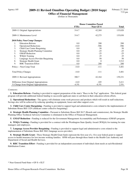# Agency 105 **2009-11 Revised Omnibus Operating Budget (2010 Supp)**

**Office of Financial Management**

(Dollars in Thousands)

|                                                  | <b>House Committee Passed</b> |           |              |
|--------------------------------------------------|-------------------------------|-----------|--------------|
|                                                  | <b>FTEs</b>                   | Near GF-S | <b>Total</b> |
| 2009-11 Original Appropriations                  | 314.7                         | 42,269    | 135,820      |
| 2009-11 Maintenance Level                        | 314.7                         | 42,275    | 135,830      |
| <b>2010 Policy Non-Comp Changes:</b>             |                               |           |              |
| <b>Education Reform</b><br>1.                    | $0.0\,$                       | 200       | 200          |
| 2.<br><b>Operational Reductions</b>              | $-14.0$                       | $-586$    | -586         |
| 3.<br>Child Care Center Bargaining               | $0.0\,$                       | 50        | 50           |
| <b>Strategic Health Planning Committee</b><br>4. | 0.0                           | $-25$     | $-25$        |
| 5.<br><b>GMAP</b> Reduction                      | 0.0                           | $-25$     | $-25$        |
| <b>WSQA Training</b><br>6.                       | 0.0                           | 25        | 25           |
| 7.<br>Language Access Provider Bargaining        | 0.0                           | 50        | 50           |
| 8.<br>Strategic Health Grant                     | 0.0                           | $\Omega$  | 3,512        |
| 9.<br><b>RHC</b> Transition Effort               | 0.0                           | 200       | 200          |
| Policy -- Non-Comp Total                         | $-14.0$                       | $-111$    | 3,401        |
| <b>Total Policy Changes</b>                      | $-14.0$                       | $-111$    | 3,401        |
| 2009-11 Revised Appropriations                   | 300.7                         | 42,164    | 139,231      |
| Difference from Original Appropriations          | $-14.0$                       | $-105$    | 3,411        |
| % Change from Original Appropriations            | $-4.5\%$                      | $-0.3\%$  | $2.5\%$      |

#### *Comments:*

 **1. Education Reform -** Funding is provided to support preparation of the state's "Race to the Top" application. This federal grant program will provide additional federal funding to successful applicant states to aid them in their education reform efforts.

 **2. Operational Reductions -** The agency will eliminate some work processes and products which will result in staff reductions. Savings also will be achieved by reducing spending on equipment, leases and other support costs.

 **3. Child Care Center Bargaining -** Funding is provided to support legal and administrative costs related to the implementaton of Substitute House Bill 1329 (childcare center collective bargaining).

 **4. Strategic Health Planning Committee -** Pursuant to Substitute House Bill 2617 (Boards and commissions), the Strategic Health Planning Office Technical Advisory Committee is eliminated in the Office of Financial Management.

 **5. GMAP Reduction -** Funding is reduced for the Government Management Accountability and Performance (GMAP) program.

 **6. WSQA Training -** Funding is provided for a contract with the Washington State Quality Award (WSQA) for training for state managers and employees.

 **7. Language Access Provider Bargaining -** Funding is provided to support legal and administrative costs related to the implementaton of Substitute House Bill 3062 (language access provider).

 **8. Strategic Health Grant -** These Strategic Health Grant funds represent the first year of a five-year federal grant to support access to health insurance for low-income working families. OFM will pass through these funds to the Health Care Authority and Department of Social and Health Services.

 **9. RHC Transition Effort -** Funding is provided for an independent assessment of individual client needs at each Residential Habilitation Center.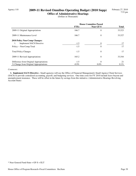# Agency 110 **2009-11 Revised Omnibus Operating Budget (2010 Supp)**

**Office of Administrative Hearings** (Dollars in Thousands)

|                                         | <b>House Committee Passed</b> |                |              |
|-----------------------------------------|-------------------------------|----------------|--------------|
|                                         | <b>FTEs</b>                   | Near GF-S      | <b>Total</b> |
| 2009-11 Original Appropriations         | 166.7                         | $\theta$       | 33,523       |
| 2009-11 Maintenance Level               | 166.7                         | $\theta$       | 33,527       |
| <b>2010 Policy Non-Comp Changes:</b>    |                               |                |              |
| <b>Implement SACS Directive</b><br>1.   | $-1.5$                        | 0              | 17           |
| Policy -- Non-Comp Total                | $-1.5$                        | $\overline{0}$ | 17           |
| <b>Total Policy Changes</b>             | $-1.5$                        | $\theta$       | 17           |
| 2009-11 Revised Appropriations          | 165.2                         | $\theta$       | 33,544       |
| Difference from Original Appropriations | $-1.5$                        | $\Omega$       | 21           |
| % Change from Original Appropriations   | $-0.9\%$                      | $0.0\%$        | $0.1\%$      |

#### *Comments:*

 **1. Implement SACS Directive -** Small agencies will use the Office of Financial Management's Small Agency Client Services (SACS) to provide centralized accounting, payroll, and budgeting services. One-time costs for FY 2010 include leave buyout and unemployment insurance. These will be offset in the future by savings from this initiative. (Administrative Hearings Revolving Account-State)

<sup>\*</sup> Near General Fund-State = GF-S + ELT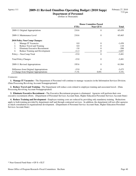### Agency 111 **2009-11 Revised Omnibus Operating Budget (2010 Supp)**

**Department of Personnel** (Dollars in Thousands)

|                                         | <b>House Committee Passed</b> |                  |              |
|-----------------------------------------|-------------------------------|------------------|--------------|
|                                         | <b>FTEs</b>                   | <b>Near GF-S</b> | <b>Total</b> |
| 2009-11 Original Appropriations         | 210.6                         | $\theta$         | 65,459       |
| 2009-11 Maintenance Level               | 210.6                         | $\Omega$         | 65,465       |
| <b>2010 Policy Non-Comp Changes:</b>    |                               |                  |              |
| Manage IT Vacancies<br>1.               | 0.0                           | $\theta$         | $-1,458$     |
| 2.<br>Reduce Travel and Training        | 0.0                           | 0                | $-118$       |
| 3.<br>Eliminate Executive Recruitment   | $-3.8$                        | 0                | $-208$       |
| 4.<br>Reduce Training and Development   | $-11.3$                       | 0                | $-1,697$     |
| Policy -- Non-Comp Total                | $-15.0$                       | $\theta$         | $-3,481$     |
| <b>Total Policy Changes</b>             | $-15.0$                       | $\theta$         | $-3,481$     |
| 2009-11 Revised Appropriations          | 195.6                         | $\theta$         | 61,984       |
| Difference from Original Appropriations | $-15.0$                       | $\theta$         | $-3,475$     |
| % Change from Original Appropriations   | $-7.1\%$                      | $0.0\%$          | $-5.3\%$     |

#### *Comments:*

 **1. Manage IT Vacancies -** The Department of Personnel will continue to manage vacancies in the Information Services Division. (Data Processing Revolving Account-Nonappropriated)

 **2. Reduce Travel and Training -** The Department will reduce costs related to employee training and associated travel. (Data Processing Revolving Account-Nonappropriated)

 **3. Eliminate Executive Recruitment -** The Executive Recruitment program is eliminated. Agencies will perform their own executive recruitment efforts. (Department of Personnel Services Account-State, Higher Education Personnel Services Account-State)

 **4. Reduce Training and Development -** Employee training costs are reduced by providing only mandatory training. Reductions apply to both training provided by department staff and through contracted services. In addition, the department will not offer agencies as much consultation in organizational development. (Department of Personnel Service Account-State, Higher Education Personnel Services Account-State)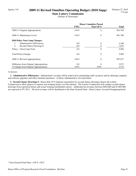### Agency 116 **2009-11 Revised Omnibus Operating Budget (2010 Supp)**

**State Lottery Commission** (Dollars in Thousands)

|                                         | <b>House Committee Passed</b> |           |              |
|-----------------------------------------|-------------------------------|-----------|--------------|
|                                         | <b>FTEs</b>                   | Near GF-S | <b>Total</b> |
| 2009-11 Original Appropriations         | 144.9                         | 0         | 901,704      |
| 2009-11 Maintenance Level               | 144.9                         | $\theta$  | 901,708      |
| 2010 Policy Non-Comp Changes:           |                               |           |              |
| Administrative Efficiencies             | 0.0                           | $\theta$  | $-1,106$     |
| 2.<br>Second Chance Drawings #          | 0.0                           | 0         | 7,075        |
| Policy -- Non-Comp Total                | 0.0                           | $\theta$  | 5,969        |
| <b>Total Policy Changes</b>             | 0.0                           | $\theta$  | 5,969        |
| 2009-11 Revised Appropriations          | 144.9                         | $\theta$  | 907,677      |
| Difference from Original Appropriations | 0.0                           | $\Omega$  | 5,973        |
| % Change from Original Appropriations   | $0.0\%$                       | $0.0\%$   | $0.7\%$      |

#### *Comments:*

 **1. Administrative Efficiencies -** Administrative savings will be achieved by maintaining staff vacancies and by delaying computer and software upgrades and office furniture purchases. (Lottery Administrative Account-State)

 **2. Second Chance Drawings # -** House Bill 2732 (internet registration for second chance drawings) directs the Lottery Commission to allow players to register non-winning tickets over the internet. The Lottery Commission will conduct second chance drawings from registered tickets and award winning ticketholders prizes. Additional net revenues between \$602,000 and \$1,805,000 are expected in FY 2011. All such revenues will be distributed to the State General Fund. (State Lottery Account-Nonappropriated)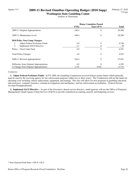# Agency 117 **2009-11 Revised Omnibus Operating Budget (2010 Supp)**

**Washington State Gambling Comm** (Dollars in Thousands)

|                                         | <b>House Committee Passed</b> |           |              |
|-----------------------------------------|-------------------------------|-----------|--------------|
|                                         | <b>FTEs</b>                   | Near GF-S | <b>Total</b> |
| 2009-11 Original Appropriations         | 160.4                         | $\theta$  | 29,286       |
| 2009-11 Maintenance Level               | 160.4                         | $\theta$  | 29,290       |
| 2010 Policy Non-Comp Changes:           |                               |           |              |
| Adjust Federal Forfeiture Funds<br>1.   | 5.0                           | $\theta$  | 4,320        |
| 2.<br><b>Implement SACS Directive</b>   | $-1.1$                        | 0         | $-29$        |
| Policy -- Non-Comp Total                | 4.0                           | $\theta$  | 4,291        |
| <b>Total Policy Changes</b>             | 4.0                           | $\theta$  | 4,291        |
| 2009-11 Revised Appropriations          | 164.4                         | $\theta$  | 33,581       |
| Difference from Original Appropriations | 4.0                           | $\Omega$  | 4,295        |
| % Change from Original Appropriations   | 2.5%                          | $0.0\%$   | 14.7%        |

#### *Comments:*

 **1. Adjust Federal Forfeiture Funds -** In FY 2009, the Gambling Commission received federal seizure funds (which generally must be used by the receiving agency for law enforcement purposes within two or three years). The Commission will use the funds for operating costs including vehicle replacement, equipment, and training. This also will allow for new programs in gambling education and awareness, computer forensics, criminal investigations and intelligence, and law enforcement accreditation. (Federal Seizure Account-Nonappropriated)

 **2. Implement SACS Directive -** As part of the Governor's shared service directive, small agencies will use the Office of Financial Management's Small Agency Client Services (SACS) to provide centralized accounting, payroll, and budgeting services.

<sup>\*</sup> Near General Fund-State = GF-S + ELT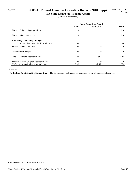# Agency 118 **2009-11 Revised Omnibus Operating Budget (2010 Supp)**

**WA State Comm on Hispanic Affairs** (Dollars in Thousands)

|                                         | <b>House Committee Passed</b> |           |              |
|-----------------------------------------|-------------------------------|-----------|--------------|
|                                         | <b>FTEs</b>                   | Near GF-S | <b>Total</b> |
| 2009-11 Original Appropriations         | 2.0                           | 513       | 513          |
| 2009-11 Maintenance Level               | 2.0                           | 513       | 513          |
| <b>2010 Policy Non-Comp Changes:</b>    |                               |           |              |
| Reduce Administrative Expenditures      | 0.0                           | $-9$      | $-9$         |
| Policy -- Non-Comp Total                | 0.0                           | $-9$      | $-9$         |
| <b>Total Policy Changes</b>             | 0.0                           | $-9$      | $-9$         |
| 2009-11 Revised Appropriations          | 2.0                           | 504       | 504          |
| Difference from Original Appropriations | 0.0                           | $-9$      | $-9$         |
| % Change from Original Appropriations   | $0.0\%$                       | $-1.8\%$  | $-1.8\%$     |

#### *Comments:*

 **1. Reduce Administrative Expenditures -** The Commission will reduce expenditures for travel, goods, and services.

<sup>\*</sup> Near General Fund-State = GF-S + ELT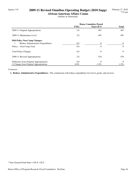# Agency 119 **2009-11 Revised Omnibus Operating Budget (2010 Supp)**

**African-American Affairs Comm** (Dollars in Thousands)

|                                          | <b>House Committee Passed</b> |           |              |
|------------------------------------------|-------------------------------|-----------|--------------|
|                                          | <b>FTEs</b>                   | Near GF-S | <b>Total</b> |
| 2009-11 Original Appropriations          | 2.0                           | 487       | 487          |
| 2009-11 Maintenance Level                | 2.0                           | 487       | 487          |
| <b>2010 Policy Non-Comp Changes:</b>     |                               |           |              |
| Reduce Administrative Expenditures<br>1. | $0.0\,$                       | -9        | -9           |
| Policy -- Non-Comp Total                 | 0.0                           | $-9$      | $-9$         |
| <b>Total Policy Changes</b>              | 0.0                           | -9        | $-9$         |
| 2009-11 Revised Appropriations           | 2.0                           | 478       | 478          |
| Difference from Original Appropriations  | 0.0                           | $-9$      | $-9$         |
| % Change from Original Appropriations    | $0.0\%$                       | $-1.9\%$  | $-1.9\%$     |

#### *Comments:*

 **1. Reduce Administrative Expenditures -** The commission will reduce expenditures for travel, goods, and services.

\* Near General Fund-State = GF-S + ELT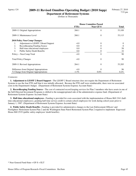# Agency 124 **2009-11 Revised Omnibus Operating Budget (2010 Supp)**

**Department of Retirement Systems** (Dollars in Thousands)

|                                                         | <b>House Committee Passed</b> |                  |          |
|---------------------------------------------------------|-------------------------------|------------------|----------|
|                                                         | <b>FTEs</b>                   | <b>Near GF-S</b> | Total    |
| 2009-11 Original Appropriations                         | 268.1                         | 0                | 53,109   |
| 2009-11 Maintenance Level                               | 268.1                         | $\theta$         | 53,115   |
| 2010 Policy Non-Comp Changes:                           |                               |                  |          |
| Adjustment to LEOFF 2 Board Support<br>1.               | $-4.0$                        | 0                | $\Omega$ |
| Recordkeeping Funding Source<br>2.                      | 0.0                           | 0                | $\theta$ |
| 3.<br>Half-time educational employees                   | 0.0                           | 0                | 58       |
| $\overline{4}$ .<br><b>Public Safety Death Benefits</b> | 0.0                           | 0                | 32       |
| Policy -- Non-Comp Total                                | $-4.0$                        | 0                | 90       |
| <b>Total Policy Changes</b>                             | $-4.0$                        | $\theta$         | 90       |
| 2009-11 Revised Appropriations                          | 264.1                         | $\theta$         | 53,205   |
| Difference from Original Appropriations                 | $-4.0$                        | $\Omega$         | 96       |
| % Change from Original Appropriations                   | $-1.5\%$                      | $0.0\%$          | $0.2\%$  |

#### *Comments:*

 **1. Adjustment to LEOFF 2 Board Support -** The LEOFF 2 Board structure does not require the Department of Retirement Systems to use the four FTE staff that it was initially allocated. Because the FTE staff were reimbursable, there were no associated costs in the Department's budget. (Department of Retirement Systems Expense Account-State)

 **2. Recordkeeping Funding Source -** The cost of contracted record keeping services for Plan 3 members who have assets in one of the Self-Directed Investment Programs is shifted to the nonappropriated side of the administrative expense fund. (Department of Retirement Systems Expense Account-State)

 **3. Half-time educational employees -** Funding is provided for costs associated with the implementation of House Bill 1541 (halftime educational employees), granting half-time service credit to certain school employees for work during school years prior to January 1, 1987. (Department of Retirement Systems Expense Account-State)

 **4. Public Safety Death Benefits -** Funding is provided for administrative changes to the Law Enforcement Officers' and Firefighters' Retirement System Plan 2 and the Washington State Patrol Retirement System Plan 2 required to implement Engrossed House Bill 2519 (public safety employees' death benefits).

<sup>\*</sup> Near General Fund-State = GF-S + ELT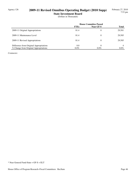# Agency 126 **2009-11 Revised Omnibus Operating Budget (2010 Supp)**

**State Investment Board**

(Dollars in Thousands)

|                                         | <b>House Committee Passed</b> |                  |              |
|-----------------------------------------|-------------------------------|------------------|--------------|
|                                         | <b>FTEs</b>                   | <b>Near GF-S</b> | <b>Total</b> |
| 2009-11 Original Appropriations         | 81.4                          | 0                | 29,581       |
| 2009-11 Maintenance Level               | 81.4                          | 0                | 29,585       |
| 2009-11 Revised Appropriations          | 81.4                          | 0                | 29,585       |
| Difference from Original Appropriations | 0.0                           | 0                | 4            |
| % Change from Original Appropriations   | $0.0\%$                       | $0.0\%$          | $0.0\%$      |

*Comments:*

\* Near General Fund-State = GF-S + ELT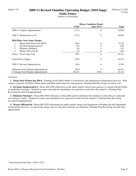# Agency 130 **2009-11 Revised Omnibus Operating Budget (2010 Supp)**

**Public Printer**

(Dollars in Thousands)

|                                         | <b>House Committee Passed</b> |                  |           |
|-----------------------------------------|-------------------------------|------------------|-----------|
|                                         | <b>FTEs</b>                   | <b>Near GF-S</b> | Total     |
| 2009-11 Original Appropriations         | 137.8                         | $\theta$         | 19,980    |
| 2009-11 Maintenance Level               | 137.8                         | $\theta$         | 19,982    |
| <b>2010 Policy Non-Comp Changes:</b>    |                               |                  |           |
| Merge State Printer into DIS #<br>1.    | $-68.0$                       | $\theta$         | $-9,128$  |
| 2.<br>Envelope Standarization #         | 0.0                           | $\Omega$         | $-646$    |
| 3.<br>Eliminate Markup #                | 0.0                           | 0                | $-332$    |
| 4.<br>Merger efficiencies#              | $-1.0$                        | 0                | $-108$    |
| Policy -- Non-Comp Total                | $-69.0$                       | $\theta$         | $-10,214$ |
| <b>Total Policy Changes</b>             | $-69.0$                       | $\theta$         | $-10,214$ |
| 2009-11 Revised Appropriations          | 68.8                          | $\theta$         | 9,768     |
| Difference from Original Appropriations | $-69.0$                       | $\Omega$         | $-10,212$ |
| % Change from Original Appropriations   | $-50.1\%$                     | $0.0\%$          | $-51.1\%$ |

#### *Comments:*

 **1. Merge State Printer into DIS # -** Funding for the Public Printer is transferred to the Department of Information Services. With certain exceptions, the Public Printer prints and binds publications for state agencies. (Printing Plant Revolving Account-Local)

 **2. Envelope Standarization # -** House Bill 2969 (efficiencies at the public printer) directs state agencies to consult with the Printer to standardize envelopes. Reduced revenues and reduced expenditures are expected to result from this initiative. (Printing Plant Revolving Account-Nonappropriated)

 **3. Eliminate Markup # -** House Bill 2969 (efficiencies at the public printer) eliminates the markup on orders that are contracted out to private vendors. Reduced revenues and expenditures are expected to result from this initiative. (Printing Plant Revolving Account-Nonappropriated)

 **4. Merger efficiencies# -** House Bill 3020 (eliminating the public printer) merges the Department of Printing into the Department of Information Services. As part of this merger, the two executive positions are eliminated. (Printing Plant Revolving Account-Nonappropriated)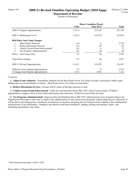## Agency 140 **2009-11 Revised Omnibus Operating Budget (2010 Supp)**

**Department of Revenue**

(Dollars in Thousands)

|                                          | <b>House Committee Passed</b> |           |              |
|------------------------------------------|-------------------------------|-----------|--------------|
|                                          | <b>FTEs</b>                   | Near GF-S | <b>Total</b> |
| 2009-11 Original Appropriations          | 1,122.4                       | 215,210   | 231,784      |
| 2009-11 Maintenance Level                | 1,122.4                       | 215,236   | 231,810      |
| <b>2010 Policy Non-Comp Changes:</b>     |                               |           |              |
| 1.<br><b>Adjust Grant Authority</b>      | 0.0                           | $\Omega$  | 2,379        |
| <b>Reduce Information Services</b><br>2. | $-0.3$                        | $-50$     | $-50$        |
| 3.<br>Vehicle License Fraud Enforcement# | 0.5                           | 0         | 72           |
| 4.<br>Tax Programs Administration#       | 0.5                           | 96        | 96           |
| Policy -- Non-Comp Total                 | 0.7                           | 46        | 2,497        |
| <b>Total Policy Changes</b>              | 0.7                           | 46        | 2,497        |
| 2009-11 Revised Appropriations           | 1,123.1                       | 215,282   | 234,307      |
| Difference from Original Appropriations  | 0.7                           | 72        | 2,523        |
| % Change from Original Appropriations    | 0.1%                          | $0.0\%$   | $1.1\%$      |

#### *Comments:*

 **1. Adjust Grant Authority -** Expenditure authority for the Real Estate Excise Tax Grant Account is increased to reflect grant funding that may be distributed to counties. (Real Estate Excise Tax Grant Account-State)

 **2. Reduce Information Services -** Savings will be achieved through reduction in staff.

 **3. Vehicle License Fraud Enforcement# -** Under Second Substitute House Bill 2436 (vehicle license fraud), \$72,000 is appropriated to support vehicle license fraud enforcement and collections. (Vehicle License Fraud Account)

 **4. Tax Programs Administration# -** Engrossed Second Substitute House Bill 1597 (administration of tax programs) directs the Department of Revenue to take steps to improve the administration of state and local tax programs without impacting tax collections. It will do this by providing greater consistency in numerous tax incentive programs and revising provisions relating to the confidentiality and disclosure of tax information. Funding is provided for staff time including IT staffing, printing and mailing a notice, and translating and printing a fact sheet.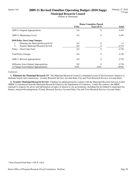# Agency 144 **2009-11 Revised Omnibus Operating Budget (2010 Supp)**

**Municipal Research Council** (Dollars in Thousands)

|                                           | <b>House Committee Passed</b> |           |              |
|-------------------------------------------|-------------------------------|-----------|--------------|
|                                           | <b>FTEs</b>                   | Near GF-S | <b>Total</b> |
| 2009-11 Original Appropriations           | 0.0                           | $\theta$  | 5,455        |
| 2009-11 Maintenance Level                 | 0.0                           | $\theta$  | 5,455        |
| <b>2010 Policy Non-Comp Changes:</b>      |                               |           |              |
| Eliminate the Municipal Research C#<br>1. | 0.0                           | $\theta$  | -11          |
| 2.<br>Transfer Municipal Research Servic# | 0.0                           | 0         | $-2,715$     |
| Policy -- Non-Comp Total                  | 0.0                           | $\theta$  | $-2,726$     |
| <b>Total Policy Changes</b>               | 0.0                           | $\theta$  | $-2,726$     |
| 2009-11 Revised Appropriations            | 0.0                           | $\theta$  | 2,729        |
| Difference from Original Appropriations   | 0.0                           | $\Omega$  | $-2,726$     |
| % Change from Original Appropriations     | $0.0\%$                       | $0.0\%$   | $-50.0\%$    |

#### *Comments:*

 **1. Eliminate the Municipal Research C# -** The Municipal Research Council is eliminated as part of the Governor's initiative to eliminate boards and commissions. (County Research Services Account-State, City and Town Research Services Account-State)

 **2. Transfer Municipal Research Servic# -** Funding for administering the contract with the Municipal Research Services Center (MRSC) is transferred from the Municipal Research Council to the Department of Commerce. Under this contract, the MRSC responds to requests for advice and information on topics of interest to city governments, including but not limited to municipal law, finance, and growth management. (County Research Services Account-State, City and Town Research Services Account-State)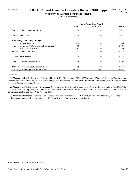# Agency 147 **2009-11 Revised Omnibus Operating Budget (2010 Supp)**

**Minority & Women's Business Enterp** (Dollars in Thousands)

|                                          | <b>House Committee Passed</b> |                |           |
|------------------------------------------|-------------------------------|----------------|-----------|
|                                          | <b>FTEs</b>                   | Near GF-S      | Total     |
| 2009-11 Original Appropriations          | 17.0                          | $\theta$       | 3,622     |
| 2009-11 Maintenance Level                | 17.0                          | $\theta$       | 3,622     |
| <b>2010 Policy Non-Comp Changes:</b>     |                               |                |           |
| Merger Savings#<br>1.                    | $-1.0$                        | $\theta$       | $-95$     |
| 2.<br>Merge OMWBE to Dept. of Commerce # | $-8.0$                        | 0              | $-1,804$  |
| 3.<br><b>Workload Increases</b>          | 0.5                           | 0              | 85        |
| Policy -- Non-Comp Total                 | $-8.5$                        | $\theta$       | $-1,814$  |
| <b>Total Policy Changes</b>              | $-8.5$                        | $\theta$       | $-1,814$  |
| 2009-11 Revised Appropriations           | 8.5                           | $\overline{0}$ | 1,808     |
| Difference from Original Appropriations  | $-8.5$                        | $\Omega$       | $-1,814$  |
| % Change from Original Appropriations    | $-50.0\%$                     | $0.0\%$        | $-50.1\%$ |

#### *Comments:*

 **1. Merger Savings# -** Engrossed Substitute House Bill 3175 merges the Office of Minority and Women's Business Enterprise into the Department of Commerce. As part of this merger, the director and one administrative staff are eliminated. (Minority and Women's Business Enterprise Account-State)

 **2. Merge OMWBE to Dept. of Commerce # -** Funding for the Office of Minority and Women's Business Enterprises (OMWBE) is transferred to the Department of Commerce. The OMWBE promotes minority and women-owned businesses' participation in state government contracting. (OMWBE Account-State)

 **3. Workload Increases -** Funding is authorized to hire one temporary FTE in FY 2011, to assist with the timely processing of applications for certification. (Minority and Women's Business Enterprises Account-State)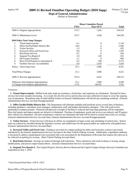### Agency 150 **2009-11 Revised Omnibus Operating Budget (2010 Supp)**

**Dept of General Administration** (Dollars in Thousands)

|                                           | <b>House Committee Passed</b> |                  |              |
|-------------------------------------------|-------------------------------|------------------|--------------|
|                                           | <b>FTEs</b>                   | <b>Near GF-S</b> | <b>Total</b> |
| 2009-11 Original Appropriations           | 572.7                         | 1,626            | 194,524      |
| 2009-11 Maintenance Level                 | 572.7                         | 1,626            | 194,536      |
| 2010 Policy Non-Comp Changes:             |                               |                  |              |
| 1.<br><b>Tenant Improvements</b>          | $-4.1$                        | $\theta$         | $-1,138$     |
| 2.<br>Office Facility/Public Historic Bui | $-10.8$                       | 0                | $-3,206$     |
| 3.<br><b>Visitor Services</b>             | $-1.3$                        | 0                | $-422$       |
| Increased Utility and Fixed Costs<br>4.   | 0.0                           | $\theta$         | 1,502        |
| 5.<br><b>Real Estate Services</b>         | $-0.7$                        | 0                | $-244$       |
| 6.<br>Suspend Two Boards #                | $-1.0$                        | $-149$           | $-181$       |
| <b>Off Campus Facilities</b><br>7.        | $-1.1$                        | $\Omega$         | $-905$       |
| 8.<br>Move Food Program to Agriculture #  | $-2.3$                        | $-390$           | $-3,172$     |
| 9.<br>Facilities Services Accountability  | 0.0                           | 3,545            | 3,545        |
| Policy -- Non-Comp Total                  | $-21.1$                       | 3,006            | $-4,221$     |
| <b>Total Policy Changes</b>               | $-21.1$                       | 3,006            | $-4,221$     |
| 2009-11 Revised Appropriations            | 551.6                         | 4,632            | 190,315      |
| Difference from Original Appropriations   | $-21.1$                       | 3,006            | $-4,209$     |
| % Change from Original Appropriations     | $-3.7\%$                      | 184.9%           | $-2.2%$      |

#### *Comments:*

 **1. Tenant Improvements -** Skilled work units made up of painters, electricians, and carpenters are eliminated. Demand for these services have been steadily decreasing. As a result, this fee-for-service activity does not raise sufficient revenues to cover the ongoing cost of operations. Remaining units of multi-skilled workers in General Administration will absorb any remaining workload. (General Administration Services Account-Nonappropriated)

 **2. Office Facility/Public Historic Bui -** The Department will eliminate multiple staff positions across several lines of business, including gardeners, custodians, asset managers, maintenance staff, and budget and business managers. This will result in less gardening on campus grounds. Financial and physical oversight of facilities is reduced and long-range planning will be suspended. Non-vital repairs and improvements are delayed or eliminated. Purchase of equipment, goods and services are reduced, and 20 agency fleet vehicles are eliminated. Elevator maintenance contracts are eliminated and staff will be hired to assume these tasks at a savings. (General Administration Services Account-State, General Administration Services Account-Nonappropriated)

 **3. Visitor Services -** Visitor Services will focus its efforts on coordination of large events and scheduling of school tours. School tours are reduced by one-third during the legislative session, and staffed tours for the general public are replaced by self-guided tours. (General Administration Services Account-State)

 **4. Increased Utility and Fixed Costs -** Funding is provided for campus parking lot utility and fixed price contracts previously subsidized by the General Administration Services Account to the State Vehicle Parking Account. Additionally, expenditure authority is increased to address unanticipated costs associated with a tax assessment by the Department of Revenue that requires the sales tax to be collected on parking fee revenue. (State Vehicle Parking Account-State)

**5. Real Estate Services -** Savings are achieved through staff reductions. These reductions will result in delays to leasing, design modifications, and process improvement efforts. (General Administration Services Account-State)

 **6. Suspend Two Boards # -** The Capital Projects Advisory Review Board and the Capitol Campus Design Advisory Committee are suspended on July 1, 2010.

\* Near General Fund-State = GF-S + ELT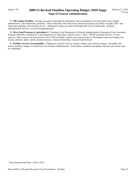# Agency 150 **2009-11 Revised Omnibus Operating Budget (2010 Supp) Dept of General Administration**

 **7. Off Campus Facilities -** Savings are achieved through the elimination and consolidation of several supervisory, budget, administrative, and maintenance positions. These reductions will result in less financial and physical facility oversight, short- and long-range planning, and customer service. Additional savings are achieved through debt service refinancing. (General Administration Services Account-Nonappropriated)

 **8. Move Food Program to Agriculture # -** Funding for the Department of General Administration's Emergency Food Assistance Program (TEFAP) is transferred to the Department of Agriculture, effective July 1, 2010. TEFAP distributes food to 21 lead agencies. These agencies in turn provide food to 450 food banks, shelters and meal providers in Washington that serve hungry lowincome children, adults, elderly and the homeless. (General Fund-State, General Fund-Federal)

 **9. Facilities Services Accountability -** Funding for facilities services charges, utilities and contracts charges, and public and historic facilities charges is transferred to the General Administration. Performance standards and quality assurance provisions must be established.

\* Near General Fund-State = GF-S + ELT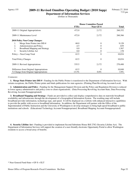# Agency 155 **2009-11 Revised Omnibus Operating Budget (2010 Supp)**

**Department of Information Services** (Dollars in Thousands)

|                                             | <b>House Committee Passed</b> |                  |              |
|---------------------------------------------|-------------------------------|------------------|--------------|
|                                             | <b>FTEs</b>                   | <b>Near GF-S</b> | <b>Total</b> |
| 2009-11 Original Appropriations             | 472.0                         | 2,172            | 260,352      |
| 2009-11 Maintenance Level                   | 472.0                         | 2,172            | 260,366      |
| 2010 Policy Non-Comp Changes:               |                               |                  |              |
| Merge State Printer into DIS #<br>1.        | 68.0                          | 0                | 9,128        |
| Administration and Policy<br>2.             | $-4.5$                        | 0                | $-839$       |
| 3.<br><b>Broadband Mapping and Strategy</b> | 0.0                           | 0                | 1,567        |
| $\overline{4}$ .<br>Security Lifeline Act   | 0.0                           | 0                | 178          |
| Policy -- Non-Comp Total                    | 63.5                          | 0                | 10,034       |
| <b>Total Policy Changes</b>                 | 63.5                          | $\theta$         | 10,034       |
| 2009-11 Revised Appropriations              | 535.5                         | 2,172            | 270,400      |
| Difference from Original Appropriations     | 63.5                          | $\Omega$         | 10,048       |
| % Change from Original Appropriations       | 13.5%                         | $0.0\%$          | 3.9%         |

#### *Comments:*

 **1. Merge State Printer into DIS # -** Funding for the Public Printer is transferred to the Department of Information Services. With certain exceptions, the Public Printer prints and binds publications for state agencies. (Printing Plant Revolving Account-Local)

 **2. Administration and Policy -** Funding for the Management Support Division and the Policy and Regulation Division is reduced to lower agency administrative and policy costs to client organizations. (Data Processing Revolving Account-State, Data Processing Revolving Account-Nonappropriated)

 **3. Broadband Mapping and Strategy -** Funds are provided to collect and display comprehensive data on statewide broadband availability and infrastructure through the development of a Geographical Information System. The resulting map will include broadband provider information, technology type, and speed. It will be displayed on a website with enhanced interactive capabilities to provide the public with access to broadband information. In addition, the Department will partner with the Office of the Superintendent of Public Instruction and the University of Washington to develop strategies to bring high-speed broadband to public institutions and schools. (Educational Technology Account-Nonappropriated, Broadband Mapping Account-Nonappropriated)

 **4. Security Lifeline Act -** Funding is provided to implement Second Substitute House Bill 2782 (Security Lifeline Act). The Department of Information Services will support the creation of a user-friendly electronic Opportunity Portal to allow Washington residents to access a broad array of benefits.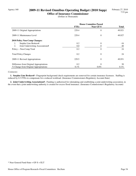# Agency 160 **2009-11 Revised Omnibus Operating Budget (2010 Supp)**

**Office of Insurance Commissioner** (Dollars in Thousands)

|                                         | <b>House Committee Passed</b> |           |              |
|-----------------------------------------|-------------------------------|-----------|--------------|
|                                         | <b>FTEs</b>                   | Near GF-S | <b>Total</b> |
| 2009-11 Original Appropriations         | 229.4                         | 0         | 49,921       |
| 2009-11 Maintenance Level               | 229.4                         | $\theta$  | 49,927       |
| 2010 Policy Non-Comp Changes:           |                               |           |              |
| Surplus Line Brokers#<br>1.             | 0.2                           | $\theta$  | $-16$        |
| Joint Underwriting Associations#<br>2.  | 0.0                           | 0         | 40           |
| Policy -- Non-Comp Total                | 0.2                           | 0         | 24           |
| <b>Total Policy Changes</b>             | 0.2                           | $\theta$  | 24           |
| 2009-11 Revised Appropriations          | 229.5                         | $\theta$  | 49,951       |
| Difference from Original Appropriations | 0.2                           | $\Omega$  | 30           |
| % Change from Original Appropriations   | $0.1\%$                       | $0.0\%$   | $0.1\%$      |

#### *Comments:*

 **1. Surplus Line Brokers# -** Fingerprint background check requirements are removed for certain insurance licensees. Staffing is reduced by 0.3 FTEs to compensate for a reduced workload. (Insurance Commissioners Regulatory Account-State)

 **2. Joint Underwriting Associations# -** Funding is authorized for rulemaking and establishing a joint underwriting association, in the event that a joint underwriting authority is created for excess flood insurance. (Insurance Commissioner's Regulatory Account)

<sup>\*</sup> Near General Fund-State = GF-S + ELT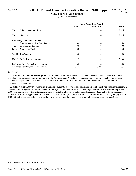### Agency 165 **2009-11 Revised Omnibus Operating Budget (2010 Supp)**

**State Board of Accountancy** (Dollars in Thousands)

|                                         | <b>House Committee Passed</b> |                  |              |
|-----------------------------------------|-------------------------------|------------------|--------------|
|                                         | <b>FTEs</b>                   | <b>Near GF-S</b> | <b>Total</b> |
| 2009-11 Original Appropriations         | 11.3                          | $\overline{0}$   | 3,016        |
| 2009-11 Maintenance Level               | 11.3                          | $\theta$         | 3,016        |
| 2010 Policy Non-Comp Changes:           |                               |                  |              |
| Conduct Independent Investigation<br>1. | 0.0                           | $\theta$         | 150          |
| 2.<br>Settle Agency Lawsuit             | 0.0                           | 0                | 500          |
| Policy -- Non-Comp Total                | 0.0                           | $\theta$         | 650          |
| <b>Total Policy Changes</b>             | 0.0                           | $\theta$         | 650          |
| 2009-11 Revised Appropriations          | 11.3                          | $\theta$         | 3,666        |
| Difference from Original Appropriations | 0.0                           | $\theta$         | 650          |
| % Change from Original Appropriations   | $0.0\%$                       | $0.0\%$          | 21.6%        |

#### *Comments:*

 **1. Conduct Independent Investigation -** Additional expenditure authority is provided to engage an independent firm of legal consultants, governmental entities familiar with the Administrative Procedures Act, and/or a joint venture of such organizations to evaluate and report on the efficiency and effectiveness of the Board's practices, policies, and procedures. (Certified Public Accountants' Account-State)

 **2. Settle Agency Lawsuit -** Additional expenditure authority is provided as a partial condition of a mediated conditional settlement of seven lawsuits against the Executive Director, the agency, and the Board filed by one litigant between April 2008 and September 2009. The conditional settlement agreement includes withdrawal of fifteen public records requests, dismissal of the lawsuits, and waiver of the rights of appeal on those matters. The Board or the agency must also meet certain conditions, including the payment of \$500,000 to the trust account of one of the law firms representing the litigant. (Certified Public Accountants' Account-State)

<sup>\*</sup> Near General Fund-State = GF-S + ELT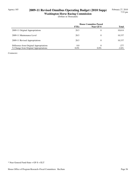# Agency 185 **2009-11 Revised Omnibus Operating Budget (2010 Supp)**

**Washington Horse Racing Commission** (Dollars in Thousands)

|                                         | <b>House Committee Passed</b> |           |              |
|-----------------------------------------|-------------------------------|-----------|--------------|
|                                         | <b>FTEs</b>                   | Near GF-S | <b>Total</b> |
| 2009-11 Original Appropriations         | 28.5                          | 0         | 10,614       |
| 2009-11 Maintenance Level               | 28.5                          | 0         | 10,337       |
| 2009-11 Revised Appropriations          | 28.5                          | 0         | 10,337       |
| Difference from Original Appropriations | 0.0                           | 0         | $-277$       |
| % Change from Original Appropriations   | $0.0\%$                       | $0.0\%$   | $-2.6\%$     |

*Comments:*

\* Near General Fund-State = GF-S + ELT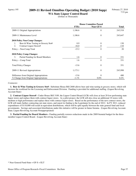# Agency 195 **2009-11 Revised Omnibus Operating Budget (2010 Supp)**

**WA State Liquor Control Board** (Dollars in Thousands)

|                                           | <b>House Committee Passed</b> |                |              |
|-------------------------------------------|-------------------------------|----------------|--------------|
|                                           | <b>FTEs</b>                   | Near GF-S      | <b>Total</b> |
| 2009-11 Original Appropriations           | 1,186.6                       | $\theta$       | 243,518      |
| 2009-11 Maintenance Level                 | 1,186.6                       | $\mathbf{0}$   | 243,647      |
| <b>2010 Policy Non-Comp Changes:</b>      |                               |                |              |
| Beer & Wine Tasting in Grocery Sto#<br>1. | 0.9                           | $\theta$       | 130          |
| 2.<br>Contract Liquor Stores#             | $-16.0$                       | 0              | $-110$       |
| Policy -- Non-Comp Total                  | $-15.2$                       | $\theta$       | 20           |
| <b>2010 Policy Comp Changes:</b>          |                               |                |              |
| 3.<br>Partial Funding for Board Members   | 1.6                           | $\overline{0}$ | 331          |
| Policy -- Comp Total                      | 1.6                           | $\theta$       | 331          |
| <b>Total Policy Changes</b>               | $-13.6$                       | $\theta$       | 351          |
| 2009-11 Revised Appropriations            | 1,173.1                       | $\theta$       | 243,998      |
| Difference from Original Appropriations   | $-13.6$                       | $\theta$       | 480          |
| % Change from Original Appropriations     | $-1.1\%$                      | $0.0\%$        | $0.2\%$      |

#### *Comments:*

 **1. Beer & Wine Tasting in Grocery Sto# -** Substitute House Bill 2688 allows beer and wine tasting in grocery stores, which will increase the workload for the Licensing and Enforcement Division. Funding is provided for additional staffing. (Liquor Revolving Account-State)

 **2. Contract Liquor Stores# -** Under House Bill 3189, the Liquor Control Board (LCB) will close at least 20 low-performing state liquor stores and replace them with contract liquor stores. As a pilot project, the LCB will also close an additional 10 stores with medium or high performance and replace these with contract liquor stores. Based on the performance of the new contract stores, the LCB will study further contracting out state stores, and report its finding to the Legislature by the end of 2012. In FY 2011, reduced expenditures of \$110,000 will result in equivalent distributions, which will be split equally between the state general fund and local governments. Savings and associated distributions under this initiative will be greater in future biennia. (Liquor Revolving Account-State; Liquor Revolving Account-Nonappropriated)

 **3. Partial Funding for Board Members -** Funding partially restores reductions made in the 2009 biennial budget for the threemember Liquor Control Board. (Liquor Revolving Account-State)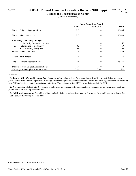# Agency 215 **2009-11 Revised Omnibus Operating Budget (2010 Supp)**

**Utilities and Transportation Comm** (Dollars in Thousands)

|                                         | <b>House Committee Passed</b> |                  |              |
|-----------------------------------------|-------------------------------|------------------|--------------|
|                                         | <b>FTEs</b>                   | <b>Near GF-S</b> | <b>Total</b> |
| 2009-11 Original Appropriations         | 151.7                         | $\overline{0}$   | 36,036       |
| 2009-11 Maintenance Level               | 151.7                         | $\theta$         | 36,040       |
| 2010 Policy Non-Comp Changes:           |                               |                  |              |
| Public Utility Comm-Recovery Act<br>1.  | 1.1                           | $\Omega$         | 267          |
| Net metering of electricity#<br>2.      | 0.3                           |                  | 69           |
| 3.<br>Solid waste regulatory fees       | 0.0                           |                  | 100          |
| Policy -- Non-Comp Total                | 1.4                           | $\theta$         | 436          |
| <b>Total Policy Changes</b>             | 1.4                           | $\theta$         | 436          |
| 2009-11 Revised Appropriations          | 153.0                         | $\theta$         | 36,476       |
| Difference from Original Appropriations | 1.4                           | $\theta$         | 440          |
| % Change from Original Appropriations   | $0.9\%$                       | $0.0\%$          | $1.2\%$      |

#### *Comments:*

 **1. Public Utility Comm-Recovery Act -** Spending authority is provided for a federal American Recovery & Reinvestment Act (ARRA) grant from the US Department of Energy for managing the projected increase in dockets and other regulatory actions resulting from ARRA electricity-related projects and initiatives. This includes hiring 2 FTEs towards the end of FY 2010.

 **2. Net metering of electricity# -** Funding is authorized for rulemaking to implement new standards for net metering of electricity. (Public Service Revolving Account-State)

 **3. Solid waste regulatory fees -** Expenditure authority is increased to reflect increased revenues from solid waste regulatory fees. (Public Service Revolving Account-State)

<sup>\*</sup> Near General Fund-State = GF-S + ELT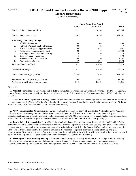### Agency 245 **2009-11 Revised Omnibus Operating Budget (2010 Supp)**

**Military Department** (Dollars in Thousands)

|                                             | <b>House Committee Passed</b> |                  |              |
|---------------------------------------------|-------------------------------|------------------|--------------|
|                                             | <b>FTEs</b>                   | <b>Near GF-S</b> | <b>Total</b> |
| 2009-11 Original Appropriations             | 322.1                         | 20,274           | 330,586      |
| 2009-11 Maintenance Level                   | 330.1                         | 20,276           | 354,331      |
| 2010 Policy Non-Comp Changes:               |                               |                  |              |
| 1.<br>WIN211 Reductions                     | 0.0                           | $-500$           | $-500$       |
| 2.<br>Network Warfare Squadron Building     | 0.0                           | 12               | 47           |
| 3.<br>WYA: Unanticipated Apportionment      | 0.0                           | $-692$           | $-692$       |
| Public Safety Interoperability Grnt<br>4.   | 0.0                           | 0                | 17,982       |
| 5.<br>Washington Youth Academy Staffing     | 1.6                           | 0                | $\theta$     |
| <b>State Emergency Readiness</b><br>6.      | 1.3                           |                  | 392          |
| <b>Next Generation 911 Transition</b><br>7. | 0.0                           | 0                | 7,864        |
| 8.<br><b>Administrative Savings</b>         | $-4.9$                        | $-1,270$         | $-1,270$     |
| Policy -- Non-Comp Total                    | $-2.1$                        | $-2,450$         | 23,823       |
| <b>Total Policy Changes</b>                 | $-2.1$                        | $-2,450$         | 23,823       |
| 2009-11 Revised Appropriations              | 328.0                         | 17,826           | 378,154      |
| Difference from Original Appropriations     | 6.0                           | $-2,448$         | 47,568       |
| % Change from Original Appropriations       | 1.9%                          | $-12.1\%$        | 14.4%        |

#### *Comments:*

 **1. WIN211 Reductions -** Grant funding in FY 2011 is eliminated for Washington Information Network 211 (WIN211), a private, non-profit organization that provides social service referral services. This constitutes a 26 percent reduction to WIN211's budget in FY 2011.

 **2. Network Warfare Squadron Building -** Federal expenditure authority and state matching funds are provided for the operation and maintenance of the Network Warfare Squadron building, an Air National Guard facility scheduled to open at McChord Air Force Base in January 2011. (General Fund-State, General Fund-Federal)

 **3. WYA: Unanticipated Apportionment -** After operating the program for nearly 11 months, the Washington Youth Academy utilized a higher than average number of classroom hours with students. This workload resulted in higher than anticipated apportionment funding. General Fund-State funding is reduced by \$692,000 to compensate for the unanticipated apportionment funds. A reduction of \$260,000 (state general fund) was made in Proposed Substitute House Bill 2921 (early savings).

 **4. Public Safety Interoperability Grnt -** Expenditure authority is provided to continue projects originally funded with a Public Safety Interoperable Communications grant received in 2007 from the Department of Homeland Security. The grant is to be used to enhance statewide communications infrastructure and address initiatives identified in the Statewide Communications Interoperability Plan. The Military Department will continue to administer the funds for equipment, exercises, training, planning, and grant administration. Ninety-seven percent of these funds are passed through to local jurisdictions with the remaining three percent retained by the Military Department for grant administration and management. (General Fund-Federal)

 **5. Washington Youth Academy Staffing -** After operating the program for nearly 11 months, the Washington Youth Academy utilized a higher than average number of classroom hours with students. This workload resulted in higher than anticipated apportionment funding. This apportionment funding is used to hire 2.5 FTEs. New staff are assumed to begin April 1, 2010.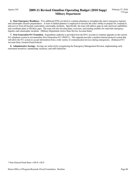# Agency 245 **2009-11 Revised Omnibus Operating Budget (2010 Supp) Military Department**

 **6. State Emergency Readiness -** Two additional FTEs are hired to continue planning to strengthen the state's emergency logistics and catastrophic disaster preparedness. A team of skilled planners is employed to increase the state's ability to prepare for, respond to, and recover from all hazards, particularly catastrophic incidents. Specifically, the team will address gaps in state and local capabilities and coordinate plans to fill these gaps. The team will also develop plans, exercises, and training modules for statewide emergency logistics and catastrophic incidents. (Military Department Active State Service Account-State)

**7. Next Generation 911 Transition -** Expenditure authority is provided from the E911 account to continue upgrades to the current 911 telephone system to accommodate Next Generation 911 (NG911). This upgrade provides a modern internet protocol system that will allow the 911 system to accept information from a wide variety of communication devices during emergencies. (Enhanced 911 Account-State, General Fund-Federal)

 **8. Administrative Savings -** Savings are achieved by reorganizing the Emergency Management Division, implementing early retirement incentives, maintaining vacancies, and staff reductions.

\* Near General Fund-State = GF-S + ELT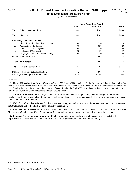# Agency 275 **2009-11 Revised Omnibus Operating Budget (2010 Supp)**

**Public Employment Relations Comm** (Dollars in Thousands)

|                                                  | <b>House Committee Passed</b> |                  |              |
|--------------------------------------------------|-------------------------------|------------------|--------------|
|                                                  | <b>FTEs</b>                   | <b>Near GF-S</b> | <b>Total</b> |
| 2009-11 Original Appropriations                  | 43.9                          | 6,208            | 9,498        |
| 2009-11 Maintenance Level                        | 43.9                          | 6,208            | 9,498        |
| <b>2010 Policy Non-Comp Changes:</b>             |                               |                  |              |
| <b>Higher Education Fund Source Change</b><br>1. | 0.0                           | $-250$           | $\theta$     |
| <b>Administrative Reduction</b><br>2.            | $-0.6$                        | $-620$           | $-620$       |
| 3.<br>Child Care Center Bargaining               | 0.0                           | 50               | 50           |
| 4.<br><b>Implement SACS Directive</b>            | $-0.6$                        | $-37$            | $-37$        |
| 5.<br>Language Access Provider Bargaining        | 0.0                           | 50               | 50           |
| Policy -- Non-Comp Total                         | $-1.2$                        | $-807$           | $-557$       |
| <b>Total Policy Changes</b>                      | $-1.2$                        | $-807$           | $-557$       |
| 2009-11 Revised Appropriations                   | 42.7                          | 5,401            | 8,941        |
| Difference from Original Appropriations          | $-1.2$                        | $-807$           | -557         |
| % Change from Original Appropriations            | $-2.7\%$                      | $-13.0\%$        | $-5.9\%$     |

#### *Comments:*

 **1. Higher Education Fund Source Change -** Chapter 571, Laws of 2009 made the Public Employees' Collective Bargaining Act applicable to many employees of higher education institutions who are exempt from civil service under the Personnel System Reform Act. Funding for this activity is shifted from the the General Fund to the Higher Education Personnel Services Account. (General Fund-State, Higher Education Personnel Services Account-State)

 **2. Administrative Reduction -** The agency will reduce staff, eliminate vacant positions, impose furloughs, eliminate nonmandatory staff training, and delay information technology maintenance. These reductions will affect agency productivity and push out unavoidable costs to the future.

 **3. Child Care Center Bargaining -** Funding is provided to support legal and administrative costs related to the implementaton of Substitute House Bill 1329 (childcare center collective bargaining).

 **4. Implement SACS Directive -** As part of the Governor's shared service directive, small agencies will use the Office of Financial Management's Small Agency Client Services (SACS) to provide centralized accounting, payroll, and budgeting services.

 **5. Language Access Provider Bargaining -** Funding is provided to support legal and administrative costs related to the implementaton of Substitute Substitute House Bill 3062 (language access provider collective bargaining).

<sup>\*</sup> Near General Fund-State = GF-S + ELT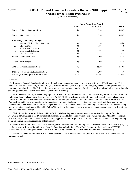# Agency 355 **2009-11 Revised Omnibus Operating Budget (2010 Supp)**

**Archaeology & Historic Preservation** (Dollars in Thousands)

|                                         | <b>House Committee Passed</b> |                  |                |
|-----------------------------------------|-------------------------------|------------------|----------------|
|                                         | <b>FTEs</b>                   | <b>Near GF-S</b> | <b>Total</b>   |
| 2009-11 Original Appropriations         | 16.4                          | 2,720            | 4,687          |
| 2009-11 Maintenance Level               | 16.4                          | 2,720            | 4,687          |
| 2010 Policy Non-Comp Changes:           |                               |                  |                |
| Increased Federal Expd Authority<br>1.  | 0.4                           | $\Omega$         | 650            |
| GIS Fee Bill<br>2.                      | 0.0                           | $-167$           | $\overline{0}$ |
| 3.<br>Main Street Transfer #            | 0.5                           | 121              | 121            |
| 4.<br><b>Main Street Reduction</b>      | 0.0                           | $-77$            | $-77$          |
| 5.<br><b>Technical Error</b>            | 0.0                           | -77              | $-77$          |
| Policy -- Non-Comp Total                | 0.9                           | $-200$           | 617            |
| <b>Total Policy Changes</b>             | 0.9                           | $-200$           | 617            |
| 2009-11 Revised Appropriations          | 17.3                          | 2,520            | 5,304          |
| Difference from Original Appropriations | 0.9                           | $-200$           | 617            |
| % Change from Original Appropriations   | $5.5\%$                       | $-7.4\%$         | 13.2%          |

#### *Comments:*

 **1. Increased Federal Expd Authority -** Additional federal expenditure authority is provided for the 2009-11 biennium. This includes a one-time federal carry-over of \$400,000 from the previous year, plus \$125,000 in ongoing federal funding for increased reviews of capital projects. The federal stimulus program is increasing the number of projects requiring archaeological review, but it is providing some funds to cover those costs. (General Fund-Federal)

 **2. GIS Fee Bill -** The Department's Geographic Information System (GIS) database, called the Washington Information System for Architectural and Archaeological Records Database (WISAARD), provides information for archaeological, historic archaeological, cultural, and burial information related to cemeteries, burials and graves (human remains). Pursuant to Substitute House Bill 3156 (Archaeology and historic preservation), the Department will begin to charge fees on its non-public portal, and these fees will be deposited into a new account created for the Department to cover the annual maintenance and upgrade costs of WISAARD (replacing funding from the general fund). The public WISAARD web site that contains historic buildings, structures and districts, will continue to be provided free of charge.

 **3. Main Street Transfer # -** Substitute House Bill 2704 (Washington main street program) transfers the program from the Department of Commerce to the Department of Archaeology and Historic Preservation. The Washington State Main Street Program (WSMSP) helps communities revitalize the economy, appearance, and image of their traditional commercial districts through training, technical assistance, and organization of local resources.

 **4. Main Street Reduction -** The Main Street program's General Fund-State funding of \$121,000 is reduced in FY 2011 to \$44,000, and the program will use \$24,000 in funds from the Washington Main Street Trust Fund Account for the remainder of FY2011. General Fund-State funding will resume in FY 2012. (Washington Main Street Trust Fund Account-Non-Appropriated)

 **5. Technical Error -** Main Street Error: amendment should have reduced amount in proviso-only. Amounts in transfer and red items are correct.

<sup>\*</sup> Near General Fund-State = GF-S + ELT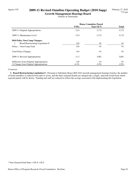### Agency 476 **2009-11 Revised Omnibus Operating Budget (2010 Supp) Growth Management Hearings Board**

(Dollars in Thousands)

|                                         | <b>House Committee Passed</b> |           |              |
|-----------------------------------------|-------------------------------|-----------|--------------|
|                                         | <b>FTEs</b>                   | Near GF-S | <b>Total</b> |
| 2009-11 Original Appropriations         | 12.0                          | 3,172     | 3,172        |
| 2009-11 Maintenance Level               | 12.0                          | 3,172     | 3,172        |
| 2010 Policy Non-Comp Changes:           |                               |           |              |
| Board Restructuring Legislation #<br>1. | $-0.8$                        | $-91$     | -91          |
| Policy -- Non-Comp Total                | $-0.8$                        | $-91$     | $-91$        |
| <b>Total Policy Changes</b>             | $-0.8$                        | $-91$     | $-91$        |
| 2009-11 Revised Appropriations          | 11.3                          | 3,081     | 3,081        |
| Difference from Original Appropriations | $-0.8$                        | $-91$     | $-91$        |
| % Change from Original Appropriations   | $-6.3\%$                      | $-2.9\%$  | $-2.9\%$     |

#### *Comments:*

 **1. Board Restructuring Legislation # -** Pursuant to Substitute House Bill 2442 (growth management hearings boards), the number of board members is reduced from nine to seven, and the three regional boards are merged into a single, statewide board from which regional panels will be drawn. Funding and staff are reduced to reflect the savings associated with implementing this legislation.

<sup>\*</sup> Near General Fund-State = GF-S + ELT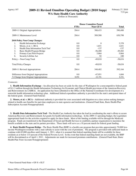# Agency 107 **2009-11 Revised Omnibus Operating Budget (2010 Supp)**

**WA State Health Care Authority** (Dollars in Thousands)

|                                          | <b>House Committee Passed</b> |                  |           |
|------------------------------------------|-------------------------------|------------------|-----------|
|                                          | <b>FTEs</b>                   | <b>Near GF-S</b> | Total     |
| 2009-11 Original Appropriations          | 284.4                         | 388,433          | 590,480   |
| 2009-11 Maintenance Level                | 284.4                         | 389,500          | 630,798   |
| <b>2010 Policy Non-Comp Changes:</b>     |                               |                  |           |
| 1.<br><b>Health Information Exchange</b> | 0.0                           | $\Omega$         | 3,370     |
| 2.<br>Moore, et al. v. HCA               | 0.0                           | 1,651            | 1,651     |
| 3.<br>Health Data Information Tech Trnf  | 0.0                           | $-137$           | $-137$    |
| 4.<br>Basic Health Program Bridge        | 0.0                           | $-56,488$        | $-49,482$ |
| 5.<br>Primary Care Pilot Projects        | 0.0                           | 5,864            | 5,864     |
| 6.<br>Security Lifeline Act              | 0.0                           | 92               | 100       |
| Policy -- Non-Comp Total                 | 0.0                           | $-49,018$        | $-38,634$ |
| <b>Total Policy Changes</b>              | 0.0                           | $-49,018$        | $-38,634$ |
| 2009-11 Revised Appropriations           | 284.4                         | 340,482          | 592,164   |
| Difference from Original Appropriations  | 0.0                           | $-47,951$        | 1,684     |
| % Change from Original Appropriations    | $0.0\%$                       | $-12.3\%$        | $0.3\%$   |

#### *Comments:*

 **1. Health Information Exchange -** An allocation has been set aside for the state of Washington for a noncompetitive federal grant of \$11.3 million through the Health Information Technology for Economic and Clinical Health provisions of the American Recovery and Reinvestment Act (ARRA). An application has been submitted to the Office of the National Coordinator for development of a statewide health information technology plan. Additional federal expenditure authority is provided for the state's anticipated share of the federal grant. (General Fund-Federal)

 **2. Moore, et al. v. HCA -** Additional authority is provided for costs associated with litigation on a class action seeking damages related to health care benefits for part-time employees in state agencies and institutions. (General Fund-State, Basic Health Plan Subscription Account-Nonappropriated)

 **3. Health Data Information Tech Trnf -** The Health Care Authority has taken the lead in coordinating the state's efforts to secure American Recovery and Reinvestment Act grants for health information technology. In the 2009-11 operating budget, the Legislature appropriated funds for the activities required to apply for these funds. Most of the funding available will be through the Medicaid program. Funds are transferred to the Department of Social and Health Services to establish a partner organization to maximize the benefit available to the state and its partner providers. These funds will serve as a 10 percent match for federal grant funding.

 **4. Basic Health Program Bridge -** The Basic Health Plan (BHP) is a health care program that provides approximately 70,000 lowincome Washington residents with a state subsidy to assist with the cost of premiums. The program is provided with sufficient funds to continue with 65,000 enrollees until January 1, 2011, when it is assumed that federal matching funds will be available for those residents at or below 133 percent of the Federal Poverty Level. In the event that federal matching funds are not available, the BHP will be discontinued as of April 1, 2011. Adjustments are made for increased premium contributions. (General Fund-State; Basic Health Plan Trust Account-Nonappropriated)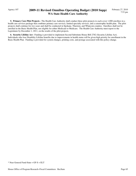# Agency 107 **2009-11 Revised Omnibus Operating Budget (2010 Supp) WA State Health Care Authority**

 **5. Primary Care Pilot Projects -** The Health Care Authority shall conduct three pilot projects to each cover 1,000 enrollees in a health care services package that combines primary care services, limited specialty services, and a catastrophic health plan. The pilot projects shall continue for two years and shall be conducted in Spokane, Thurston, and Whatcom counties. Enrollees shall not be enrolled in the Basic Health Plan, nor eligible for either Medicaid or Medicare. The Health Care Authority must report to the Legislature by December 1, 2011, on the results of the pilot projects.

 **6. Security Lifeline Act -** Funding is provided to implement Second Substitute House Bill 2782 (Security Lifeline Act). Individuals who lose Disability Lifeline benefits due to improvements in health status will be given high priority for enrollment in the Basic Health Plan. Funding is provided for system changes, printing costs, and postage associated with this policy change.

<sup>\*</sup> Near General Fund-State = GF-S + ELT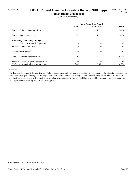# Agency 120 **2009-11 Revised Omnibus Operating Budget (2010 Supp)**

**Human Rights Commission** (Dollars in Thousands)

|                                         | <b>House Committee Passed</b> |           |              |
|-----------------------------------------|-------------------------------|-----------|--------------|
|                                         | <b>FTEs</b>                   | Near GF-S | <b>Total</b> |
| 2009-11 Original Appropriations         | 37.2                          | 5,171     | 6,470        |
| 2009-11 Maintenance Level               | 37.2                          | 5,171     | 6,470        |
| 2010 Policy Non-Comp Changes:           |                               |           |              |
| Federal Revenue & Expenditures<br>1.    | 2.0                           | $\theta$  | 297          |
| Policy -- Non-Comp Total                | 2.0                           | $\theta$  | 297          |
| <b>Total Policy Changes</b>             | 2.0                           | $\theta$  | 297          |
| 2009-11 Revised Appropriations          | 39.2                          | 5,171     | 6,767        |
| Difference from Original Appropriations | 2.0                           | $\theta$  | 297          |
| % Change from Original Appropriations   | 5.4%                          | $0.0\%$   | $4.6\%$      |

#### *Comments:*

 **1. Federal Revenue & Expenditures -** Federal expenditure authority is increased to allow the agency to hire the staff necessary to continue to investigate housing and employment discrimination claims in a timely manner in accordance with Chapter 49.60 RCW. Revenue for these activities will come from work-sharing agreements with the Equal Employment Opportunity Commission and the U.S. Department of Housing and Urban Development.

<sup>\*</sup> Near General Fund-State = GF-S + ELT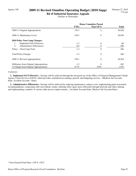# Agency 190 **2009-11 Revised Omnibus Operating Budget (2010 Supp)**

**Bd of Industrial Insurance Appeals** (Dollars in Thousands)

|                                         | <b>House Committee Passed</b> |                |              |
|-----------------------------------------|-------------------------------|----------------|--------------|
|                                         | <b>FTEs</b>                   | Near GF-S      | <b>Total</b> |
| 2009-11 Original Appropriations         | 159.3                         | $\overline{0}$ | 36,926       |
| 2009-11 Maintenance Level               | 159.3                         | $\theta$       | 36,930       |
| 2010 Policy Non-Comp Changes:           |                               |                |              |
| <b>Implement SACS Directive</b><br>1.   | $-1.2$                        | $\theta$       | -66          |
| Administrative Efficiencies<br>2.       | 0.0                           | 0              | $-300$       |
| Policy -- Non-Comp Total                | $-1.2$                        | $\theta$       | $-366$       |
| <b>Total Policy Changes</b>             | $-1.2$                        | $\theta$       | $-366$       |
| 2009-11 Revised Appropriations          | 158.1                         | $\theta$       | 36,564       |
| Difference from Original Appropriations | $-1.2$                        | $\Omega$       | $-362$       |
| % Change from Original Appropriations   | $-0.7\%$                      | $0.0\%$        | $-1.0\%$     |

#### *Comments:*

 **1. Implement SACS Directive -** Savings will be achieved through the increased use of the Office of Financial Management's Small Agency Client Services (SACS), which provides centralized accounting, payroll, and budgeting services. (Medical Aid Account - State, Accident Account - State)

 **2. Administrative Efficiencies -** Savings will be achieved by reducing maintenance contract costs, implementing print assessment recommendations, contracting with a new phone vendor, utilizing office space more efficiently through telework and office sharing, and implementing a number of various other process improvements. (Accident Account-State, Medical Aid Account-State)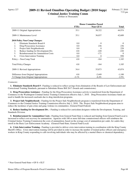### Agency 227 **2009-11 Revised Omnibus Operating Budget (2010 Supp)**

**Criminal Justice Training Comm** (Dollars in Thousands)

|                                                 | <b>House Committee Passed</b> |                  |          |
|-------------------------------------------------|-------------------------------|------------------|----------|
|                                                 | <b>FTEs</b>                   | <b>Near GF-S</b> | Total    |
| 2009-11 Original Appropriations                 | 35.1                          | 38,322           | 44,974   |
| 2009-11 Maintenance Level                       | 35.1                          | 36,037           | 42,689   |
| <b>2010 Policy Non-Comp Changes:</b>            |                               |                  |          |
| 1.<br>Eliminate Standards Board #               | 0.0                           | $-9$             | $-9$     |
| 2.<br>Drug Prosecution Assistance               | 0.0                           | 236              | 236      |
| 3.<br>Project Safe Neighborhoods                | 0.0                           | $\Omega$         | 228      |
| 4.<br>Reduce funding for Development Div.       | $-0.8$                        | $-220$           | $-220$   |
| 5.<br><b>Reimbursement for Ammunition Costs</b> | 0.0                           | $-171$           | $\Omega$ |
| 6.<br>Crisis Intervention Training              | 0.0                           | $\overline{0}$   | 950      |
| Policy -- Non-Comp Total                        | $-0.8$                        | $-164$           | 1,185    |
| <b>Total Policy Changes</b>                     | $-0.8$                        | $-164$           | 1,185    |
| 2009-11 Revised Appropriations                  | 34.4                          | 35,873           | 43,874   |
| Difference from Original Appropriations         | $-0.8$                        | $-2,449$         | $-1,100$ |
| % Change from Original Appropriations           | $-2.1\%$                      | $-6.4\%$         | $-2.5\%$ |

#### *Comments:*

 **1. Eliminate Standards Board # -** Funding is reduced to reflect savings from elimination of the Boards of Law Enforcement and Correctional Training Standards, pursuant to Substitute House Bill 2617 (boards and commissions).

 **2. Drug Prosecution Assistance -** Funding for the Drug Prosecution Assistance activity is transferred from the Department of Commerce to the Washington Criminal Justice Training Commission effective July 1, 2010. Drug Prosecution Assistance funds are used to handle the increased caseloads due to drug interdiction programs.

 **3. Project Safe Neighborhoods -** Funding for the Project Safe Neighborhoods program is transferred from the Department of Commerce to the Criminal Justice Training Commission effective July 1, 2010. The Project Safe Neighborhood program aims to reduce the incidence of gun crime and gang violence in communities. (General Fund-Federal)

**4. Reduce funding for Development Div. -** Funding is reduced for curriculum designers within the Development, Training, and Standards Division.

 **5. Reimbursement for Ammunition Costs -** Funding from General Fund-State is reduced and funding from General Fund-Local is increased to reflect cost recovery for ammunition. Agencies with 100 or more full-time commissioned officers will reimburse the Criminal Justice Training Commission the costs of ammunition, based on the average cost of ammunition per cadet, for cadets they enroll in the Basic Law Enforcement Academy. (General Fund-State, General Fund-Local)

 **6. Crisis Intervention Training -** Funding is provided to deliver crisis intervention training in coordination with the King County Sheriff's Office. Crisis intervention training will be provided in order to increase the number of trained police officers and emergency workers in King County responding to calls involving individuals who may be affected by a mental illness or chemical dependency.

<sup>\*</sup> Near General Fund-State = GF-S + ELT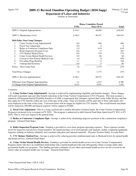# Agency 235 **2009-11 Revised Omnibus Operating Budget (2010 Supp)**

**Department of Labor and Industries** (Dollars in Thousands)

|                                              | <b>House Committee Passed</b> |           |              |
|----------------------------------------------|-------------------------------|-----------|--------------|
|                                              | <b>FTEs</b>                   | Near GF-S | <b>Total</b> |
| 2009-11 Original Appropriations              | 2,744.1                       | 48,489    | 630,563      |
| 2009-11 Maintenance Level                    | 2,744.5                       | 48,347    | 624,453      |
| <b>2010 Policy Non-Comp Changes:</b>         |                               |           |              |
| Crime Victims Comp Adjustments#<br>1.        | 0.0                           | -446      | -446         |
| 2.<br><b>Fiscal Year Adjustment</b>          | 0.0                           | $\Omega$  | $\theta$     |
| 3.<br>Reduc to Contractor Compliance Pgm     | $-1.0$                        | $-619$    | $-619$       |
| <b>Boiler Inspection Program Costs</b><br>4. | 0.0                           | $\theta$  | 381          |
| 5.<br><b>CVC Reduce Medical Fees</b>         | 0.0                           | $-774$    | $-774$       |
| 6.<br>Crime Victim Mental Health Services    | 0.0                           | 66        | 66           |
| 7.<br>Convert to New Federal Medical Code    | 1.6                           | 0         | 878          |
| 8.<br>Prevailing Wage Backlog                | 1.1                           | 0         | 148          |
| 9.<br>Underground Economy                    | 0.0                           | 0         | 96           |
| Policy -- Non-Comp Total                     | 1.6                           | $-1,773$  | $-270$       |
| <b>Total Policy Changes</b>                  | 1.6                           | $-1,773$  | $-270$       |
| 2009-11 Revised Appropriations               | 2,746.1                       | 46,574    | 624,183      |
| Difference from Original Appropriations      | 2.1                           | $-1,915$  | $-6,380$     |
| % Change from Original Appropriations        | $0.1\%$                       | $-4.0\%$  | $-1.0\%$     |

#### *Comments:*

 **1. Crime Victims Comp Adjustments# -** Savings is achieved by implementing eligibility and benefits changes. These changes will result in payment caps and other benefit reductions in the Crime Victims Compensation (CVC) Program. This item assumes a reduction of Permanent Partial Disability benefits to \$7,000, a requirement that claimants reported their crime within 90 days and that they apply for CVC benefits within one year of the date of the crime. Time loss benefits will be paid only to those individuals who were employed at the time of the crime. Convicted felons will no longer be eligible for CVC benefits. The overall benefit maximum will be reduced to \$50,000 and funeral expenses will be capped at \$5,000.

 **2. Fiscal Year Adjustment -** Due to a rising caseload and a smaller allocation of federal funds, the Crime Victims Compensation Program is projected to be overspent in FY 2010. The program is authorized to shift General Fund-State funds from FY 2011 to FY 2010. This is a net zero impact to the general fund.

 **3. Reduc to Contractor Compliance Pgm -** Savings is achieved by eliminating inspector positions in the construction compliance program. (General Fund-State)

 **4. Boiler Inspection Program Costs -** Funding is provided to cover basic program operating expenses. These expenses include travel for inspectors and advisory board members, the annual purchase of revised national code manuals, mobile computing equipment, inspector training on industry standards, and consumer education and outreach materials. (Pressure Systems Safety Account-State)

**5. CVC Reduce Medical Fees -** Savings is achieved by reducing provider reimbursement rates to Medicaid levels for mental health and dental services. (General Fund-State)

 **6. Crime Victim Mental Health Services -** Funding is provided for mental health services for Crime Victims' Compensation Program clients who have an established relationship with a mental health provider and subsequently obtain coverage under other government health care programs. This funding provides continuity of care when such mental health services are not covered by the client's other government health care coverage. (General Fund-State)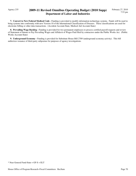## Agency 235 **2009-11 Revised Omnibus Operating Budget (2010 Supp) Department of Labor and Industries**

 **7. Convert to New Federal Medical Code -** Funding is provided to modify information technology systems. Funds will be used to bring systems into conformity with new Version 10 of the International Classification of Diseases. These classifications are used for electronic billing or other data transactions. (Accident Account-State, Medical Aid Account-State)

**8. Prevailing Wage Backlog -** Funding is provided for two permanent employees to process certified payroll requests and review of Statement of Intents to Pay Prevailing Wages and Affidavit of Wages Paid filed by contractors under the Public Works Act. (Public Works Account-State)

 **9. Underground Economy -** Funding is provided for Substitute House Bill 2789 (underground economy activity). This bill authorizes issuance of third-party subpoenas for purposes of agency investigations.

\* Near General Fund-State = GF-S + ELT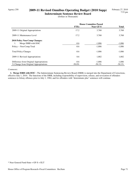### Agency 250 **2009-11 Revised Omnibus Operating Budget (2010 Supp) Indeterminate Sentence Review Board**

(Dollars in Thousands)

|                                         | <b>House Committee Passed</b> |           |              |
|-----------------------------------------|-------------------------------|-----------|--------------|
|                                         | <b>FTEs</b>                   | Near GF-S | <b>Total</b> |
| 2009-11 Original Appropriations         | 17.2                          | 3,768     | 3,768        |
| 2009-11 Maintenance Level               | 17.2                          | 3,768     | 3,768        |
| <b>2010 Policy Non-Comp Changes:</b>    |                               |           |              |
| Merge ISRB with DOC<br>1.               | $-8.6$                        | $-1,886$  | $-1,886$     |
| Policy -- Non-Comp Total                | $-8.6$                        | $-1,886$  | $-1,886$     |
| <b>Total Policy Changes</b>             | $-8.6$                        | $-1,886$  | $-1,886$     |
| 2009-11 Revised Appropriations          | 8.6                           | 1,882     | 1,882        |
| Difference from Original Appropriations | $-8.6$                        | $-1,886$  | $-1,886$     |
| % Change from Original Appropriations   | $-50.0\%$                     | $-50.1\%$ | $-50.1\%$    |

#### *Comments:*

 **1. Merge ISRB with DOC -** The Indeterminate Sentencing Review Board (ISRB) is merged into the Department of Corrections, effective July 1, 2010. The functions of the ISRB, including responsibility of supervision, release, and revocation of offenders sentences to felony offenses prior to July 1, 1984, and for offenders with "determinate plus" sentences will continue.

<sup>\*</sup> Near General Fund-State = GF-S + ELT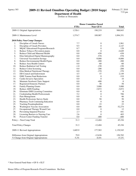## Agency 303 **2009-11 Revised Omnibus Operating Budget (2010 Supp)**

**Department of Health**

(Dollars in Thousands)

|     |                                           |             | <b>House Committee Passed</b> |                  |
|-----|-------------------------------------------|-------------|-------------------------------|------------------|
|     |                                           | <b>FTEs</b> | <b>Near GF-S</b>              | <b>Total</b>     |
|     | 2009-11 Original Appropriations           | 1,526.1     | 190,219                       | 988,843          |
|     | 2009-11 Maintenance Level                 | 1,574.7     | 189,987                       | 1,094,351        |
|     | 2010 Policy Non-Comp Changes:             |             |                               |                  |
| 1.  | Discipline of Unsafe Nurses               | 7.7         | $\boldsymbol{0}$              | 1,961            |
| 2.  | Discipline of Unsafe Providers            | 9.5         | $\boldsymbol{0}$              | 2,147            |
| 3.  | MQAC Educational Programs/Research        | 0.7         | $\boldsymbol{0}$              | 128              |
| 4.  | Reduce Tobacco Prevention prgms           | 0.0         | $\boldsymbol{0}$              | $-2,649$         |
| 5.  | Reduce Child and Maternal Health          | 0.0         | -438                          | $-438$           |
| 6.  | Elim Subsidized Digital Mammography       | 0.0         | $-578$                        | $-578$           |
| 7.  | <b>Universal Vaccination Savings</b>      | 0.0         | $-9,000$                      | $-9,000$         |
| 8.  | Reduce Environmental Health Prgms         | 0.0         | $-200$                        | $-200$           |
| 9.  | Reduce Area Health Centers                | 0.0         | $-60$                         | $-60$            |
| 10. | <b>Reduce Radiation Lab Testing</b>       | $-1.0$      | $-150$                        | $-150$           |
| 11. | Reduce Colon Screening                    | 0.0         | $-208$                        | $-208$           |
| 12. | Elim Medical Nutritional Therapy          | 0.0         | $-370$                        | $-370$           |
| 13. | DD Council and Endowment                  | 4.5         | 57                            | 2,149            |
| 14. | <b>EMS</b> Trauma Fund Reductions         | 0.0         | $\boldsymbol{0}$              | $-319$           |
| 15. | Cardio Invasive Specialists               | 0.0         | $\overline{0}$                | 10               |
| 16. | Maintain Newborn Clinic Support           | 0.0         | $-408$                        | $\boldsymbol{0}$ |
| 17. | <b>Registered Domestic Partners</b>       | 0.0         | 58                            | 58               |
| 18. | <b>Family Planning Grants</b>             | 0.0         | 3,000                         | 3,000            |
| 19. | Reduce AIDS Funding                       | 0.0         | $-3,872$                      | $-3,872$         |
| 20. | Eliminate EMS Licensing Committee         | 0.0         | -8                            | -8               |
| 21. | <b>Credentialing Health Professionals</b> | 5.2         | $\boldsymbol{0}$              | 706              |
| 22. | Pain Management                           | 0.0         | $\theta$                      | 66               |
| 23. | Health Professions Survey Study           | 0.0         | 50                            | 50               |
| 24. | Pharmacy Tech Continuing Education        | 0.0         | $\boldsymbol{0}$              | 18               |
| 25. | Tracking Pseudoephedrine                  | 0.0         | 23                            | 23               |
| 26. | <b>Washington Vaccine Association</b>     | 0.0         | 100                           | 52,274           |
| 27. | Occupational Therapy Wound Care           | 0.0         | $\boldsymbol{0}$              | 12               |
| 28. | Preventing Impaired Practice              | 2.3         | $\boldsymbol{0}$              | 441              |
| 29. | Licensing Barriers to Nursing Care        | 2.6         | $\theta$                      | 403              |
| 30. | Poison Center Funding Transfer            | 0.0         | -400                          | $-400$           |
|     | Policy -- Non-Comp Total                  | 31.3        | $-12,404$                     | 45,194           |
|     | <b>Total Policy Changes</b>               | 31.3        | $-12,404$                     | 45,194           |
|     | 2009-11 Revised Appropriations            | 1,605.9     | 177,583                       | 1,139,545        |
|     | Difference from Original Appropriations   | 79.9        | $-12,636$                     | 150,702          |
|     | % Change from Original Appropriations     | 5.2%        | $-6.6%$                       | 15.2%            |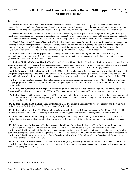## Agency 303 **2009-11 Revised Omnibus Operating Budget (2010 Supp) Department of Health**

#### *Comments:*

 **1. Discipline of Unsafe Nurses -** The Nursing Care Quality Assurance Commission (NCQAC) takes legal action on nurses' licenses, based on complaints of unprofessional conduct as investigated and prosecuted. Additional expenditure authority is provided for increased investigators, legal staff, and health law judges to address the backlog of cases. (Health Professions Account-State)

 **2. Discipline of Unsafe Providers -** The Secretary of Health takes legal action against health care providers in approximately 70 health professions, based on complaints of unprofessional conduct both investigated and prosecuted. Additional expenditure authority is provided for increased investigators, legal staff, and health law judges to meet workload needs. (Health Professions Account-State)

 **3. MQAC Educational Programs/Research -** The Medical Quality Assurance Commission is statutorily mandated to compare its licensing and disciplinary performance to other health care boards and commissions in Washington State while participating in an ongoing pilot project. Additional expenditure authority is provided to report progress and outcomes to the Governor and the Legislature in both annual reports as well as a comparative report by December 2013. (Health Profession Account-State)

 **4. Reduce Tobacco Prevention prgms -** Tobacco usage prevention and treatment programs are reduced as of July 1, 2010. The state will continue to operate the Quit-Line, and focus on disparities in treatment for those most at risk of engaging in tobacco usage. (Tobacco Prevention and Control Account-State)

 **5. Reduce Child and Maternal Health -** The Child and Maternal Health Division (Division) will achieve program savings through efficiencies gained by reorganizing division responsibilities. The Division works to prevent disease and outbreaks, educate individuals regarding potentially dangerous behaviors, and facilitate access to care and health services for specific populations.

 **6. Elim Subsidized Digital Mammography -** In the 2008 supplemental operating budget, funds were provided to reimburse health care providers participating in the Breast and Cervical Health Program for digital mammography services at the Medicare rate. The state will no longer subsidize the cost differential between digital mammography and traditional screening methods as of July 1, 2010.

 **7. Universal Vaccination Savings -** The state's Universal Vaccination Program is discontinued as of May 1, 2010. Due to trend changes, projected vaccination costs, and revised purchasing strategies, the program will save an additional \$9.0 million prior to its discontinuation.

**8. Reduce Environmental Health Prgms -** Competitive grants to local health jurisdictions for upgrading and enhancing On Site Sewage (OSS) databases are eliminated for FY 2010. These systems are used to monitor OSS within marine recovery areas.

 **9. Reduce Area Health Centers -** Area Health Education Centers (AHECs) are organizations that work on the regional recruitment and retention of health care providers, especially in underserved areas. Contracts with Washington's two AHECs are reduced by 10 percent as of July 1, 2010.

 **10. Reduce Radiation Lab Testing -** Capacity for testing at the Public Health Laboratory to support state laws and the regulation of medical radiation facilities is reduced for the remainder of the biennium.

 **11. Reduce Colon Screening -** The 2008 supplemental operating budget provided funds to expand the Washington Colon Health Program (Program). The 2009-11 operating budget reduced the Program by 80 percent. The Program is discontinued in FY 2011.

 **12. Elim Medical Nutritional Therapy -** The Department provides funding to the Lifelong AIDS Alliance to conduct medical nutrition therapy for financially and medically qualified clients. Support for nutritional therapy services is eliminated as of January 1, 2010.

 **13. DD Council and Endowment -** The Developmental Disabilities Council and Endowment Trust Fund are transferred from the Department of Commerce to the Department of Health. The Developmental Disabilities Council works with people with developmental disabilities and their families to promote a comprehensive system of services, and serve as an advocate and a planning body for Washington's citizens with developmental disabilities. The Endowment Trust Fund works with families and individuals with developmental disabilities to prepare for their future financial stability. (General Fund-State, General Fund-Federal, Community and Economic Development Fee Account-State)

 **14. EMS Trauma Fund Reductions -** The Trauma Care Fund (Fund) provides grants and reimbursement for trauma care services provided by ambulances and trauma care centers. Funding for these activities is reduced to accommodate decreased revenue into the Fund. (Emergency Medical State)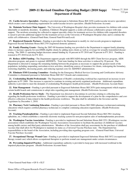## Agency 303 **2009-11 Revised Omnibus Operating Budget (2010 Supp) Department of Health**

 **15. Cardio Invasive Specialists -** Funding is provided pursuant to Substitute House Bill 2430 (cardiovascular invasive specialists) which creates a new credentialing requirement for cardiovascular invasive specialists. (Health Professions Account)

 **16. Maintain Newborn Clinic Support -** The University of Washington Hospital clinic provides treatments for children with certain inheritable or metabolic disorders. In addition, Children's Hospital supports a sickle cell disease collaborative project with state support. The newborn screening fee collected to support specialty clinics for treatment services for children with congenital disorders is raised to provide additional support for the treatment services at the University of Washington Hospital clinic and to continue the sickle cell collaborative. (General Fund-State; General Fund-Private/Local)

 **17. Registered Domestic Partners -** Funding is provided to the Department to modify its vital records program to implement Engrossed Second Substitute House Bill 2793 (registered domestic partners).

 **18. Family Planning Grants -** During the 2007-09 biennium funding was provided to the Department to support family planning clinics to increase capacity for non-DSHS eligible clients by adding more clients as well as coverage for sexually-transmitted disease testing. The 2009-11 operating budget decreases annual funding by 10 percent in FY 2010 and 70 percent in FY 2011. Funding is restored to FY 2010 levels for FY 2011.

 **19. Reduce AIDS Funding -** The Department supports people with HIV/AIDS through the HIV Client Services program, AIDS education program, and grants to regional AIDSNETs. Total state funding for these activities is reduced by 20 percent. The Department is directed to manage the remaining funding between the programs as necessary to support the greatest needs of the population, including suspending curriculum review activities, identifying sources of insurance for clients, redesigning the formulary, restricting eligibility, decreasing grants, and reducing regional costs for AIDSNET administration.

 **20. Eliminate EMS Licensing Committee -** Funding for the Emergency Medical Services Licensing and Certification Advisory Committee is eliminated pursuant to Substitute House Bill 2617 (boards and commissions).

 **21. Credentialing Health Professionals -** The Department of Health's credentialing workload has experienced an increase in new applicants in FY 2009. This increase is expected to continue in existing and newly regulated professions. Additional expenditure authority is provided to meet the demands of credentialing Washington's health professionals. (Health Professions Account-State)

 **22. Pain Management -** Funding is provided pursuant to Engrossed Substitute House Bill 2876 (pain management) which requires certain health boards and commissions to adopt rules regarding pain management. (Health Professions Account)

 **23. Health Professions Survey Study -** The Department was directed to discontinue its activities relating to collecting data regarding the health professions workforce. Funding is provided to support the development of a plan for the comprehensive and costeffective collection of data related to the health professions workforce. The plan shall be submitted to the Governor and the Legislature by December 1, 2010.

 **24. Pharmacy Tech Continuing Education -** Funding is provided pursuant to House Bill 2888 (pharmacy technicians/continuing education) which requires certified pharmacy technicians to complete continuing education requirements. (Health Professions Account)

 **25. Tracking Pseudoephedrine -** Funding is provided to implement Engrossed Second Substitute House Bill 2961 (tracking ephedrine, etc.) which establishes a statewide electronic tracking system for non-prescription sales of methamphetamine precursors.

 **26. Washington Vaccine Association -** Funding is provided to implement Second Substitute House Bill 2551 (Washington vaccine association) which establishes the Washington Vaccine Association (Association) to facilitate the purchase of childhood vaccines among health carriers and third party administrators. Members of the Association shall pay assessments for the purchase of childhood vaccines that shall allow for Washington to maintain its status as a Universal Vaccine Purchase state. The Department has responsibilities to the board of the Association, including providing data regarding program costs. (General Fund-State; Universal Vaccine Purchase Account)

 **27. Occupational Therapy Wound Care -** Funding is provided to implement Engrossed Substitute House Bill 3072 (occupational therapy wound care) which allows occupational therapists to perform wound care management under certain circumstances.

 **28. Preventing Impaired Practice -** Additional expenditure authority is provided to keep pace with increased workload in the impaired physicians program. (Health Professions Account-State)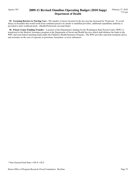## Agency 303 **2009-11 Revised Omnibus Operating Budget (2010 Supp) Department of Health**

**29. Licensing Barriers to Nursing Care -** The number of nurses licensed in the last year has increased by 30 percent. To avoid delays in discipline that would result from continued practice by unsafe or unskilled providers, additional expenditure authority is provided to meet workload needs. (Health Professions Account-State)

 **30. Poison Center Funding Transfer -** A portion of the Department's funding for the Washington State Poison Center (WPC) is transferred to the Medical Assistance program at the Department of Social and Health Services which shall disburse the funds to the WPC and seek federal matching funds under the Children's Health Insurance Program. The WPC provides statewide treatment advice and assistance in the case of exposure to poisonous, hazardous, or toxic substances.

\* Near General Fund-State = GF-S + ELT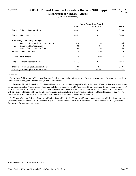## Agency 305 **2009-11 Revised Omnibus Operating Budget (2010 Supp)**

**Department of Veterans' Affairs** (Dollars in Thousands)

|                                           | <b>House Committee Passed</b> |                  |              |
|-------------------------------------------|-------------------------------|------------------|--------------|
|                                           | <b>FTEs</b>                   | <b>Near GF-S</b> | <b>Total</b> |
| 2009-11 Original Appropriations           | 683.3                         | 20,123           | 110,239      |
| 2009-11 Maintenance Level                 | 684.3                         | 20,125           | 113,090      |
| <b>2010 Policy Non-Comp Changes:</b>      |                               |                  |              |
| Savings & Revenue in Veterans Homes<br>1. | $-1.0$                        | $-396$           | $-396$       |
| <b>Stimulus FMAP Extension</b><br>2.      | 0.0                           | $-484$           | $\Omega$     |
| 3.<br>Veteran Service Officers Contract   | 0.0                           | 0                | 250          |
| Policy -- Non-Comp Total                  | $-1.0$                        | $-880$           | $-146$       |
| <b>Total Policy Changes</b>               | $-1.0$                        | $-880$           | -146         |
| 2009-11 Revised Appropriations            | 683.3                         | 19,245           | 112,944      |
| Difference from Original Appropriations   | 0.0                           | $-878$           | 2,705        |
| % Change from Original Appropriations     | $0.0\%$                       | $-4.4\%$         | $2.5\%$      |

#### *Comments:*

 **1. Savings & Revenue in Veterans Homes -** Funding is reduced to reflect savings from revising contracts for goods and services in the skilled nursing facilities at Orting, Retsil, and Spokane.

 **2. Stimulus FMAP Extension -** The Federal Medical Assistance Percentage (FMAP) is the share of Medicaid costs that the federal government provides. The American Recovery and Reinvestment Act of 2009 increased FMAP by almost 13 percentage points for FY 2010 and the first six months of FY 2011. The Legislature anticipates that the FMAP increase from 50.00 percent to 62.94 percent will be extended for six additional months through June 2011, resulting in a reduction in state expenditures for services that receive Medicaid Title XIX and Title VI-E federal match. (General Fund-State, General Fund-Federal)

 **3. Veteran Service Officers Contract -** Funding is provided for the Veterans Affairs to contract with six additional veteran service officers to be located at the DSHS Community Service Offices to assist veterans in obtaining federal veterans benefits. (Veterans Innovations Program Account-State)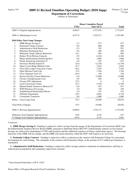## Agency 310 **2009-11 Revised Omnibus Operating Budget (2010 Supp)**

**Department of Corrections**

(Dollars in Thousands)

|     |                                           |             | <b>House Committee Passed</b> |              |
|-----|-------------------------------------------|-------------|-------------------------------|--------------|
|     |                                           | <b>FTEs</b> | <b>Near GF-S</b>              | <b>Total</b> |
|     | 2009-11 Original Appropriations           | 8,949.5     | 1,573,978                     | 1,773,657    |
|     | 2009-11 Maintenance Level                 | 8,977.9     | 1,595,571                     | 1,793,580    |
|     | 2010 Policy Non-Comp Changes:             |             |                               |              |
| 1.  | ISRB Merger Savings #                     | $-3.3$      | $-577$                        | $-577$       |
| 2.  | Peninsula College Contract                | 0.0         | $-400$                        | $-400$       |
| 3.  | <b>Administrative Staff Reductions</b>    | $-5.5$      | $-783$                        | $-783$       |
| 4.  | <b>Eliminate Purchasing Fees</b>          | 0.0         | $-366$                        | $-366$       |
| 5.  | Minimum Camp Capacity Reduction           | $-14.1$     | $-944$                        | $-944$       |
| 6.  | <b>Reduce Work Release Capacity</b>       | 0.0         | $-4,166$                      | $-4,166$     |
| 7.  | Merge Indeterminate Sentencing Revi       | 8.6         | 1,886                         | 1,886        |
| 8.  | Parent Sentencing Alternative #           | $-2.8$      | $-225$                        | $-225$       |
| 9.  | Downsize McNeil Island CC                 | $-42.0$     | $-12,748$                     | $-12,748$    |
| 10. | Open Coyote Ridge Medium Units            | 81.7        | $-1,042$                      | $-1,042$     |
| 11. | Close Pine Lodge Corrections Center       | $-40.2$     | $-7,202$                      | $-7,202$     |
| 12. | Open Mission Creek Unit                   | 15.5        | 1,764                         | 1,764        |
| 13. | Close Ahtanum View CC                     | $-65.0$     | 196                           | 196          |
| 14. | <b>Restore Facility Closure Reduction</b> | 0.0         | 12,000                        | 12,000       |
| 15. | Closure Unemployment Costs                | $0.0\,$     | 658                           | 658          |
| 16. | <b>Closure FTE Adjustment</b>             | 25.5        | $\overline{0}$                | $\mathbf{0}$ |
| 17. | <b>Larch Corrections Center</b>           | $-23.3$     | $-3,789$                      | $-3,789$     |
| 18. | Mental Health Transfer to Monroe CC       | 0.0         | 953                           | 953          |
| 19. | <b>WSP Pharmacy Processing</b>            | 2.0         | 250                           | 250          |
| 20. | Neighborhood Partnership Officers         | 2.0         | 197                           | 197          |
| 21. | <b>Offender Deportation</b>               | $-18.5$     | $-4,062$                      | $-4,738$     |
| 22. | <b>Community Transition</b>               | 0.0         | $-1,000$                      | $-1,000$     |
|     | Policy -- Non-Comp Total                  | $-79.3$     | $-19,400$                     | $-20,076$    |
|     | <b>Total Policy Changes</b>               | $-79.3$     | $-19,400$                     | $-20,076$    |
|     | 2009-11 Revised Appropriations            | 8,898.6     | 1,576,171                     | 1,773,504    |
|     | Difference from Original Appropriations   | $-50.9$     | 2,193                         | $-153$       |
|     | % Change from Original Appropriations     | $-0.6%$     | 0.1%                          | $0.0\%$      |

#### *Comments:*

 **1. ISRB Merger Savings # -** Funding is reduced to reflect savings form the merger of the Department of Corrections (DOC) and the Indeterminate Sentence Review Board (ISRB), pursuant to Substitute House Bill 2957 (indeterminate sentence review board). Savings are achieved by eliminating 6.5 FTE staff positions and the additional expenses of being a stand-alone agency. The hearings functions of the ISRB will not change, and the ISRB will retain autonomy within the DOC with respect to its decisions.

 **2. Peninsula College Contract -** Funding is reduced to reflect a reduction in the contract with Peninsula College for curriculum development for staff training. The remainder of the contract with Peninsula College, in the amount of \$1.2 million per biennium, is maintained.

 **3. Administrative Staff Reductions -** Funding is reduced to reflect savings related to reductions in administrative staff due to reduced prison population and community supervision caseload.

\* Near General Fund-State = GF-S + ELT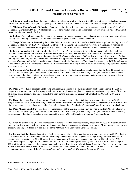## Agency 310 **2009-11 Revised Omnibus Operating Budget (2010 Supp) Department of Corrections**

 **4. Eliminate Purchasing Fees -** Funding is reduced to reflect savings from allowing the DOC to contract for medical supplies and uniforms so that administrative purchasing fees paid to the Department of General Administration will no longer need to be paid.

**5. Minimum Camp Capacity Reduction -** Funding is reduced to reflect a decrease in the operating capacity at the Cedar Creek Corrections Center from 500 to 480 offenders in order to achieve staff efficiencies and savings. Twenty offenders will be transferred to another minimum security facility.

 **6. Reduce Work Release Capacity -** Funding was received to finance the acquisition and construction of additional work release capacity. This funding is reduced as additional work release capacity is not needed this biennium.

 **7. Merge Indeterminate Sentencing Revi -** The Indeterminate Sentencing Review Board (ISRB) is merged into the Department of Corrections, effective July 1, 2010. The functions of the ISRB, including responsibility of supervision, release, and revocation of offenders sentences to felony offenses prior to July 1, 1984, and for offenders with "determinate plus" sentences will continue.

 **8. Parent Sentencing Alternative # -** Funding is reduced to reflect the creation of alternatives to incarceration for nonviolent offenders with minor children, pursuant to Second Substitute House Bill 3045 (confinement alternatives). The savings from this change are a reduction in the average daily population of 82 offenders, allowing the DOC to close a prison unit at a women's facility. Funding for community supervision is increased because of supplemental services that will be provided to offenders in lieu of a prison sentence. Caseload funding is increased for Medical Assistance in the Department of Social and Health Services (DSHS), and funding is provided to Children's Administration in the DSHS for the costs of providing reports to courts on offenders being considered for the sentencing alternative.

 **9. Downsize McNeil Island CC -** The final recommendations of the facilities closure study directed in the 2009-11 budget were used as a base for developing a facilities closure implementation plan which generates savings through more efficient use of existing prison capacity. Funding is reduced to reflect the conversion of McNeil Island Corrections Center into a minimum security facility and will reduce the inmate population from 1,249 to 512.

 **10. Open Coyote Ridge Medium Units -** The final recommendations of the facilities closure study directed in the the 2009-11 budget were used as a base for developing a facilities closure implementation plan which generates savings through more efficient use of existing prison capacity. Funding is provided to open units to maximize the capacity of Coyote Ridge Corrections Center in Connell.

 **11. Close Pine Lodge Corrections Center -** The final recommendations of the facilities closure study directed in the 2009-11 budget were used as a base for developing a facilities closure implementation plan which generates savings through more efficient use of existing prison capacity. Funding is reduced to reflect closure of the Pine Lodge Corrections Center for Women in Medical Lake.

**12. Open Mission Creek Unit -** The final recommendations of the facilities closure study directed in the the 2009-11 budget were used as a base for developing a facilities closure implementation plan which generates savings through more efficient use of existing prison capacity. Funding is provided to open a unit at the Mission Creek Corrections Center for Women in Belfair.

 **13. Close Ahtanum View CC -** The final recommendations of the facilities closure study directed in the 2009-11 budget were used as a base for developing a facilities closure implementation plan which generates savings through more efficient use of existing prison capacity. Funding is reduced to reflect closure of the Ahtanum View Corrections Center in Yakima.

 **14. Restore Facility Closure Reduction -** The final recommendations of the facilities closure study directed in the 2009-11 budget were used as a base for developing a facilities closure implementation plan which generates savings through more efficient use of existing prison capacity. The 2009-11 budget for the Department of Corrections included a reduction of \$12 million for FY 2011 based on anticipated savings from implementation of a closure plan. Funding is reduced by a total of \$24.9 million (net savings of \$12.9 million) for the elements of the closure plan, including the downsizing of McNeil Island Corrections Center, closure of Ahtanum View Corrections Center, Closure of Pine Lodge Corrections Center, closure of a unit at the Larch Corrections Center, and the activation of units at Coyote Ridge Corrections Center and at Mission Creek Corrections Center for Women.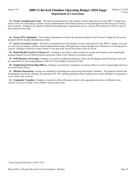## Agency 310 **2009-11 Revised Omnibus Operating Budget (2010 Supp) Department of Corrections**

 **15. Closure Unemployment Costs -** The final recommendations of the facilities closure study directed in the 2009-11 budget were used as a base for developing a facilities closure implementation plan which generates savings through more efficient use of existing prison capacity. Funding is provided for additional unemployment compensation costs as a result of the reduction of FTEs as part of the proposed closure plan.

 **16. Closure FTE Adjustment -** This technical adjustment reconciles the amounts included in the Governor's budget for the closure proposal with the backup information provided.

**17. Larch Corrections Center -** The final recommendations of the facilities closure study directed in the 2009-11 budget were used as a base for developing a facilities closure implementation plan which generates savings through more efficient use of existing prison capacity. Funding is reduced to reflect closure of one unit at the Larch Corrections Center in Yacolt.

 **18. Mental Health Transfer to Monroe CC -** Funding is provided to reflect transfer of custody staff related to the mental health program transfer from the McNeil Island Corrections Center to the Monroe Corrections Center.

 **19. WSP Pharmacy Processing -** Funding is provided for additional pharmacy staff at the Washington State Penitentiary who will be responsible for processing pharmacy orders for Coyote Ridge Corrections Center.

 **20. Neighborhood Partnership Officers -** Funding is provided for community corrections officers to work in partnership with local law enforcement officers.

 **21. Offender Deportation -** Savings are attributed to deporting non-citizen drug and property offenders. The proposal assumes that all qualifying non-citizen offenders are deported in FY 2011 and that qualifying newly-sentenced non-citizen offenders are deported as soon as they come to prison.

 **22. Community Transition -** Funding is reduced to reflect efficiencies related to the appropriate transition of offenders from custody as close as possible to the offender's earned release date.

<sup>\*</sup> Near General Fund-State = GF-S + ELT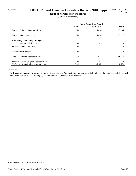## Agency 315 **2009-11 Revised Omnibus Operating Budget (2010 Supp)**

**Dept of Services for the Blind** (Dollars in Thousands)

|                                             | <b>House Committee Passed</b> |           |              |
|---------------------------------------------|-------------------------------|-----------|--------------|
|                                             | <b>FTEs</b>                   | Near GF-S | <b>Total</b> |
| 2009-11 Original Appropriations             | 75.0                          | 5,094     | 25,105       |
| 2009-11 Maintenance Level                   | 75.0                          | 5,094     | 25,117       |
| 2010 Policy Non-Comp Changes:               |                               |           |              |
| Increased Federal Revenue<br>$\mathbf{1}$ . | 0.0                           | $-81$     | $\Omega$     |
| Policy -- Non-Comp Total                    | 0.0                           | $-81$     | $\Omega$     |
| <b>Total Policy Changes</b>                 | 0.0                           | $-81$     | $\Omega$     |
| 2009-11 Revised Appropriations              | 75.0                          | 5,013     | 25,117       |
| Difference from Original Appropriations     | 0.0                           | $-81$     | 12           |
| % Change from Original Appropriations       | $0.0\%$                       | $-1.6\%$  | $0.1\%$      |

#### *Comments:*

 **1. Increased Federal Revenue -** Increased Social Security Administration reimbursements for clients who have successfully gained employment will offset state funding. (General Fund-State, General Fund-Federal)

\* Near General Fund-State = GF-S + ELT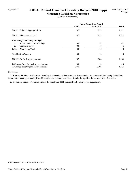## Agency 325 **2009-11 Revised Omnibus Operating Budget (2010 Supp)**

**Sentencing Guidelines Commission** (Dollars in Thousands)

|                                         | <b>House Committee Passed</b> |           |              |
|-----------------------------------------|-------------------------------|-----------|--------------|
|                                         | <b>FTEs</b>                   | Near GF-S | <b>Total</b> |
| 2009-11 Original Appropriations         | 8.7                           | 1,922     | 1,922        |
| 2009-11 Maintenance Level               | 8.7                           | 1,922     | 1,922        |
| <b>2010 Policy Non-Comp Changes:</b>    |                               |           |              |
| Reduce Number of Meetings<br>1.         | 0.0                           | $-12$     | $-12$        |
| 2.<br><b>Technical Error</b>            | 0.0                           | -6        | -6           |
| Policy -- Non-Comp Total                | 0.0                           | $-18$     | $-18$        |
| <b>Total Policy Changes</b>             | 0.0                           | $-18$     | $-18$        |
| 2009-11 Revised Appropriations          | 8.7                           | 1,904     | 1,904        |
| Difference from Original Appropriations | 0.0                           | $-18$     | $-18$        |
| % Change from Original Appropriations   | $0.0\%$                       | $-0.9\%$  | $-0.9\%$     |

#### *Comments:*

 **1. Reduce Number of Meetings -** Funding is reduced to reflect a savings from reducing the number of Sentencing Guidelines Commission meetings annually from 10 to eight and the number of Sex Offender Policy Board meetings from 12 to eight.

 **2. Technical Error -** Technical error in the fiscal year 2011 General Fund-- State for the department.

<sup>\*</sup> Near General Fund-State = GF-S + ELT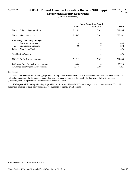## Agency 540 **2009-11 Revised Omnibus Operating Budget (2010 Supp)**

**Employment Security Department** (Dollars in Thousands)

|                                         | <b>House Committee Passed</b> |                  |              |
|-----------------------------------------|-------------------------------|------------------|--------------|
|                                         | <b>FTEs</b>                   | <b>Near GF-S</b> | <b>Total</b> |
| 2009-11 Original Appropriations         | 2,324.5                       | 7,107            | 731,885      |
| 2009-11 Maintenance Level               | 2,569.7                       | 7,107            | 763,932      |
| 2010 Policy Non-Comp Changes:           |                               |                  |              |
| Tax Administration #                    | 1.4                           | $\theta$         | 444          |
| 2.<br>Underground Economy               | 0.0                           | 0                | 232          |
| Policy -- Non-Comp Total                | 1.4                           | $\theta$         | 676          |
| <b>Total Policy Changes</b>             | 1.4                           | $\theta$         | 676          |
| 2009-11 Revised Appropriations          | 2,571.1                       | 7.107            | 764,608      |
| Difference from Original Appropriations | 246.6                         | $\Omega$         | 32,723       |
| % Change from Original Appropriations   | $10.6\%$                      | $0.0\%$          | $4.5\%$      |

#### *Comments:*

 **1. Tax Administration # -** Funding is provided to implement Substitute House Bill 2648 (unemployment insurance rates). This bill makes changes in the delinquency unemployment insurance tax rate and the penalty for knowingly failing to register. (Unemployment Compensation Administration Account-Federal)

 **2. Underground Economy -** Funding is provided for Substitute House Bill 2789 (underground economy activity). This bill authorizes issuance of third-party subpoenas for purposes of agency investigations.

\* Near General Fund-State = GF-S + ELT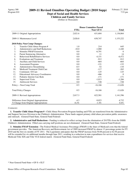#### **Dept of Social and Health Services Children and Family Services**

(Dollars in Thousands)

|     |                                            | <b>House Committee Passed</b> |                  |                |
|-----|--------------------------------------------|-------------------------------|------------------|----------------|
|     |                                            | <b>FTEs</b>                   | <b>Near GF-S</b> | <b>Total</b>   |
|     | 2009-11 Original Appropriations            | 2,821.6                       | 631,604          | 1,136,864      |
|     | 2009-11 Maintenance Level                  | 2,826.8                       | 638,747          | 1,153,222      |
|     | 2010 Policy Non-Comp Changes:              |                               |                  |                |
| 1.  | Transfer Child Abuse Program #             | 1.0                           | 214              | 645            |
| 2.  | <b>Administrative and Staff Reductions</b> | $-10.0$                       | $-1,080$         | $-1,440$       |
| 3.  | <b>Stimulus FMAP Extension</b>             | 0.0                           | $-6,791$         | $\overline{0}$ |
| 4.  | <b>Parent Sentencing Alternative</b>       | 0.0                           | 11               | 14             |
| 5.  | <b>Behavioral Rehabilitative Services</b>  | 0.0                           | $-4,151$         | $-6,472$       |
| 6.  | <b>Evaluations and Treatment</b>           | 0.0                           | $-912$           | $-912$         |
| 7.  | Ancillary and Child Services               | 0.0                           | $-664$           | $-664$         |
| 8.  | <b>Assessment Programs</b>                 | 0.0                           | $-121$           | $-132$         |
| 9.  | <b>Administrative Streamlining</b>         | $-0.5$                        | $-52$            | $-110$         |
| 10. | Medicaid Treatment Child Care              | 0.0                           | $-117$           | $-265$         |
| 11. | Continuum Of Care                          | 0.0                           | $-125$           | $-125$         |
| 12. | <b>Educational Advocacy Coordinators</b>   | 0.0                           | $-466$           | $\overline{0}$ |
| 13. | Pediatric Interim Care Beds                | 0.0                           | $-171$           | $-171$         |
| 14. | <b>Supervised Visits</b>                   | 0.0                           | $-1,013$         | $-1,266$       |
| 15. | <b>Adolescent Services</b>                 | 0.0                           | $-728$           | $-728$         |
|     | Policy -- Non-Comp Total                   | $-9.5$                        | $-16,166$        | $-11,626$      |
|     | <b>Total Policy Changes</b>                | $-9.5$                        | $-16,166$        | $-11,626$      |
|     | 2009-11 Revised Appropriations             | 2,817.3                       | 622,581          | 1,141,596      |
|     | Difference from Original Appropriations    | $-4.3$                        | $-9,023$         | 4,732          |
|     | % Change from Original Appropriations      | $-0.2%$                       | $-1.4%$          | $0.4\%$        |

#### *Comments:*

 **1. Transfer Child Abuse Program # -** Child Abuse Prevention Program funding and FTEs are transferred from the Administrative and Support Services Division to the Children's Administration. These funds support primary child abuse prevention public awareness and outreach. (General Fund-State, General Fund-Federal)

 **2. Administrative and Staff Reductions -** Funding is reduced to reflect savings from the elimination of 20 FTEs from the DSHS Children's Administration. Filled case-carrying staff positions are not eliminated. (General Fund-State, General Fund-Federal)

 **3. Stimulus FMAP Extension -** The Federal Medical Assistance Percentage (FMAP) is the share of Medicaid costs that the federal government provides. The American Recovery and Reinvestment Act of 2009 increased FMAP by almost 13 percentage points for FY 2010 and the first six months of FY 2011. The Legislature anticipates that the FMAP increase from 50.00 percent to 62.94 percent will be extended for six additional months through June 2011, resulting in a reduction in state expenditures for services that receive Medicaid Title XIX and Title VI-E federal match. (General Fund-State, General Fund-Federal)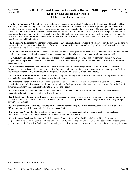## **2009-11 Revised Omnibus Operating Budget (2010 Supp) Dept of Social and Health Services Children and Family Services**

 **4. Parent Sentencing Alternative -** Caseload funding is increased for Medical Assistance in the Department of Social and Health Services (DSHS), and funding is provided to Children's Administration in the DSHS for the costs of providing reports to courts on offenders being considered for the sentencing alternative. Funding is reduced in the Department of Corrections (DOC) to reflect the creation of alternatives to incarceration for nonviolent offenders with minor children. The savings from this change is a reduction in the average daily population of 82 offenders, allowing the DOC to close a prison unit at a women's facility. Funding for community supervision is increased because of supplemental services that will be provided to offenders in lieu of a prison sentence. (General Fund-State, General Fund-Federal)

 **5. Behavioral Rehabilitative Services -** Funding for behavioral rehabilitative services (BRS) is reduced by 10 percent. To achieve this reduction, the Department will continue to focus on decreasing the length of stay and moving children to a less restrictive setting. (General Fund-State, General Fund-Federal)

 **6. Evaluations and Treatment -** Funding for neuropsychological testing and neuro-behavioral examinations for adults and children is reduced by 10 percent. Ongoing counseling, case consultation, and family or group treatment services remain available.

 **7. Ancillary and Child Services -** Funding is reduced by 10 percent to reflect savings achieved through efficiency measures adopted by the Department. These funds are utilized to cover miscellaneous expenses for those families involved with children and family services.

 **8. Assessment Programs -** Funding for the Intensive Foster Care Assessment Program (FCAP) and the Safety Assessment Programs is combined and reduced by 5 percent. The Department will redesign the program to administer the funding more flexibly and maintain the availability of the assessment programs. (General Fund-State, General Fund-Federal)

 **9. Administrative Streamlining -** Savings are achieved by streamlining administrative functions across the Department of Social and Health Services. (General Fund-State, General Fund-Federal)

 **10. Medicaid Treatment Child Care -** Funding is reduced by 5 percent for Medicaid Treatment Child Care (MTCC). MTCC provides intensive child development services to young children. Savings are achieved through a second review of the medical need for psychosocial services. (General Fund-State, General Fund-Federal)

 **11. Continuum Of Care -** Funding is eliminated in FY 2011 for the Continuum of Care Program, which provides an early intervention alternative response system for low-risk families.

 **12. Educational Advocacy Coordinators -** Funding is reduced for the educational advocacy coordinator program, which provides educational support services to children in out-of-home placements. The Department will obtain 33 percent of the funding through private/local resources.

 **13. Pediatric Interim Care Beds -** Funding for the Pediatric Interim Care (PIC) center beds is reduced from 17 beds to 14 beds. PIC services are provided to medically fragile drug impacted infants.

 **14. Supervised Visits -** Funding is reduced for supervised visits. The Department will revise supervised visit contracts and reimbursements to achieve savings. (General Fund-State, General Fund-Federal)

 **15. Adolescent Services -** Funding for Crisis Residential Centers, Secure Crisis Residential Centers, Hope Beds, and the Responsible Living Skills Program is combined and reduced by 10 percent beginning in FY 2011. The Department will redesign the program to more flexibly utilize funding while continuing to provide these services to adolescents and meet the statutory requirements.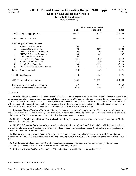#### **2009-11 Revised Omnibus Operating Budget (2010 Supp) Dept of Social and Health Services**

# **Juvenile Rehabilitation**

(Dollars in Thousands)

|                                                 | <b>House Committee Passed</b> |                  |              |
|-------------------------------------------------|-------------------------------|------------------|--------------|
|                                                 | <b>FTEs</b>                   | <b>Near GF-S</b> | <b>Total</b> |
| 2009-11 Original Appropriations                 | 1,044.2                       | 196,577          | 211,739      |
| 2009-11 Maintenance Level                       | 1,074.1                       | 205,071          | 215,383      |
| 2010 Policy Non-Comp Changes:                   |                               |                  |              |
| 1.<br>Stimulus FMAP Extension                   | 0.0                           | $-75$            | $\Omega$     |
| 2.<br><b>Reinstate Closure Funding</b>          | 0.0                           | 12,000           | 12,000       |
| 3.<br>GHS/MLS Admin Consolidation               | 0.0                           | $-368$           | $-368$       |
| 4.<br><b>GHS/MLS Capacity Reduction</b>         | 0.0                           | $-687$           | $-687$       |
| 5.<br><b>Community Group Homes</b>              | 0.0                           | 711              | 711          |
| <b>Naselle Capacity Reduction</b><br>6.         | $-25.1$                       | $-1,817$         | $-1,817$     |
| <b>Reduce Institution Staffing</b><br>7.        | $-43.2$                       | $-4,859$         | $-4,859$     |
| 8.<br>Juvenile Court Reduction                  | 0.0                           | $-2,513$         | $-2,513$     |
| 9.<br><b>JRA Administrative Staff Reduction</b> | $-23.5$                       | $-3,742$         | $-3,742$     |
| Policy -- Non-Comp Total                        | $-91.8$                       | $-1,350$         | $-1,275$     |
| <b>Total Policy Changes</b>                     | $-91.8$                       | $-1,350$         | $-1,275$     |
| 2009-11 Revised Appropriations                  | 982.3                         | 203,721          | 214,108      |
| Difference from Original Appropriations         | $-61.9$                       | 7,144            | 2,369        |
| % Change from Original Appropriations           | $-5.9\%$                      | $3.6\%$          | $1.1\%$      |

#### *Comments:*

 **1. Stimulus FMAP Extension -** The Federal Medical Assistance Percentage (FMAP) is the share of Medicaid costs that the federal government provides. The American Recovery and Reinvestment Act of 2009 increased FMAP by almost 13 percentage points for FY 2010 and the first six months of FY 2011. The Legislature anticipates that the FMAP increase from 50.00 percent to 62.94 percent will be extended for six additional months through June 2011, resulting in a reduction in state expenditures for services that receive Medicaid Title XIX and Title VI E federal match. (General Fund-State, General Fund-Federal)

 **2. Reinstate Closure Funding -** The 2009-11 budget included a study to develop a plan to close 235 beds in juvenile institutions and a commensurate reduction in funding. The study has been conducted and the Legislature has not closed a Juvenile Rehabilitation Administration (JRA) institution; as a result, the funding that was reduced is reinstated.

 **3. GHS/MLS Admin Consolidation -** Savings is achieved through a consolidation of certain administrative positions at Maple Lane and Green Hill Schools.

 **4. GHS/MLS Capacity Reduction -** Capacity and associated funding for Maple Lane School and Green Hill School is reduced. One cottage at Maple Lane School and two wings of a cottage at Green Hill School are closed. Youth in the general population at Green Hill School will be double bunked.

 **5. Community Group Homes -** Funding for contracted community group homes is provided to the Juvenile Rehabilitation Administration (JRA). It is expected that youth will begin moving from JRA institutions into contracted group homes effective July 1, 2011.

 **6. Naselle Capacity Reduction -** The Naselle Youth Camp is reduced to 50 beds, and will be used solely to house youth participating in the Department of Natural Resources (DNR) Forestry program

 **7. Reduce Institution Staffing -** The number of JRA administrative staff in the institutions is reduced.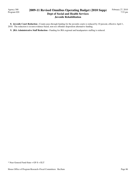Agency 300 Program 020

## **2009-11 Revised Omnibus Operating Budget (2010 Supp) Dept of Social and Health Services Juvenile Rehabilitation**

8. Juvenile Court Reduction - County pass-through funding for the juvenile courts is reduced by 10 percent, effective April 1, 2010. The reduction is in non-evidence based, non-sex offender disposition alternative funding.

 **9. JRA Administrative Staff Reduction -** Funding for JRA regional and headquarters staffing is reduced.

\* Near General Fund-State = GF-S + ELT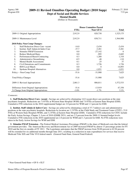## **2009-11 Revised Omnibus Operating Budget (2010 Supp) Dept of Social and Health Services**

**Mental Health**

(Dollars in Thousands)

|     |                                            | <b>House Committee Passed</b> |                  |              |
|-----|--------------------------------------------|-------------------------------|------------------|--------------|
|     |                                            | <b>FTEs</b>                   | <b>Near GF-S</b> | <b>Total</b> |
|     | 2009-11 Original Appropriations            | 2,912.9                       | 820,730          | 1,525,175    |
|     | 2009-11 Maintenance Level                  | 2,912.9                       | 838,711          | 1,564,908    |
|     | 2010 Policy Non-Comp Changes:              |                               |                  |              |
| 1.  | <b>Staff Reduction Direct Care- vacant</b> | $-14.0$                       | $-2,434$         | $-2,434$     |
| 2.  | Institut. Staff Admin & Indret Care        | $-37.7$                       | $-3,281$         | $-3,281$     |
| 3.  | <b>Stimulus FMAP Extension</b>             | 0.0                           | $-27,142$        | $\Omega$     |
| 4.  | <b>Reduce Medicaid Rates</b>               | 0.0                           | $-995$           | $-2,685$     |
| 5.  | <b>Performanced Based Contracting</b>      | 0.3                           | 1,280            | 1,310        |
| 6.  | <b>Administrative Streamlining</b>         | $-0.5$                        | $-48$            | $-110$       |
| 7.  | <b>Mental Health Assessments</b>           | 0.1                           | 25               | 37           |
| 8.  | Civil Detentions and Commitments           | 0.3                           | 1,726            | 1,726        |
| 9.  | <b>RSN</b> Local Match                     | 0.0                           | 0                | 14,093       |
| 10. | Spokane Hospital Alternatives              | 0.0                           | $-1,031$         | $-1,031$     |
|     | Policy -- Non-Comp Total                   | $-51.6$                       | $-31,900$        | 7,625        |
|     | <b>Total Policy Changes</b>                | $-51.6$                       | $-31,900$        | 7,625        |
|     | 2009-11 Revised Appropriations             | 2,861.3                       | 806,811          | 1,572,533    |
|     | Difference from Original Appropriations    | $-51.6$                       | $-13,919$        | 47,358       |
|     | % Change from Original Appropriations      | $-1.8%$                       | $-1.7%$          | $3.1\%$      |

#### *Comments:*

 **1. Staff Reduction Direct Care- vacant -** Savings are achieved by eliminating 14.0 vacant direct care positions at the state psychiatric hospitals. Reductions are 7.0 FTEs at Western State Hospital (WSH) and 7.0 FTEs at Eastern State Hospital (ESH). Cumulative FTE reductions in the 2010 supplemental budget are 2.0 percent for WSH and 1.3 percent for ESH.

 **2. Institut. Staff Admin & Indrct Care -** Savings are achieved by eliminating a total of 37.7 indirect care and administrative positions at the state psychiatric hospitals. Reductions by location are 1.5 FTEs at the Child Study and Treatment Center (CSTC), 33.0 FTEs at Western State Hospital (WSH), and 3.2 FTEs at Eastern State Hospital (ESH). Cumulative FTE reductions for CSTC include the Early Action Savings, Chapter 3, Laws of 2010 (ESHB 2921), and are 2.5 percent from the 2009-11 biennial budget levels. Cumulative FTE reductions in the 2010 supplemental are 2.0 percent for WSH and 1.3 percent for ESH. No FTE reductions were taken in the Early Action Savings for WSH and ESH.

 **3. Stimulus FMAP Extension -** The Federal Medical Assistance Percentage (FMAP) is the share of Medicaid costs that the federal government provides. The American Recovery and Reinvestment Act of 2009 increased FMAP by almost 13 percentage points for FY 2010 and the first six months of FY 2011. The Legislature anticipates that the FMAP increase from 50.00 percent to 62.94 percent will be extended for six additional months through June 2011, resulting in a reduction in state expenditures for services that receive Medicaid Title XIX and Title VI E federal match. (General Fund-State, General Fund-Federal)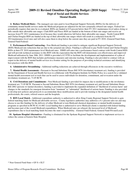## **2009-11 Revised Omnibus Operating Budget (2010 Supp) Dept of Social and Health Services Mental Health**

 **4. Reduce Medicaid Rates -** The managed care rates paid to local Regional Support Networks (RSNs) for the delivery of community mental health services under the Medicaid program are adjusted for the new actuarially rebased rate ranges. Federal law periodically requires that rates be re-evaluated. RSNs are funded at 0.9 percent below their FY 2011 maintenance level unless doing so falls outside their allowable rate ranges. Clark RSN and Pierce RSN are funded at the bottom of their rate ranges and receive an increase from FY 2011 maintenance level because they would otherwise fall below their allowable rate ranges. North Central RSN and Chelan Douglas RSN are funded at the top of their allowable rate ranges which will result in a reduction from the FY 2011maintenance level rates and will also cause them to drop below the current rates they are paid in FY 2010. (General Fund-State, General Fund-Federal)

 **5. Performanced Based Contracting -** Non-Medicaid funding is provided to mitigate significant Regional Support Network (RSN) Medicaid rate reductions that are due to the actuarial rate rebase. Funding is sufficient to pay North Central and Chelan Douglas RSNs at their FY 2010 maintenance level Medicaid rates. DSHS will enter into a performance based contract with North Central RSN and will provide technical assistance to this RSN with the expectation that the RSN will demonstrate cost effectiveness and improved Medicaid utilization by June 30th, 2011. DSHS is provided a 0.5 FTE to facilitate the development and implementation of a plan of improvement with the RSN that includes performance measures and outcome tracking. Funding is also provided to contract with an expert in the delivery of mental health services in a frontier setting for the purposes of providing technical assistance and identifying best practices with this RSN.

 **6. Administrative Streamlining -** Additional staffing reductions are achieved through efficiencies in the executive workforce.

 **7. Mental Health Assessments -** Pursuant to Second Substitute House Bill 3076 (involuntary treatment act), funding is provided for the Department of Social and Health Services to collaborate with Washington Institute for Public Policy in a search for a validated mental health assessment tool or tools that can be used to assess individuals for detention, commitment, and revocation under the involuntary treatment act, 71.05 RCW.

 **8. Civil Detentions and Commitments -** Non-Medicaid funding is provided for impacts due to modifications to the involuntary treatment act, 71.05 RCW. Pursuant to Second Substitute House Bill 3076 (involuntary treatment act) and Second Substitute House Bill 2882 (persons w/ mental disorders), funding is provided to implement the expanded definition of "likelihood of serious harm" and changes to the standards for emergent detention from "imminent" to "substantial" likelihood of serious harm. Funding is also provided to develop new policies and protocols to accommodate these modifications and to provide training to the designated mental health professionals, the courts, referral sources and the hospitals.

 **9. RSN Local Match -** Additional expenditure authority is authorized to allow King County Regional Support Network to gain federal matching funds for Medicaid allowable services. County legislative authorities may authorize a 0.1 percent sales tax and may choose to use this funding for the delivery of either Medicaid or non-Medicaid chemical dependency or mental health treatment programs as specified in RCW 82.14.460. Local funding that is authorized to serve Medicaid clients is matched with federal funding and becomes part of the overall Medicaid expenditures. When Medicaid rates are rebased, the increased level of Medicaid expenditures due to local matching funds becomes the state's responsibility. (General Fund-Federal, General Fund-Private/Local)

 **10. Spokane Hospital Alternatives -** Funding is eliminated for the Spokane Regional Support Network to implement services to reduce the census at Eastern State Hospital.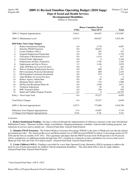#### **Dept of Social and Health Services Developmental Disabilities**

(Dollars in Thousands)

|     |                                            |             | <b>House Committee Passed</b> |              |
|-----|--------------------------------------------|-------------|-------------------------------|--------------|
|     |                                            | <b>FTEs</b> | <b>Near GF-S</b>              | <b>Total</b> |
|     | 2009-11 Original Appropriations            | 3,444.1     | 816,697                       | 1,912,987    |
|     | 2009-11 Maintenance Level                  | 3,457.8     | 828,027                       | 1,925,356    |
|     | 2010 Policy Non-Comp Changes:              |             |                               |              |
| 1.  | Reduce Institutional Funding               | 0.0         | $-1,778$                      | $-4,987$     |
| 2.  | <b>Stimulus FMAP Extension</b>             | 0.0         | $-56,833$                     | $\left($     |
| 3.  | Create Children's SOLA                     | 5.0         | 287                           | 752          |
| 4.  | Suspend Employment Partnership             | 0.0         | $-787$                        | $-1,750$     |
| 5.  | <b>Utilization of Residential Services</b> | 0.0         | $-1,414$                      | $-913$       |
| 6.  | Federal Funds Adjustment                   | 0.0         | $\mathbf{0}$                  | 5,346        |
| 7.  | <b>Employment and Day (Transition)</b>     | 0.0         | 1,702                         | 1,702        |
| 8.  | Employment and Day to Waiver               | 2.5         | 1,104                         | 2,876        |
| 9.  | Adjst AFH Rate for Licens Fee Incrs        | 0.0         | $\Omega$                      | 262          |
| 10. | Waiver Graduate Employment Services        | 0.0         | 680                           | 1,791        |
| 11. | DD Community Protection Residential        | 0.8         | 869                           | 2,185        |
| 12. | DD Expanded Community Residential          | 0.8         | 975                           | 2,433        |
| 13. | Adjst ResRate for Licens Fee Incrs         | 0.0         | $\theta$                      | 6            |
| 14. | Reduce Agency Admin Rate                   | 0.0         | $-95$                         | $-249$       |
| 15. | Eliminate Hours Add-On                     | 0.0         | $-725$                        | $-1,900$     |
| 16. | DD Revised Residential Phase-In            | 0.0         | 1,038                         | 2,871        |
| 17. | <b>Technical Adjustment</b>                | 0.0         | $-30$                         | $-30$        |
| 18. | <b>RHC</b> Transition Effort               | 0.0         | $-220$                        | $-250$       |
| 19. | Infant and Toddler Program Transfer        | $-9.4$      | $\boldsymbol{0}$              | $-16,795$    |
|     | Policy -- Non-Comp Total                   | $-0.4$      | $-55,227$                     | $-6,650$     |
|     | <b>Total Policy Changes</b>                | $-0.4$      | $-55,227$                     | $-6,650$     |
|     | 2009-11 Revised Appropriations             | 3,457.5     | 772,800                       | 1,918,706    |
|     | Difference from Original Appropriations    | 13.4        | $-43,897$                     | 5,719        |
|     | % Change from Original Appropriations      | 0.4%        | $-5.4%$                       | $0.3\%$      |

#### *Comments:*

 **1. Reduce Institutional Funding -** Savings is achieved through the implementation of efficiency measures at the state's Residential Habilitation Centers. Measures include cottage consolidation, changing maintenance schedules, reduced adult training programs, and reductions in services such as dental care. (General Fund-State, General Fund-Federal)

 **2. Stimulus FMAP Extension -** The Federal Medical Assistance Percentage (FMAP) is the share of Medicaid costs that the federal government provides. The American Recovery and Reinvestment Act of 2009 increased FMAP by almost 13 percentage points for FY 2010 and the first six months of FY 2011. The Legislature anticipates that the FMAP increase from 50.00 percent to 62.94 percent will be extended for six additional months through June 2011, resulting in a reduction in state expenditures for services that receive Medicaid Title XIX and Title VI E federal match. (General Fund-State, General Fund-Federal)

 **3. Create Children's SOLA -** Funding is provided for a new State Operated Living Alternative (SOLA) program to address the need for out-of-home placements for children with developmental disabilities. This item funds SOLA slots for eight children. (General Fund-State, General Fund-Federal)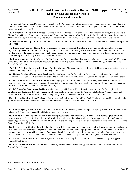### **2009-11 Revised Omnibus Operating Budget (2010 Supp) Dept of Social and Health Services Developmental Disabilities**

**4. Suspend Employment Partnership -** The Jobs by 21 Partnership provides project awards to counties to improve employment outcomes for individuals with developmental disabilities. The Partnership will be reduced by 75 percent in FY 2010 and completely suspended as of July 1, 2010.

 **5. Utilization of Residential Services -** Funding is provided for residential services in Adult Supported Living, Child Supported Living, Group Homes, Community Protection, and Community Intermediate Care Facilities for the Mentally Retarded. Beginning in March 2010, the agency will no longer hold funded vacancies to achieve savings. (General Fund-State, General Fund-Federal)

 **6. Federal Funds Adjustment -** Federal funds were appropriated for FY 2009 and FY 2010. These funds will instead be expended in FY 2011.

 **7. Employment and Day (Transition) -** Funding is provided for supported employment services for 629 individuals who are expected to graduate from high school during the 2009-11 biennium. No funding was provided in the biennial budget for this item. Employment and day services include job creation and job supports for paid employment. Services are provided at an average per client funding level of \$515 per month. (General Fund-State)

 **8. Employment and Day to Waiver -** Funding is provided for supported employment and other services for a total of 429 clients of the division of developmental disabilities who graduate from high school during the 2009-11 biennium. (General Fund-State, General Fund-Federal).

 **9. Adjst AFH Rate for Licens Fee Incrs -** Adult family home Medicaid rates for publicly funded beds are increased to cover costs associated with higher licensing fees that will begin July 1, 2010.

 **10. Waiver Graduate Employment Services -** Funding is provided for 343 individuals who are currently on a Home and Community Based Services Waiver and are entitled to supported employment services. (General Fund-State, General Fund-Federal)

 **11. DD Community Protection Residential -** Funding is provided for residential services, employment services, specialized therapies, and intensive case management and supports for 13 new clients who meet the eligibility criteria for community protection services. (General Fund-State, General Fund-Federal)

 **12. DD Expanded Community Residential -** Funding is provided for residential services and supports for 24 people with developmental disabilities that will be aging out of other DSHS programs such as the Juvenile Rehabilitation Administration and Children's Administration and have no other living arrangements. (General Fund-State, General Fund-Federal)

 **13. Adjst ResRate for Licens Fee Incrs -** Boarding home Medicaid rates for publicly funded beds are increased by approximately \$0.26 per patient day to cover costs associated with higher licensing fees that will begin July 1, 2010.

 **14. Reduce Agency Admin Rate -** The administrative portion of the hourly vendor rate paid to agency providers of in-home care is reduced by 2.5 percent. (General Fund-State, General Fund-Federal)

 **15. Eliminate Hours Add-On -** Authorized in-home personal care hours for clients with special needs for meal preparation and incontinence are reduced. Authorization for all service hours will now, like other services, be based upon the individual's assessed needs. Approximately 1,400 Developmental Disabilities clients will experience a reduction in approved service hours. (General Fund-State, General Fund-Federal)

 **16. DD Revised Residential Phase-In -** Funding is provided to cover additional costs associated with an adjustment to the phase-in schedule individuals entering the Expanded Community Services and Public Safety programs. These funds will be used to provide residential services for individuals released from mental hospitals, correctional facilities, or aging out of other Department programs such as foster care this year who do not have alternative living arrangements. (General Fund-State, General Fund-Federal)

 **17. Technical Adjustment -** A technical adjustment is made transferring \$30,000 from Special Projects to Program Support. (General Fund-State)

 **18. RHC Transition Effort -** Savings are achieved by closing one residential cottage at Rainier School. (General Fund-State, General Fund-Federal)

<sup>\*</sup> Near General Fund-State = GF-S + ELT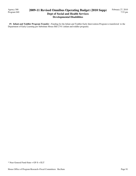Agency 300 Program 040

## **2009-11 Revised Omnibus Operating Budget (2010 Supp) Dept of Social and Health Services Developmental Disabilities**

February 27, 2010 7:53 pm

 **19. Infant and Toddler Program Transfer -** Funding for the Infant and Toddler Early Intervention Program is transferred to the Department of Early Learning per Substitute House Bill 2741 (infant and toddler program).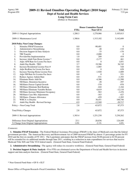### **2009-11 Revised Omnibus Operating Budget (2010 Supp) Dept of Social and Health Services**

**Long-Term Care**

(Dollars in Thousands)

|     |                                         |             | <b>House Committee Passed</b> |                |
|-----|-----------------------------------------|-------------|-------------------------------|----------------|
|     |                                         | <b>FTEs</b> | <b>Near GF-S</b>              | <b>Total</b>   |
|     | 2009-11 Original Appropriations         | 1,280.3     | 1,278,066                     | 3,105,813      |
|     | 2009-11 Maintenance Level               | 1,300.6     | 1,315,102                     | 3,142,689      |
|     | 2010 Policy Non-Comp Changes:           |             |                               |                |
| 1.  | <b>Stimulus FMAP Extension</b>          | 0.0         | $-90,401$                     | $\theta$       |
| 2.  | <b>Administrative Streamlining</b>      | 0.0         | $-48$                         | $-110$         |
| 3.  | Decision Support & Data Analysis        | 0.0         | $-75$                         | $-170$         |
| 4.  | <b>TBI</b> Transfer                     | 0.0         | $-2,000$                      | $\overline{0}$ |
| 5.  | ProviderOne Implementation              | 1.0         | 209                           | 419            |
| 6.  | Increase Adult Fam Home License *       | 0.0         | $-2,177$                      | 461            |
| 7.  | Adjst AFH Rate for Licens Fee Incrs     | 0.0         | $\theta$                      | 1,051          |
| 8.  | Adult Day Health - TRO                  | 2.7         | 19,306                        | 36,745         |
| 9.  | Increase Residential License Fees #     | 0.0         | $-1,085$                      | 528            |
| 10. | Adjst ResRate for Licens Fee Incrs      | 0.0         | $\Omega$                      | 628            |
| 11. | Increase Nursing Home License Fees      | 0.0         | $-1,920$                      | $-1,889$       |
| 12. | Adjst NH Rate for License Fee Incrs     | 0.0         | $\Omega$                      | 521            |
| 13. | Reduce Agency Admin Rate                | 0.0         | $-531$                        | $-1,393$       |
| 14. | Eliminate Hours Add-On                  | 0.0         | $-4,386$                      | $-11,500$      |
| 15. | NH Rates-Retention Incentive            | 0.0         | $-28$                         | $-397$         |
| 16. | NH Rates Freeze Capital Growth          | 0.0         | $-370$                        | $-970$         |
| 17. | NH Rates Eliminate Bed Banking          | 0.0         | $-444$                        | $-1,164$       |
| 18. | NH Rates Eliminate Variable Return      | 0.0         | $-4,619$                      | $-12,110$      |
| 19. | NH Rates Increase Minimum Occupancy     | 0.0         | $-563$                        | $-1,476$       |
| 20. | NH Rates Case Mix Adjustments           | 0.0         | $-163$                        | $-427$         |
| 21. | NH Rates-Finance Allowance              | 0.0         | $-459$                        | $-1,203$       |
| 22. | <b>WHCA</b> vs Dreyfus                  | 0.0         | 38,451                        | 100,746        |
| 23. | Adult Day Health - Revised Savings      | $-0.9$      | $-12,569$                     | $-20,717$      |
|     | Policy -- Non-Comp Total                | 2.8         | $-63,872$                     | 87,573         |
|     | <b>Total Policy Changes</b>             | 2.8         | $-63,872$                     | 87,573         |
|     | 2009-11 Revised Appropriations          | 1,303.4     | 1,251,230                     | 3,230,262      |
|     | Difference from Original Appropriations | 23.1        | $-26,836$                     | 124,449        |
|     | % Change from Original Appropriations   | 1.8%        | $-2.1%$                       | 4.0%           |

#### *Comments:*

 **1. Stimulus FMAP Extension -** The Federal Medical Assistance Percentage (FMAP) is the share of Medicaid costs that the federal government provides. The American Recovery and Reinvestment Act of 2009 increased FMAP by almost 13 percentage points for FY 2010 and the first six months of FY 2011. The Legislature anticipates that the FMAP increase from 50.00 percent to 62.94 percent will be extended for six additional months through June 2011, resulting in a reduction in state expenditures for services that receive Medicaid Title XIX and Title VI E federal match. (General Fund-State, General Fund-Federal)

 **2. Administrative Streamlining -** The agency will reduce its executive workforce. (General Fund-State, General Fund-Federal)

**3. Decision Support & Data Analysis - Five FTEs are eliminated across the Department of Social and Health Services in decision** support and data analysis functions. (General Fund-State, General Fund-Federal)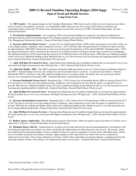Agency 300 Program 050

## **2009-11 Revised Omnibus Operating Budget (2010 Supp) Dept of Social and Health Services Long-Term Care**

 **4. TBI Transfer -** The unspent balance in the Traumatic Brain Injury (TBI) fund is used to offset costs for long term care clients such as increases in mandatory caseloads. As of September 2009, long term care was serving 2,092 clients in the home and community-based system and 136 clients in the nursing home system with some level of TBI. (Traumatic Brain Injury Account - - General Fund State)

 **5. ProviderOne Implementation -** Two temporary FTEs and associated funding are required to develop and implement an automated interface between the Department's ProviderOne payment system and the Aging and Disability Services Administration's Case Management Information System. (General Fund-State, General Fund-Federal)

 **6. Increase Adult Fam Home License \* -** License fees for Adult Family Homes (AFH) will be increased to cover more of the cost of providing licensure, regulatory, and re-inspection services. In FY 2010 the state will spend about \$3.6 million for these activities for approximately 2,800 AFHs whereas the revenue received from the licensing fees will be about \$300,000. Beginning July 1, 2010, the annual licensing fee will be raised from the current level of \$100 per home to \$220 per bed that may be paid in two installments. The initial licensing fee will be raised from the current level of \$800 per home to \$1,800 per home. AFHs that serve Medicaid-eligible clients will receive additional funding in their Medicaid rates to cover the increased costs for licensing and regulating publicly-funded beds. (General Fund-State, General Fund-Federal, Private-Local)

 **7. Adjst AFH Rate for Licens Fee Incrs -** Adult family home Medicaid rates for publicly-funded beds are increased to cover costs associated with higher licensing fees that will begin July 1, 2010. (General Fund Federal, Private-Local)

 **8. Adult Day Health - TRO -** The 2009 Legislature eliminated adult day health services for clients living in residential settings in the 2009-11 biennial budget; however, the savings have not been realized due to a lawsuit. A court decision in Ryan v. Dreyfus blocked the 2009-11 decision to only offer adult day health services to in-home clients. All clients who were previously denied services were reinstated by December 2009. (General Fund-State, General Fund-Federal)

 **9. Increase Residential License Fees # -** Beginning July 1, 2010, license fees for Boarding Homes (BH) are increased from \$79 to \$112 per bed to cover the cost of providing licensure, regulatory, and re-inspection services that the agency is required by law to provide. BHs that serve Medicaid eligible clients will receive additional funding in their Medicaid rates to cover the increased costs for licensing and regulating publicly-funded beds. (General Fund-State, General Fund-Federal, Private-Local)

 **10. Adjst ResRate for Licens Fee Incrs -** Boarding home Medicaid rates for publicly-funded beds are increased by approximately \$0.26 per patient day to cover costs associated with higher licensing fees that will begin July 1, 2010. (General Fund Federal, Private-Local)

 **11. Increase Nursing Home License Fees -** Beginning July 1, 2010, license fees for Nursing Homes (NH) are increased from \$275 to \$327 per bed to cover the cost of providing licensure, regulatory, and re-inspection services that the agency is required by law to provide. NHs that serve Medicaid-eligible clients will receive additional funding in their Medicaid rates to cover the increased costs for licensing publicly-funded beds. (General Fund-State, General Fund-Federal, Private-Local)

 **12. Adjst NH Rate for License Fee Incrs -** Nursing home Medicaid rates for publicly-funded beds are increased by approximately \$0.14 per patient day to cover costs associated with higher licensing fees that will begin July 1, 2010. (General Fund Federal, Private-Local)

 **13. Reduce Agency Admin Rate -** The administrative portion of the hourly vendor rate paid to agency providers of in-home care is reduced by 2.5 percent. (General Fund-State, General Fund-Federal)

 **14. Eliminate Hours Add-On -** Authorization for in-home service hours allowed for special meal preparation or incontinence will be based upon individual assessments of a client's needs like the authorization for other long-term care services. Previously, clients were authorized the maximum number of hours available for these two services regardless of acuity levels, individual needs, and the level of available assistance from family or friends. Approximately 8,100 Long Term Care clients will receive a reduction in authorized service hours. The average reduction is 8.4 hours. Clients whose individual assessments indicate a continued need for the maximum number of hours will continue to be authorized for those service hours. (General Fund-State, General Fund-Federal)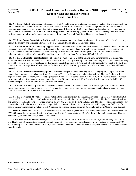## **2009-11 Revised Omnibus Operating Budget (2010 Supp) Dept of Social and Health Services Long-Term Care**

 **15. NH Rates- Retention Incentive -** Effective July 1, 2010, and thereafter, a retention incentive is created. The total nursing home rate is reduced by 1 percent for those facilities with direct care staff turnover above 75 percent as reported for all facilities on the previous year annual cost reports submitted to the Department. Effective July 1, 2011, and thereafter, the retention incentive funding that is returned to the state will be redistributed as a supplemental performance payment for the facilities who keep their direct care staff turnover at or below the 75 percent direct care staff turnover. (General Fund-State, General Fund-Federal)

 **16. NH Rates Freeze Capital Growth -** New capital projects are put on hold and the allowance for growth of less than 2 percent per year in the property and financing allowance is frozen. (General Fund-State, General Fund-Federal)

 **17. NH Rates Eliminate Bed Banking -** Approximately 17 nursing facilities will no longer be able to reduce the effects of minimum occupancy through bed banking (temporarily reducing the number of patient beds for which they are licensed). These facilities will need to decide whether to renew the Medicaid licensing on these beds, sell them, or relinquish them. This results in an average reduction to those facilities of about \$0.30 per client per day. (General Fund-State, General Fund-Federal)

 **18. NH Rates Eliminate Variable Return -** The variable return component of the nursing home payment system is eliminated. Variable Return was intended to reward facilities with the lowest costs by providing them flexible funding. It was calculated by ranking all facilities from highest to lowest based on their adjusted costs (lids excluded). The highest dollar amounts were paid to the facilities with the lowest cost regardless of the individual facility's level of efficiency or quality of care. (General Fund-State, General Fund-Federal)

 **19. NH Rates Increase Minimum Occupancy -** Minimum occupancy in the operating, finance, and property components of the nursing home payment system is raised from 90 percent to 92 percent for non-essential nursing facilities. Nursing facilities will be required to maintain occupancy for at least 92 percent of their licensed Medicaid beds. Per 74.46 RCW, if a facility does not maintain the minimum level of occupancy, they are charged a penalty. Nursing homes with 60 or fewer beds will continue to be held at 90 percent occupancy. (General Fund-State, General Fund-Federal)

 **20. NH Rates Case Mix Adjustments -** The average level of case mix for Medicaid clients in Washington will be adjusted once every 6 months rather than on a quarterly basis. The facility's average case mix index will continue to get updated when rates are rebased. (General Fund-State, General Fund-Federal)

 **21. NH Rates- Finance Allowance -** The allowable return on investment in the Finance Allowance component is reduced from 8.5 percent to 7.5 percent on the net book value of a facility's assets acquired on or after May 17, 1999 (tangible fixed assets such as leases and allowable land costs). The percentage of return on investment is set by the state and is adjusted to reflect lowering interest rates for commercial health industry loans. Allowable depreciation rates on fixed assets are 15 years for movable equipment, 5-10 years for shorter term equipment such as vehicles, and 40 years on fixed assets such as buildings. (General Fund-State, General Fund-Federal)

 **22. WHCA vs Dreyfus -** The 2009 Legislature reduced the Medicaid payment rates for Nursing Homes (NH) by 4 percent from the FY 2009 funded levels. A court decision in Washington Health Care Association v. Dreyfus blocked the implementation of this rate reduction. (General Fund-State, General Fund-Federal)

 **23. Adult Day Health - Revised Savings -** A court decision blocked the 2009-11 decision by the Legislature to only offer Adult Day Health (ADH) services to in-home clients. All clients who were previously denied services were reinstated by December 2009. As of January 1, 2010, ADH moved to a 1915(i) Medicaid state plan option and enrollment was capped. (General Fund-State, General Fund-Federal)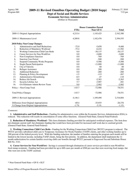#### **Dept of Social and Health Services Economic Services Administration**

(Dollars in Thousands)

|     |                                          | <b>House Committee Passed</b> |                  |              |
|-----|------------------------------------------|-------------------------------|------------------|--------------|
|     |                                          | <b>FTEs</b>                   | <b>Near GF-S</b> | <b>Total</b> |
|     | 2009-11 Original Appropriations          | 4,215.4                       | 1,145,425        | 2,342,380    |
|     | 2009-11 Maintenance Level                | 4,289.8                       | 1,182,476        | 2,394,555    |
|     | <b>2010 Policy Non-Comp Changes:</b>     |                               |                  |              |
| 1.  | Administrative and Staff Reductions      | $-72.0$                       | $-5,650$         | $-9,460$     |
| 2.  | Reduction of Mandatory Workload          | $-75.4$                       | $-6,416$         | $-11,582$    |
| 3.  | Working Connections Child Care Redu      | 0.0                           | $-30,137$        | $-30,137$    |
| 4.  | <b>Career Services for Non-WorkFirst</b> | 0.0                           | $-3,600$         | $-3,600$     |
| 5.  | Non-Compliance Sanction                  | 0.0                           | $-769$           | $-769$       |
| 6.  | <b>Sanction Cure Period</b>              | 0.0                           | $-500$           | $-500$       |
| 7.  | <b>Suspend Community Works Programs</b>  | 0.0                           | $-5,500$         | $-5,500$     |
| 8.  | Single Parent Participation              | 0.0                           | $-11,000$        | $-11,000$    |
| 9.  | City of Tukwila                          | 0.0                           | 60               | 60           |
| 10. | Refugee Assistance                       | 0.0                           | 200              | 200          |
| 11. | <b>Additional Reduction</b>              | 0.0                           | $-260$           | $-260$       |
| 12. | Planning & Policy Development            | $-1.5$                        | $-115$           | $-267$       |
| 13. | Administrative Streamlining              | $-0.5$                        | $-47$            | $-110$       |
| 14. | Reduce Job Search                        | 0.0                           | $-2,363$         | $-2,363$     |
| 15. | Security Lifeline Act                    | 5.7                           | $-3,907$         | $-281$       |
| 16. | GA Eliminate Admin Review Team           | 0.0                           | $-2,982$         | $-2,982$     |
|     | Policy -- Non-Comp Total                 | $-143.7$                      | $-72,986$        | $-78,551$    |
|     | <b>Total Policy Changes</b>              | $-143.7$                      | $-72,986$        | $-78,551$    |
|     | 2009-11 Revised Appropriations           | 4,146.1                       | 1,109,490        | 2,316,004    |
|     | Difference from Original Appropriations  | $-69.4$                       | $-35,935$        | $-26,376$    |
|     | % Change from Original Appropriations    | $-1.7%$                       | $-3.1\%$         | $-1.1\%$     |

#### *Comments:*

 **1. Administrative and Staff Reductions -** Funding for administrative costs within the Economic Services Administration (ESA) is reduced. This reduction will results in consolidation of some office functions. (General Fund-State, General Fund-Federal)

 **2. Reduction of Mandatory Workload -** This item eliminates funding provided for anticipated workload expenses. The item does not eliminate current staff, but eliminates funding that would have been provided for increased staff work due to caseload growth. (General Fund-State, General Fund-Federal)

**3. Working Connections Child Care Redu - Funding for the Working Connections Child Care (WCCC) program is reduced. The** WCCC provides subsidized child care to Temporary Assistance for Needy Families (TANF) clients, and other working families up to 200 percent of the federal poverty level. With this funding reduction, the number of families entering the program each month will be limited to the lowest income, including TANF clients, being the first priority. In addition, the department shall implement the 12 month authorization for certain families receiving child care benefits through WCCC pursuant to Engrossed Second Substitute House Bill No. 3141.

 **4. Career Services for Non-WorkFirst -** Savings is assumed through elimination of career services provided to non-WorkFirst food stamp recipients. Funding had been provided for up to 600 cases per month at \$500 per case that were receiving food stamps, but who were not on the TANF caseload.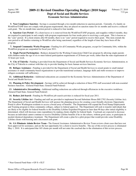Agency 300 Program 060

### **2009-11 Revised Omnibus Operating Budget (2010 Supp) Dept of Social and Health Services Economic Services Administration**

 **5. Non-Compliance Sanction -** Savings is assumed through a two-month reduction in sanction periods. Currently, if a family on WorkFirst/TANF does not comply with program requirements, they are placed on sanction status for six months and receive a reduced cash grant. The six-month time sanction period is reduced to four months.

 **6. Sanction Cure Period -** If a client leaves or is removed from the WorkFirst/TANF program, and reapplies within 6 months, they are required to participate in and comply with program requirements for four weeks prior to receiving a cash grant. This is known as the "cure" period. If a client returns after 60 months, there is no "cure" period required to receive their grant. This item extends the cure period to all families returning to WorkFirst after being sanctioned, regardless of the length of time they have been off the program.

 **7. Suspend Community Works Programs -** Funding for all Community Works programs, except for Community Jobs, within the WorkFirst program are suspended for fiscal year 2011.

 **8. Single Parent Participation -** Reduces demand for the Working Connections Child Care program by allowing single parents with children under the age of six to meet federal participation requirements of 20 hours per week, rather than the state requirement of 32 hours per week.

 **9. City of Tukwila -** Funding is provided from the Department of Social and Health Services Economic Services Administration, to the City of Tukwila to contract with that city to provide funding for basic human services functions.

 **10. Refugee Assistance -** Funding is provided for the Department of Social and Health Services to award grants to small mutual assistance or small community-based organizations to provide transitional assitance, langauge skills and otehr resources to improve refugees economic self sufficiency.

 **11. Additional Reduction -** Additional reducations are assumed for the Economic Services Adminsitration of the Department of Social and Health Services.

 **12. Planning & Policy Development -** Savings will be achieved through a reduction of three FTE staff associated with non-essential business functions. (General Fund-State, General Fund-Federal)

 **13. Administrative Streamlining -** Additional staffing reductions are achieved through efficiencies in the executive workforce. (General Fund-State, General Fund-Federal)

 **14. Reduce Job Search -** Funding for WorkFirst job search activities is reduced for fiscal year 2011.

 **15. Security Lifeline Act -** Funding and staff are provided to implement Second Substitute House Bill 2782 (Security Lifeline Act). The Department of Social and Health Services will sponsor the planning process for creating a user-friendly electronic Opportunity Portal to allow Washington residents to access a broad array of benefits. The Department will expand the Food Stamp Employment and Training program to three community colleges, subject to federal approval. The Department will seek to transfer individuals that are likely to be eligible for federal benefits to the Disability Lifeline Expedited Program no later than 90 days after initial eligibility is determined, which will decrease state expenditures by making clients eligible for federal funds. Caseloads are expected to decrease because an individual cannot continue to receive Disability Lifeline benefits if he or she refuses, without good cause, to participate in needed chemical dependency treatment. The Department will create a plan for a pilot project that would provide some Disability Lifeline clients with housing and a decreased cash grant.

16. GA Eliminate Admin Review Team - The General Assistance Administrative Review Team reviews client cases that have not been approved for assistance, and are the last opportunity for a client to receive benefits. The use of this review process is eliminated May 1, 2010. It is anticipated that 165 clients per month will not enter the caseload due to the elimination of this review process.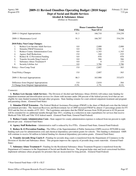#### **Dept of Social and Health Services Alcohol & Substance Abuse**

(Dollars in Thousands)

|                                                 | <b>House Committee Passed</b> |           |              |
|-------------------------------------------------|-------------------------------|-----------|--------------|
|                                                 | <b>FTEs</b>                   | Near GF-S | <b>Total</b> |
| 2009-11 Original Appropriations                 | 91.3                          | 166,710   | 334,239      |
| 2009-11 Maintenance Level                       | 91.3                          | 166,707   | 334,238      |
| 2010 Policy Non-Comp Changes:                   |                               |           |              |
| 1.<br>Reduce Low-Income Adult Services          | 0.0                           | $-2,000$  | $-2,000$     |
| 2.<br><b>Stimulus FMAP Extension</b>            | 0.0                           | $-2,506$  | $\Omega$     |
| 3.<br><b>Reduce County Administration Costs</b> | 0.0                           | $-1,343$  | $-1,343$     |
| <b>Agency Staff Reductions</b><br>4.            | $-5.0$                        | $-340$    | $-535$       |
| 5.<br>Reduce K-12 Prevention Funding            | 0.0                           | $-970$    | -970         |
| Transfer Juvenile Drug Courts #<br>6.           | 0.0                           | 566       | 566          |
| Substance Abuse Treatment #<br>7.               | 0.0                           | $\Omega$  | 133          |
| 8.<br>Security Lifeline Act                     | 0.0                           | 3,786     | 3,786        |
| Policy -- Non-Comp Total                        | $-5.0$                        | $-2,807$  | $-363$       |
| <b>Total Policy Changes</b>                     | $-5.0$                        | $-2,807$  | $-363$       |
| 2009-11 Revised Appropriations                  | 86.3                          | 163,900   | 333,875      |
| Difference from Original Appropriations         | $-5.0$                        | $-2,810$  | $-364$       |
| % Change from Original Appropriations           | $-5.5\%$                      | $-1.7\%$  | $-0.1\%$     |

#### *Comments:*

 **1. Reduce Low-Income Adult Services -** The Division of Alcohol and Substance Abuse (DASA) will reduce state funding for outpatient treatment and detoxification services for clients with incomes under 200 percent of the federal poverty level that are not eligible for state-funded treatment through other programs. State funding remains for court-ordered outpatient treatment and pregnant and parenting clients. (General Fund-State)

 **2. Stimulus FMAP Extension -** The Federal Medical Assistance Percentage (FMAP) is the share of Medicaid costs that the federal government provides. The American Recovery and Reinvestment Act of 2009 increased FMAP by almost 13 percentage points for FY 2010 and the first six months of FY 2011. The Legislature anticipates that the FMAP increase from 50.00 percent to 62.94 percent will be extended for six additional months through June 2011, resulting in a reduction in state expenditures for services that receive Medicaid Title XIX and Title VI-E federal match. (General Fund-State, General Fund-Federal)

 **3. Reduce County Administration Costs -** State support for county administration expenses is reduced from ten percent to eight percent per year. (General Fund-State)

 **4. Agency Staff Reductions -** Administrative staff is reduced by five FTEs. (General Fund-State, General Fund-Federal)

 **5. Reduce K-12 Prevention Funding -** The Office of the Superintendent of Public Instruction (OSPI) receives \$970,000 in state funding each year for administration costs and chemical dependency prevention grants for schools. This funding is eliminated. OSPI will continue to receive \$4 million in federal funding for chemical dependency prevention grants. (General Fund-State)

 **6. Transfer Juvenile Drug Courts # -** Funding for juvenile drug courts is transferred from the Department of Commerce to the Division of Alcohol and Substance Abuse. This program improves the capacity of juvenile drug courts statewide. (General Fund-State)

 **7. Substance Abuse Treatment # -** Funding for the Residential Substance Abuse Treatment Program is transferred from the Department of Commerce to the Department of Social and Health Services. The program helps state and local correctional facilities implement substance abuse programs for prisoners that are incarcerated for long periods. (General Fund-Federal)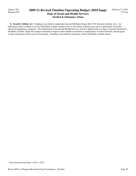Agency 300 Program 070

## **2009-11 Revised Omnibus Operating Budget (2010 Supp) Dept of Social and Health Services Alcohol & Substance Abuse**

 **8. Security Lifeline Act -** Funding is provided to implement Second Substitute House Bill 2782 (Security Lifeline Act). An individual cannot continue to receive Disability Lifeline benefits if he or she refuses without good cause to participate in needed chemical dependency treatment. The Department of Social and Health Services will give high priority for drug or alcohol treatment to Disability Lifeline clients that require treatment to improve their health to transition to employment or federal benefits, but pregnant women and parents will be given first priority. Funding is provided for treatment of those Disability Lifeline clients.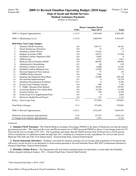#### **Dept of Social and Health Services Medical Assistance Payments**

(Dollars in Thousands)

|     |                                            | <b>House Committee Passed</b> |                  |                |
|-----|--------------------------------------------|-------------------------------|------------------|----------------|
|     |                                            | <b>FTEs</b>                   | <b>Near GF-S</b> | <b>Total</b>   |
|     | 2009-11 Original Appropriations            | 1,115.5                       | 3,583,840        | 8,828,440      |
|     | 2009-11 Maintenance Level                  | 1,115.8                       | 3,889,939        | 9,365,487      |
|     | 2010 Policy Non-Comp Changes:              |                               |                  |                |
| 1.  | <b>Stimulus FMAP Extension</b>             | 0.0                           | $-299,171$       | $-18,163$      |
| 2.  | Parent Sentencing Alternative              | 0.0                           | 73               | 123            |
| 3.  | Disability Lifeline Waiver                 | 0.0                           | $-14,441$        | $\overline{0}$ |
| 4.  | <b>Indigent Assistance DSH</b>             | 0.0                           | $-10,973$        | $-21,946$      |
| 5.  | Disability Lifeline Outpatient DSH         | 0.0                           | $-4,683$         | $\overline{0}$ |
| 6.  | <b>DSH</b> Savings                         | 0.0                           | $-1,623$         | $-1,623$       |
| 7.  | Medicare Part D Stimulus FMAP              | 0.0                           | $-86,901$        | $-86,901$      |
| 8.  | <b>Administrative Streamlining</b>         | $-0.5$                        | $-48$            | $-110$         |
| 9.  | Disability Lifeline Caseload               | 0.0                           | 8,000            | 10,245         |
| 10. | Disability Lifeline Managed Care           | 0.0                           | 23,892           | 23,674         |
| 11. | Decision Support & Data Analysis           | $-0.5$                        | $-37$            | $-85$          |
| 12. | <b>CHIPRA Bonus Payment</b>                | 0.0                           | $-7,461$         | $\Omega$       |
| 13. | <b>Inpatient and Outpatient Hosp Rates</b> | 3.0                           | $-32,000$        | 420,348        |
| 14. | ProviderOne Implementation                 | 6.3                           | 0                | 19,376         |
| 15. | Disability Determination Workload          | 37.5                          | $\theta$         | 6,304          |
| 16. | Poison Center Funding Transfer             | 0.0                           | 400              | 1,145          |
| 17. | F - FQHC Alternate Pymt Method             | 0.0                           | 39,902           | 95,307         |
| 18. | Correcting Medical Asst Admin Base         | 0.0                           | 10,750           | 21,500         |
| 19. | Security Lifeline Act                      | 0.0                           | 528              | 6,438          |
| 20. | Professional Svcs Supplemental Pymt        | 0.0                           | $\boldsymbol{0}$ | 2,063          |
| 21. | Electronic Health Record Project           | 5.6                           | 137              | 1,372          |
|     | Policy -- Non-Comp Total                   | 51.3                          | $-373,656$       | 479,067        |
|     | <b>Total Policy Changes</b>                | 51.3                          | $-373,656$       | 479,067        |
|     | 2009-11 Revised Appropriations             | 1,167.1                       | 3,516,283        | 9,844,554      |
|     | Difference from Original Appropriations    | 51.6                          | $-67,557$        | 1,016,114      |
|     | % Change from Original Appropriations      | 4.6%                          | $-1.9%$          | 11.5%          |

#### *Comments:*

 **1. Stimulus FMAP Extension -** The Federal Medical Assistance Percentage (FMAP) is the share of Medicaid costs that the federal government provides. The American Recovery and Reinvestment Act of 2009 increased FMAP by almost 13 percentage points for FY 2010 and the first six months of FY 2011. The Legislature anticipates that the FMAP increase from 50.00 percent to 62.94 percent will be extended for six additional months through June 2011, resulting in a reduction in state expenditures for services that receive Medicaid Title XIX and Title VI-E federal match. (General Fund-State, General Fund-Federal)

 **2. Parent Sentencing Alternative -** Funding is provided for medical assistance for an average daily population of 82 parents that will receive social services as an alternative to incarceration pursuant to Second Substitute House Bill 3045 (confinement alternative). (General Fund-State, General Fund-Federal)

 **3. Disability Lifeline Waiver -** The Department will seek federal matching funds for individuals covered under the Disability Lifeline program starting in January, 2011. (General Fund-State, General Fund-Federal)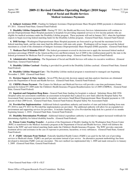## **2009-11 Revised Omnibus Operating Budget (2010 Supp) Dept of Social and Health Services Medical Assistance Payments**

 **4. Indigent Assistance DSH -** Funding for Indigent Assistance Disproportionate Share Hospital (DSH) payments is eliminated in FY 2011. (General Fund-State, General Fund-Federal)

 **5. Disability Lifeline Outpatient DSH -** During FY 2011, the Health and Recovery Services Administration will continue to provide Disproportionate Share Hospital payments to hospitals for providing outpatient services to low-income patients who are eligible for medical assistance under the Disability Lifeline program. These payments will end in January 2011, when the legislature expects to begin receiving federal matching funds for the Disability Lifeline program. (General Fund-State, General Fund-Federal)

 **6. DSH Savings -** Washington Disproportionate Share Hospital payments are forecasted to go beyond the maximum level for federal matching funds, and the state must fund the difference with state-only grants. Washington will no longer exceed the federal maximum as a result of the elimination of Indigent Assistance Disproportionate Share Hospital (DSH) payments. (General Fund-State)

 **7. Medicare Part D Stimulus FMAP -** The federal government reversed its decision not to apply the increased federal medical assistance percentage (FMAP) in the American Recovery and Reinvestment Act of 2009 to the reimbursement paid by the state to the federal government for Medicare Part D coverage for prescription drugs. (General Fund-State, General Fund-Federal)

 **8. Administrative Streamlining -** The Department of Social and Health Services will reduce its executive workforce. (General Fund-State, General Fund-Federal)

 **9. Disability Lifeline Caseload -** Funding is provided for growth in the Disability Lifeline caseload. (General Fund-State, General Fund-Federal)

 **10. Disability Lifeline Managed Care -** The Disability Lifeline medical program is transitioned to managed care beginning November 1, 2009. (General Fund-State)

 **11. Decision Support & Data Analysis -** Seven FTEs that provide decision support and data analysis functions are eliminated across the Department of Social and Health Services. (General Fund-State, General Fund-Federal)

 **12. CHIPRA Bonus Payment -** The Centers for Medicare and Medicaid Services will provide a one-time performance bonus payment for federal FY 2009 under the Children's Health Insurance Program Reauthorization Act of 2009 (CHIPRA). (General Fund-State, General Fund-Federal)

 **13. Inpatient and Outpatient Hosp Rates -** General Fund-State funding for hospitals is reduced. Substitute House Bill 2956 (hospital safety net assessment) establishes an assessment on hospitals that is placed in a new fund called the Hospital Safety Net Assessment Fund, increases payment rates for hospitals, and restores Small Rural Disproportionate Share Hospital payments to 120 percent of their 2009 levels. (General Fund-State, General Fund-Federal, Hospital Safety Net Assessment Fund)

 **14. ProviderOne Implementation -** Additional federal expenditure authority and transfers of state and federal funding from state FY 2010 to state FY 2011 for ProviderOne implementation are provided. The additional authority will allow for an expanded test environment and supporting services for providers. It includes funding for a live ProviderOne help desk for a period of six months beginning January 1, 2010. (General Fund-State, General Fund-Federal)

 **15. Disability Determination Workload -** Additional federal expenditure authority is provided to support increased workloads for determining eligibility for federal disability benefits. (General Fund-Federal)

 **16. Poison Center Funding Transfer -** A portion of the Department of Health's funding for the Washington State Poison Center (WPC) is transferred to the Medical Assistance program at the Department of Social and Health Services, which will disburse the funds to the WPC and seek federal matching funds under the Children's Health Insurance Program. The WPC provides statewide treatment advice and assistance in the case of exposure to poisonous, hazardous, or toxic substances. (General Fund-State, General Fund-Federal)

 **17. F - FQHC Alternate Pymt Method -** Federally Qualified Health Centers (FQHCs) are paid for the full cost of providing services to Medicaid clients. FQHCs are paid per encounter instead of per service. An alternative payment methodology has been developed to determine FQHC costs per encounter. This new method was implemented July 1, 2009 and made retroactive to January 1, 2009. (General Fund-State, General Fund-Federal)

<sup>\*</sup> Near General Fund-State = GF-S + ELT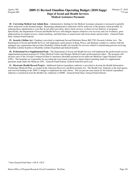### **2009-11 Revised Omnibus Operating Budget (2010 Supp) Dept of Social and Health Services Medical Assistance Payments**

 **18. Correcting Medical Asst Admin Base -** Administrative funding for the Medical Assistance program is increased to partially offset reductions in the biennial budget. Remaining administrative reductions will be achieved, to the greatest extent possible, by reducing those administrative costs that do not affect providers, direct client services, or direct service delivery or programs. Specifically, the Department of Social and Health Services will mitigate impacts related to cost recovery and cost avoidance, prior authorizations for dental services, claims backlogs, and hold times or unanswered calls from clients and providers. (General Fund-State, General Fund-Federal)

 **19. Security Lifeline Act -** Funding is provided to implement Second Substitute House Bill 2782 (Security Lifeline Act). The Department of Social and Health Services will implement a pilot project in King, Pierce, and Spokane counties to contract with the managed care organization that provides Disability Lifeline health care benefits for services related to transitioning persons receiving Disability Lifeline benefits to Disability Lifeline Expedited and federal benefits.

 **20. Professional Svcs Supplemental Pymt -** The Department of Social and Health Services will implement the professional services supplemental payment program for Valley Medical Center and Olympic Medical Center professional providers. The program will increase rates to the Average Commercial Rate to maximize allowable payment levels under the Medicare Upper Payment Limit (UPL). The hospitals are responsible for providing the local match required to obtain federal matching funds for supplemental payments made under the Medicare UPL. (General Fund-Federal, General Fund-Private/Local)

 **21. Electronic Health Record Project -** Additional federal expenditure authority is provided to develop the Health Information Technology Medicaid Plan, as created in the American Recovery and Reinvestment Act. The Health Care Authority is the lead agency and received funding in the 2009-11 budget to implement the state efforts. The ten percent state match for the federal expenditure authority is transferred from the Health Care Authority to DSHS. (General Fund-State, General Fund-Federal)

<sup>\*</sup> Near General Fund-State = GF-S + ELT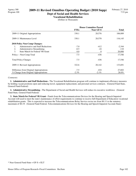## **2009-11 Revised Omnibus Operating Budget (2010 Supp) Dept of Social and Health Services**

# **Vocational Rehabilitation**

(Dollars in Thousands)

|                                               | <b>House Committee Passed</b> |           |              |
|-----------------------------------------------|-------------------------------|-----------|--------------|
|                                               | <b>FTEs</b>                   | Near GF-S | <b>Total</b> |
| 2009-11 Original Appropriations               | 330.1                         | 20,576    | 106,089      |
| 2009-11 Maintenance Level                     | 330.1                         | 20,578    | 116,145      |
| <b>2010 Policy Non-Comp Changes:</b>          |                               |           |              |
| Administrative and Staff Reductions<br>1.     | $-7.0$                        | $-412$    | $-2,344$     |
| 2.<br>Administrative Streamlining             | $-0.5$                        | $-24$     | $-110$       |
| 3.<br><b>State Match for Federal VR Grant</b> | 0.0                           | 0         | 20,000       |
| Policy -- Non-Comp Total                      | $-7.5$                        | $-436$    | 17,546       |
| <b>Total Policy Changes</b>                   | $-7.5$                        | $-436$    | 17,546       |
| 2009-11 Revised Appropriations                | 322.6                         | 20,142    | 133,691      |
| Difference from Original Appropriations       | $-7.5$                        | $-434$    | 27,602       |
| % Change from Original Appropriations         | $-2.3\%$                      | $-2.1\%$  | 26.0%        |

#### *Comments:*

 **1. Administrative and Staff Reductions -** The Vocational Rehabilitation program will continue to implement efficiency measures by holding vacant positions open and reducing travel, equipment replacement, and personal services contracts. (General Fund-State, General Fund-Federal)

 **2. Administrative Streamlining -** The Department of Social and Health Services will reduce its executive workforce. (General Fund-State, General Fund-Federal)

 **3. State Match for Federal VR Grant -** Funds from the Telecommunications Devices for the Hearing and Speech Impaired Account will used to meet the state's maintenance of effort requirements to continue to receive full Department of Education vocational rehabilitation grants. This is expected to increase the Telecommunications Relay Service excise tax from \$0.11 to the statutory maximum of \$0.19. (General Fund-Federal, Telecommunications Devices for the Hearing and Speech Impaired Account-State)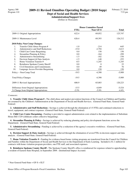#### **Dept of Social and Health Services Administration/Support Svcs**

(Dollars in Thousands)

|     |                                         | <b>House Committee Passed</b> |                  |              |
|-----|-----------------------------------------|-------------------------------|------------------|--------------|
|     |                                         | <b>FTEs</b>                   | <b>Near GF-S</b> | <b>Total</b> |
|     | 2009-11 Original Appropriations         | 622.4                         | 69,052           | 125,747      |
|     | 2009-11 Maintenance Level               | 626.4                         | 69,393           | 126,212      |
|     | <b>2010 Policy Non-Comp Changes:</b>    |                               |                  |              |
| 1.  | Transfer Child Abuse Program #          | $-1.0$                        | $-214$           | $-645$       |
| 2.  | Administrative and Staff Reductions     | $-15.0$                       | $-2,794$         | $-3,613$     |
| 3.  | Child Care Center Bargaining            | 0.0                           | 150              | 150          |
| 4.  | Streamline Planning & Policy            | 0.0                           | $-164$           | $-299$       |
| 5.  | <b>Administrative Streamlining</b>      | $-1.5$                        | $-182$           | $-330$       |
| 6.  | Decision Support & Data Analysis        | $-1.5$                        | $-140$           | $-255$       |
| 7.  | Home Visitation Transfer #              | $-0.5$                        | $-1,245$         | $-1,245$     |
| 8.  | Reimburse Spokane County Sheriff        | 0.0                           | $\Omega$         | 22           |
| 9.  | Civil Detentions and Commitments        | 0.0                           | 49               | 76           |
| 10. | Language Access Provider Bargaining     | 0.0                           | 150              | 150          |
|     | Policy -- Non-Comp Total                | $-19.5$                       | $-4,390$         | $-5,989$     |
|     | <b>Total Policy Changes</b>             | $-19.5$                       | $-4,390$         | $-5,989$     |
|     | 2009-11 Revised Appropriations          | 606.9                         | 65,003           | 120,223      |
|     | Difference from Original Appropriations | $-15.5$                       | $-4,049$         | $-5,524$     |
|     | % Change from Original Appropriations   | $-2.5\%$                      | $-5.9\%$         | $-4.4\%$     |

#### *Comments:*

 **1. Transfer Child Abuse Program # -** The child abuse and neglect prevention functions of the Council on Children and Families are assumed by the Children's Administration at the Department of Social and Health Services. (General Fund-State, General Fund-Federal)

 **2. Administrative and Staff Reductions -** Savings is achieved through the elimination of 15 FTEs and continued reductions to travel, equipment, and contract expenses. (General Fund-State, General Fund-Federal)

 **3. Child Care Center Bargaining -** Funding is provided to support administration costs related to the implementation of Substitute House Bill 1329 (childcare center collective bargaining).

 **4. Streamline Planning & Policy -** Savings is achieved by reducing planning and policy development functions across the Department. (General Fund-State, General Fund-Federal)

 **5. Administrative Streamlining -** Funding is achieved by a reduction of the agency's executive workforce. (General Fund-State, General Fund-Federal)

**6. Decision Support & Data Analysis -** Savings is achieved through the elimination of seven FTEs in decision support and data analysis. (General Fund-State, General Fund-Federal)

 **7. Home Visitation Transfer # -** Funding for evidence-based home visiting programs are transferred from the Council for Children and Families within the Department of Social and Health Services to the Department of Early Learning. Included is \$1.1 million for contracts with home visitation program providers, one FTE staff, and associated expenses.

 **8. Reimburse Spokane County Sheriff -** The Spokane County Sheriff's office is reimbursed for expenses related to apprehending a resident of Eastern State Hospital, in September 2009. (Institutional Impact Account)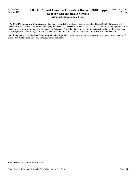### **2009-11 Revised Omnibus Operating Budget (2010 Supp) Dept of Social and Health Services Administration/Support Svcs**

 **9. Civil Detentions and Commitments -** Funding is provided to implement Second Substitute House Bill 2882 (persons with mental disorders) which modifies the involuntary treatment act. The DSHS Research and Data Division will track and report outcomes related to changes in definition from "imminent" to "substantial" likelihood of serious harm for emergent mental health detention. An annual report is due to the Legislature on October 1 of 2011, 2012, and 2013. (General Fund-State, General Fund-Federal)

 **10. Language Access Provider Bargaining -** Funding is provided to support administrative costs related to the implementation of Second Substitute House Bill 3062 (language access provider).

<sup>\*</sup> Near General Fund-State = GF-S + ELT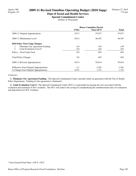#### **Dept of Social and Health Services Special Commitment Center**

(Dollars in Thousands)

|                                         | <b>House Committee Passed</b> |                  |          |
|-----------------------------------------|-------------------------------|------------------|----------|
|                                         | <b>FTEs</b>                   | <b>Near GF-S</b> | Total    |
| 2009-11 Original Appropriations         | 427.5                         | 97,077           | 97,077   |
| 2009-11 Maintenance Level               | 425.4                         | 96,307           | 96,307   |
| <b>2010 Policy Non-Comp Changes:</b>    |                               |                  |          |
| Eliminate City Agreement Funding<br>1.  | 0.0                           | $-139$           | $-139$   |
| Limit Evaluation Costs #<br>2.          | 0.0                           | $-354$           | $-354$   |
| Policy -- Non-Comp Total                | 0.0                           | $-493$           | $-493$   |
| <b>Total Policy Changes</b>             | 0.0                           | $-493$           | -493     |
| 2009-11 Revised Appropriations          | 425.4                         | 95,814           | 95,814   |
| Difference from Original Appropriations | $-2.1$                        | $-1,263$         | $-1,263$ |
| % Change from Original Appropriations   | $-0.5\%$                      | $-1.3\%$         | $-1.3\%$ |

#### *Comments:*

 **1. Eliminate City Agreement Funding -** The Special Commitment Center currently funds an agreement with the City of Seattle Police Department. Funding for the agreement is eliminated.

 **2. Limit Evaluation Costs # -** The Special Commitment Center (SCC) is responsible for paying all costs associated with the evaluation and treatment of SCC residents. The SCC will achieve the savings by standardizing the reimbursement rates of evaluations and depositions for SCC residents.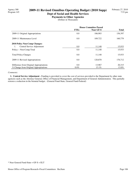### **Dept of Social and Health Services Payments to Other Agencies**

(Dollars in Thousands)

|                                         | <b>House Committee Passed</b> |                  |              |
|-----------------------------------------|-------------------------------|------------------|--------------|
|                                         | <b>FTEs</b>                   | <b>Near GF-S</b> | <b>Total</b> |
| 2009-11 Original Appropriations         | 0.0                           | 106.903          | 156,397      |
| 2009-11 Maintenance Level               | 0.0                           | 109.722          | 160,779      |
| <b>2010 Policy Non-Comp Changes:</b>    |                               |                  |              |
| Central Service Adjustment<br>1.        | 0.0                           | 11,148           | 15,933       |
| Policy -- Non-Comp Total                | 0.0                           | 11,148           | 15,933       |
| <b>Total Policy Changes</b>             | 0.0                           | 11,148           | 15,933       |
| 2009-11 Revised Appropriations          | 0.0                           | 120,870          | 176,712      |
| Difference from Original Appropriations | 0.0                           | 13,967           | 20,315       |
| % Change from Original Appropriations   | $0.0\%$                       | $13.1\%$         | 13.0%        |

#### *Comments:*

 **1. Central Service Adjustment -** Funding is provided to cover the cost of services provided to the Department by other state agencies such as the Attorney General, Office of Financial Management, and Department of General Administration. This partially restores a reduction in the biennial budget. (General Fund-State, General Fund-Federal)

<sup>\*</sup> Near General Fund-State = GF-S + ELT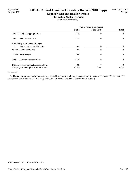### **Dept of Social and Health Services Information System Services**

(Dollars in Thousands)

|                                         | <b>House Committee Passed</b> |                |                |
|-----------------------------------------|-------------------------------|----------------|----------------|
|                                         | <b>FTEs</b>                   | Near GF-S      | <b>Total</b>   |
| 2009-11 Original Appropriations         | 141.8                         | $\theta$       | $\Omega$       |
| 2009-11 Maintenance Level               | 141.8                         | $\theta$       | $\overline{0}$ |
| 2010 Policy Non-Comp Changes:           |                               |                |                |
| Human Resources Reduction               | $-0.8$                        | 0              | $\Omega$       |
| Policy -- Non-Comp Total                | $-0.8$                        | $\overline{0}$ | $\theta$       |
| <b>Total Policy Changes</b>             | $-0.8$                        | $\Omega$       | $\Omega$       |
| 2009-11 Revised Appropriations          | 141.0                         | $\theta$       | $\Omega$       |
| Difference from Original Appropriations | $-0.8$                        | $\theta$       | $\Omega$       |
| % Change from Original Appropriations   | $-0.6\%$                      | $0.0\%$        | $0.0\%$        |

#### *Comments:*

 **1. Human Resources Reduction -** Savings are achieved by streamlining human resources functions across the Department. The Department will eliminate 11.2 FTEs agency-wide. (General Fund-State, General Fund-Federal)

<sup>\*</sup> Near General Fund-State = GF-S + ELT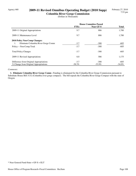# Agency 460 **2009-11 Revised Omnibus Operating Budget (2010 Supp)**

**Columbia River Gorge Commission** (Dollars in Thousands)

|                                           | <b>House Committee Passed</b> |           |              |
|-------------------------------------------|-------------------------------|-----------|--------------|
|                                           | <b>FTEs</b>                   | Near GF-S | <b>Total</b> |
| 2009-11 Original Appropriations           | 9.7                           | 886       | 1,780        |
| 2009-11 Maintenance Level                 | 9.7                           | 886       | 1,780        |
| <b>2010 Policy Non-Comp Changes:</b>      |                               |           |              |
| Eliminate Columbia River Gorge Comm<br>1. | $-3.7$                        | $-300$    | $-605$       |
| Policy -- Non-Comp Total                  | $-3.7$                        | $-300$    | $-605$       |
| <b>Total Policy Changes</b>               | $-3.7$                        | $-300$    | $-605$       |
| 2009-11 Revised Appropriations            | 6.0                           | 586       | 1,175        |
| Difference from Original Appropriations   | $-3.7$                        | $-300$    | $-605$       |
| % Change from Original Appropriations     | $-38.3\%$                     | $-33.9\%$ | $-34.0\%$    |

#### *Comments:*

 **1. Eliminate Columbia River Gorge Comm -** Funding is eliminated for the Columbia River Gorge Commission pursuant to Substitute House Bill 3132 (Columbia river gorge compact). The bill repeals the Columbia River Gorge Compact with the state of Oregon.

<sup>\*</sup> Near General Fund-State = GF-S + ELT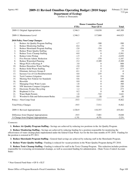## Agency 461 **2009-11 Revised Omnibus Operating Budget (2010 Supp)**

**Department of Ecology**

(Dollars in Thousands)

|     |                                         |             | <b>House Committee Passed</b> |                |
|-----|-----------------------------------------|-------------|-------------------------------|----------------|
|     |                                         | <b>FTEs</b> | <b>Near GF-S</b>              | <b>Total</b>   |
|     | 2009-11 Original Appropriations         | 1,546.3     | 118,038                       | 445,309        |
|     | 2009-11 Maintenance Level               | 1,546.3     | 117,868                       | 444,923        |
|     | 2010 Policy Non-Comp Changes:           |             |                               |                |
| 1.  | Reduce Air Quality Program Staffing     | $-1.7$      | $-300$                        | $-300$         |
| 2.  | <b>Reduce Monitoring Staffing</b>       | $-0.4$      | $-75$                         | $-75$          |
| 3.  | Reduce Shorelands Program Staffing      | $-2.0$      | $-354$                        | $-354$         |
| 4.  | <b>Reduce Water Quality Staffing</b>    | $-1.2$      | $-75$                         | $-75$          |
| 5.  | Reduce Toxic Cleanup Staffing           | $-8.0$      | $\boldsymbol{0}$              | $-3,501$       |
| 6.  | Reduce Litter Pickup                    | $-1.5$      | $\overline{0}$                | $-2,039$       |
| 7.  | Five Percent Admin. Reduction           | $-5.3$      | $-370$                        | $-1,187$       |
| 8.  | Reduce Watershed Planning               | $-5.2$      | $-5,309$                      | $-5,309$       |
| 9.  | Merge PLIA w/Ecology #                  | 3.0         | $\theta$                      | 808            |
| 10. | Reduce Hazardous Waste Staffing         | $-2.0$      | $\overline{0}$                | $-500$         |
| 11. | <b>Reduce Solid Waste Staffing</b>      | $-0.7$      | $\theta$                      | $-273$         |
| 12. | Eliminate Advisory Groups #             | $-0.1$      | $\theta$                      | $-8$           |
| 13. | Increase Use of Cost Reimbursement      | 0.0         | $-235$                        | $\overline{0}$ |
| 14. | Teck Cominco Litigation                 | 0.0         | $\mathbf{0}$                  | 350            |
| 15. | Meeting New Federal Air Standards       | 0.6         | $\theta$                      | 109            |
| 16. | <b>Biosolids</b>                        | 0.0         | $\Omega$                      | 400            |
| 17. | Managing Clean Water Loans              | 1.8         | $\theta$                      | 360            |
| 18. | NW Interstate Compact Litigation        | 0.0         | $\Omega$                      | 220            |
| 19. | <b>Electronic Product Recycling</b>     | 1.2         | $\Omega$                      | 273            |
| 20. | <b>Bisphenol A Use</b>                  | 0.2         | $\overline{0}$                | 48             |
| 21. | <b>Water Right Permits</b>              | 1.8         | $-743$                        | 1,641          |
| 22. | Woodstove Edu and Enforcement Reduc     | 0.0         | $-50$                         | $-50$          |
|     | Policy -- Non-Comp Total                | $-19.5$     | $-7,511$                      | $-9,462$       |
|     | <b>Total Policy Changes</b>             | $-19.5$     | $-7,511$                      | $-9,462$       |
|     | 2009-11 Revised Appropriations          | 1,526.9     | 110,357                       | 435,461        |
|     | Difference from Original Appropriations | $-19.5$     | $-7,681$                      | $-9,848$       |
|     | % Change from Original Appropriations   | $-1.3%$     | $-6.5%$                       | $-2.2%$        |

#### *Comments:*

 **1. Reduce Air Quality Program Staffing -** Savings are achieved by reducing two positions in the Air Quality Program.

 **2. Reduce Monitoring Staffing -** Savings are achieved by reducing funding for a position responsible for monitoring the effectiveness of water cleanup plans implemented under the federal Clean Water Act for the first nine months of FY 2010. Funding for the position is restored in FY 2011.

 **3. Reduce Shorelands Program Staffing -** General fund savings are achieved by reducing staff in the Shorelands Program.

 **4. Reduce Water Quality Staffing -** Funding is reduced for vacant positions in the Water Quality Program during FY 2010.

 **5. Reduce Toxic Cleanup Staffing -** Funding is reduced for staff in the Toxic Cleanup Program. This reduction includes positions responsible for overseeing environmental cleanups, as well as associated funding for administration. (State Toxics Control Account-State)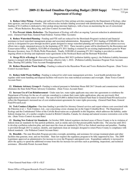#### Agency 461 **2009-11 Revised Omnibus Operating Budget (2010 Supp) Department of Ecology**

 **6. Reduce Litter Pickup -** Funding and staff are reduced for litter pickup activities managed by the Department of Ecology, other state agencies, and local governments. This reduction also includes funding associated with administration. Remaining litter pickup funding of \$1.0 million is dedicated to litter pickup along interstate highways, with a focus on maximizing the use of correctional crews. (Waste Reduction, Recycling, and Litter Control Account-State)

 **7. Five Percent Admin. Reduction -** The Department of Ecology will effect an ongoing 5 percent reduction in administrative costs. (General Fund-State, General Fund-Federal, Various Other Accounts)

 **8. Reduce Watershed Planning -** Funding and FTE staff are reduced for the Shorelands Program's technical and financial assistance to local watershed management groups and associated administration. Remaining FY 2011 funding of \$300,000 for this activity is designated for pass-through incentive grants designed to merge watershed planning and watershed-based salmon recovery efforts into a single, integrated process by the beginning of FY 2012. These incentive grants will be distributed by the Recreation and Conservation Office. In addition, \$235,000 of remaining FY 2011 funding is retained for an existing implementation grant for Water Resource Inventory Area 32 (Walla Walla Watershed). Finally, \$100,000 of remaining FY 2011 funding is provided to continue ongoing efforts to develop and implement water agreements in the Nooksack Basin and the Bertrand Watershed.

 **9. Merge PLIA w/Ecology # -** Pursuant to Engrossed House Bill 3023 (pollution liability agency), the Pollution Liability Insurance Agency is merged with the Department of Ecology, effective July 1, 2010. (Pollution Liability Insurance Program Trust Account-State, Heating Oil Liability Trust Account-Nonappropriated)

 **10. Reduce Hazardous Waste Staffing -** Funding is reduced in the Hazardous Waste and Toxics Reduction Program. (State Toxics Control Account-State)

 **11. Reduce Solid Waste Staffing -** Funding is reduced for solid waste management activities. Local health jurisdictions that regulate solid waste handling and disposal facilities will receive less state technical assistance and oversight. (State Toxics Control Account-State)

 **12. Eliminate Advisory Groups # -** Funding is reduced pursuant to Substitute House Bill 2617 (boards and commissions) which eliminates the State Solid Waste Advisory Committee. (State Toxics Account-State)

 **13. Increase Use of Cost Reimbursement -** Under state law, water rights applicants may enter into agreements to reimburse the Department of Ecology for the use of a private consultant to evaluate their water rights applications, plus any previously filed applications for the same source of water. The sum of \$235,000 is shifted from General Fund-State to General Fund-Private/Local to reflect the Department's increased use of cost reimbursement agreements for water rights processing. (General Fund-State, General Fund-Private/Local)

 **14. Teck Cominco Litigation -** One-time funding is provided for Attorney General services and expert-witness costs associated with the Pakootas et al. v. Teck Cominco, Ltd., case concerning a toxic cleanup site on the Upper Columbia River. The Department of Ecology and the Confederated Tribes of the Colville Reservation are co-plaintiffs in this litigation, which addresses the liability, under federal cleanup law, of a smelter complex located in British Columbia, Canada, for cleanup and natural resource restoration costs at the site. (State Toxics Control Account-State)

 **15. Meeting New Federal Air Standards -** In October 2009, federal regulators declared areas of Pierce County to be in violation of federal clean air standards for fine particle pollution, such as smoke and soot that present public health risks. The area has until 2012 to develop a pollution reduction plan, and must meet the clean air standards by 2014 or face federal sanctions and penalties. Funding is provided through 2013 to analyze, identify, and implement clean air strategies designed to return Pierce County to compliance with federal standards. (Air Pollution Control Account-State)

 **16. Biosolids -** The state Biosolids Program provides oversight, permitting, and assistance for sewage treatment plants and other facilities that generate, treat, and use biosolids. State law requires the regulatory program to be fully supported by fees. The 2009 Legislature approved an administrative fee increase to cover the Program's anticipated costs. Expenditure authority is increased to allow the agency to spend the additional revenue from this fee increase for activities such as permitting, inspections, and technical assistance. (Biosolids Permit Account-State)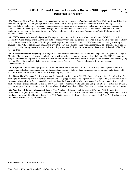## Agency 461 **2009-11 Revised Omnibus Operating Budget (2010 Supp) Department of Ecology**

 **17. Managing Clean Water Loans -** The Department of Ecology operates the Washington State Water Pollution Control Revolving Fund Loan Program. This Program provides low-interest loans to local governments for wastewater treatment facility projects. Increased federal funding, plus increased loan repayments, have resulted in an increase in funds available to be loaned during the 2009-11 biennium. Funding is provided to manage these additional funds available in the capital budget consistent with federal guidelines for loan administration and oversight. (Water Pollution Control Revolving Account-State, Water Pollution Control Revolving Account-Federal)

 **18. NW Interstate Compact Litigation -** Washington is a member of the Northwest Interstate Compact (NWIC) on Low-Level Radioactive Waste Management. As the host state of a facility where regional generators located in eight member states can send lowlevel radioactive waste for disposal, Washington receives permit fee revenue to support NWIC operations, including providing legal counsel. The NWIC is defending itself against a lawsuit filed by a site operator in another member state. The case is going to appeal and is expected to last up to two years. One-time funding is provided for legal defense costs associated with this lawsuit. (Site Closure Account-State)

 **19. Electronic Product Recycling -** Washington law requires manufacturers of televisions and computers, through the Washington Materials Management and Financing Authority, to provide recycling services to consumers free of charge. The 2009-11 operating budget authorized the Department to raise manufacturer fees to fully cover its regulatory oversight of this electronic products recycling process. Expenditure authority is increased to match expected fee revenue. (Electronic Products Recycling Account-Nonappropriated)

 **20. Bisphenol A Use -** Funding is provided for Second Substitute House Bill 1180 (bisphenol A use). The legislation bans the manufacture and sale of containers made with bisphenol A designed to hold food and beverages used by children under the age of 3 and sports water bottles made with bisphenol A beginning July 1, 2010.

 **21. Water Right Permits -** Funding is provided for Second Substitute House Bill 2591 (water rights permits). The bill adjusts fees relating to the processing of water right applications and change applications. The Department of Ecology (DOE) is required to adjust the water right application fees on a periodic basis to reflect the direct administrative costs incurred in the processing of water right applications and change applications and the safety inspection of hydraulic works and plans and specifications. The bill also creates a permit exempt well registry with a registration fee. (Water Rights Processing and Dam Safety Account-State, various other accounts)

 **22. Woodstove Edu and Enforcement Reduc -** The Woodstove Education and Enforcement Program (WEEP) under the Department's Air Quality Program is supported by a one-time purchase fee of \$30 assessed to consumers on the purchase a woodstove, fireplace, or other solid fuel burning device. The WEEP is 65 percent subsidized by the state general fund. The WEEP's state general fund budget is is reduced by \$50,000 in FY 2011.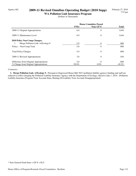# Agency 462 **2009-11 Revised Omnibus Operating Budget (2010 Supp)**

**WA Pollution Liab Insurance Program** (Dollars in Thousands)

|                                         | <b>House Committee Passed</b> |           |              |
|-----------------------------------------|-------------------------------|-----------|--------------|
|                                         | <b>FTEs</b>                   | Near GF-S | <b>Total</b> |
| 2009-11 Original Appropriations         | 6.0                           | $\theta$  | 1,644        |
| 2009-11 Maintenance Level               | 6.0                           | $\theta$  | 1,644        |
| <b>2010 Policy Non-Comp Changes:</b>    |                               |           |              |
| Merge Pollution Liab. w/Ecology #<br>1. | $-3.0$                        | 0         | $-808$       |
| Policy -- Non-Comp Total                | $-3.0$                        | $\theta$  | $-808$       |
| <b>Total Policy Changes</b>             | $-3.0$                        | $\theta$  | $-808$       |
| 2009-11 Revised Appropriations          | 3.0                           | $\theta$  | 836          |
| Difference from Original Appropriations | $-3.0$                        | $\theta$  | $-808$       |
| % Change from Original Appropriations   | $-50.0\%$                     | $0.0\%$   | $-49.2\%$    |

#### *Comments:*

 **1. Merge Pollution Liab. w/Ecology # -** Pursuant to Engrossed House Bill 3023 (pollution liability agency) funding and staff are reduced to reflect merging the Pollution Liability Insurance Agency with the Department of Ecology, effective July 1, 2010. (Pollution Liability Insurance Program Trust Account-State, Heating Oil Liability Trust Account-Nonappropriated)

<sup>\*</sup> Near General Fund-State = GF-S + ELT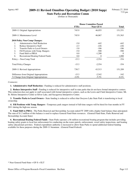### Agency 465 **2009-11 Revised Omnibus Operating Budget (2010 Supp)**

**State Parks and Recreation Comm** (Dollars in Thousands)

|                                             | <b>House Committee Passed</b> |                  |              |
|---------------------------------------------|-------------------------------|------------------|--------------|
|                                             | <b>FTEs</b>                   | <b>Near GF-S</b> | <b>Total</b> |
| 2009-11 Original Appropriations             | 745.9                         | 46,055           | 151,551      |
| 2009-11 Maintenance Level                   | 745.9                         | 46,067           | 151,563      |
| 2010 Policy Non-Comp Changes:               |                               |                  |              |
| <b>Administrative Staff Reduction</b><br>1. | $-5.0$                        | $-442$           | -442         |
| 2.<br>Reduce Interpretive Staff             | $-2.3$                        | $-226$           | $-226$       |
| 3.<br><b>Transfer Parks to Local Owners</b> | $-3.0$                        | -186             | $-186$       |
| 4.<br>Fill Positions with Temp. Rangers     | $-5.0$                        | $-500$           | $-500$       |
| 5.<br>Fund Shift to PRSA                    | 0.0                           | $-1,200$         | $\Omega$     |
| 6.<br>Recreational Boating Federal Funds    | 0.0                           | $\theta$         | 1,000        |
| Policy -- Non-Comp Total                    | $-15.3$                       | $-2,554$         | $-354$       |
| <b>Total Policy Changes</b>                 | $-15.3$                       | $-2,554$         | $-354$       |
| 2009-11 Revised Appropriations              | 730.7                         | 43,513           | 151,209      |
| Difference from Original Appropriations     | $-15.3$                       | $-2,542$         | -342         |
| % Change from Original Appropriations       | $-2.0\%$                      | $-5.5\%$         | $-0.2\%$     |

#### *Comments:*

**1. Administrative Staff Reduction - Funding is reduced for administrative staff positions.** 

 **2. Reduce Interpretive Staff -** Funding is reduced for interpretive staff in state parks that do not have formal interpretive centers. This reduction does not apply to staff associated with formal interpretive centers, such as the Lewis and Clark Interpretive Center, Mt. St. Helens Interpretive Center at Silver Lake, and Sacagawea Interpretive Center.

 **3. Transfer Parks to Local Owners -** State funding is reduced to reflect that Osoyoos Lake State Park is transferring to local ownership.

 **4. Fill Positions with Temp. Rangers -** Temporary park rangers instead of full-time rangers will be hired for four months in FY 2011 during the high-use season.

 **5. Fund Shift to PRSA -** The Parks Renewal and Stewardship Account ended FY 2009 with a higher fund balance than anticipated. The sum of \$1.2 million of this balance is used to replace General Fund-State resources. (General Fund-State, Parks Renewal and Stewardship Account-State)

 **6. Recreational Boating Federal Funds -** State Parks operates a \$6 million recreational boating program that includes providing boating safety grants to local law enforcement for conducting on-the-water patrols, enforcement, vessel safety inspections, and boating safety educational activities. Federal expenditure authority is increased to allow State Parks to spend additional federal funding available for these purposes during the 2009-11 biennium. (General Fund-Federal)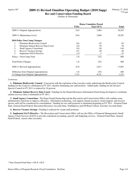# Agency 467 **2009-11 Revised Omnibus Operating Budget (2010 Supp)**

**Rec and Conservation Funding Board** (Dollars in Thousands)

|                                           | <b>House Committee Passed</b> |           |          |
|-------------------------------------------|-------------------------------|-----------|----------|
|                                           | <b>FTEs</b>                   | Near GF-S | Total    |
| 2009-11 Original Appropriations           | 24.8                          | 3,069     | 18,207   |
| 2009-11 Maintenance Level                 | 24.8                          | 3,069     | 18,207   |
| <b>2010 Policy Non-Comp Changes:</b>      |                               |           |          |
| 1.<br>Eliminate Biodiversity Council      | $-0.6$                        | $-92$     | $-92$    |
| Eliminate Salmon Recovry Data Coord<br>2. | 0.0                           | $-78$     | $-78$    |
| 3.<br><b>Small Agency Consortium</b>      | 0.0                           | $-26$     | $-144$   |
| 4.<br><b>Recover Vacancy Savings</b>      | $-0.2$                        | -49       | -49      |
| 5.<br><b>Implement SACS Directive</b>     | $-1.0$                        | $-7$      | $-37$    |
| Policy -- Non-Comp Total                  | $-1.8$                        | $-252$    | $-400$   |
| <b>Total Policy Changes</b>               | $-1.8$                        | $-252$    | $-400$   |
| 2009-11 Revised Appropriations            | 23.0                          | 2,817     | 17,807   |
| Difference from Original Appropriations   | $-1.8$                        | $-252$    | $-400$   |
| % Change from Original Appropriations     | $-7.1\%$                      | $-8.2\%$  | $-2.2\%$ |

#### *Comments:*

 **1. Eliminate Biodiversity Council -** Concurrent with the expiration of the executive order authorizing the Biodiversity Council, funding for the Council is eliminated in FY 2011, thereby eliminating one staff position. Additionally, funding for the Invasive Species Council in FY 2011 is reduced by 10 percent.

 **2. Eliminate Salmon Recovry Data Coord -** Funding for the Natural Resources Information Portal being developed to coordinate salmon recovery data is eliminated in FY 2011.

 **3. Small Agency Consortium -** The Puget Sound Partnership and the Recreation and Conservation Office will combine some administrative functions to improve efficiency. Information technology, web support, human resources, board support, and invasive species staff will be considered for consolidation. Funding for two staff positions is eliminated beginning in FY 2011. (General Fund-State, General Fund-Federal, Recreation Resources Account-State, Nonhighway and Off-Road Vehicle Activities Account-State)

 **4. Recover Vacancy Savings -** Funding is reduced for vacant staff positions.

 **5. Implement SACS Directive -** The Recreation and Conservation Office will use the Office of Financial Management's Small Agency Client Services (SACS) to provide centralized accounting, payroll, and budgeting services. (General Fund-State, General Fund-Federal, various other accounts)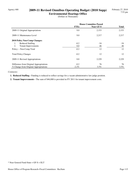# Agency 468 **2009-11 Revised Omnibus Operating Budget (2010 Supp)**

**Environmental Hearings Office** (Dollars in Thousands)

|                                         | <b>House Committee Passed</b> |           |              |
|-----------------------------------------|-------------------------------|-----------|--------------|
|                                         | <b>FTEs</b>                   | Near GF-S | <b>Total</b> |
| 2009-11 Original Appropriations         | 9.0                           | 2,153     | 2,153        |
| 2009-11 Maintenance Level               | 9.0                           | 2,217     | 2,217        |
| <b>2010 Policy Non-Comp Changes:</b>    |                               |           |              |
| <b>Reduced Staffing</b><br>1.           | $-0.2$                        | $-34$     | $-34$        |
| 2.<br><b>Tenant Improvements</b>        | 0.0                           | 46        | 46           |
| Policy -- Non-Comp Total                | $-0.2$                        | 12        | 12           |
| <b>Total Policy Changes</b>             | $-0.2$                        | 12        | 12           |
| 2009-11 Revised Appropriations          | 8.8                           | 2,229     | 2,229        |
| Difference from Original Appropriations | $-0.2$                        | 76        | 76           |
| % Change from Original Appropriations   | $-2.2\%$                      | 3.5%      | $3.5\%$      |

*Comments:*

 **1. Reduced Staffing -** Funding is reduced to reflect savings for a vacant administrative law judge position.

 **2. Tenant Improvements -** The sum of \$46,000 is provided in FY 2011 for tenant improvement costs.

<sup>\*</sup> Near General Fund-State = GF-S + ELT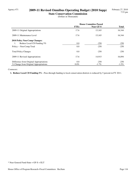# Agency 471 **2009-11 Revised Omnibus Operating Budget (2010 Supp)**

**State Conservation Commission** (Dollars in Thousands)

|                                         | <b>House Committee Passed</b> |           |              |
|-----------------------------------------|-------------------------------|-----------|--------------|
|                                         | <b>FTEs</b>                   | Near GF-S | <b>Total</b> |
| 2009-11 Original Appropriations         | 17.6                          | 15,165    | 16,344       |
| 2009-11 Maintenance Level               | 17.6                          | 15,165    | 16,344       |
| <b>2010 Policy Non-Comp Changes:</b>    |                               |           |              |
| Reduce Local CD Funding 5%<br>1.        | 0.0                           | $-250$    | $-250$       |
| Policy -- Non-Comp Total                | 0.0                           | $-250$    | $-250$       |
| <b>Total Policy Changes</b>             | 0.0                           | $-250$    | $-250$       |
| 2009-11 Revised Appropriations          | 17.6                          | 14,915    | 16,094       |
| Difference from Original Appropriations | 0.0                           | $-250$    | $-250$       |
| % Change from Original Appropriations   | $0.0\%$                       | $-1.7\%$  | $-1.5\%$     |

#### *Comments:*

 **1. Reduce Local CD Funding 5% -** Pass-through funding to local conservation districts is reduced by 5 percent in FY 2011.

<sup>\*</sup> Near General Fund-State = GF-S + ELT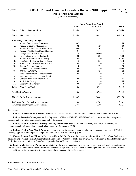# Agency 477 **2009-11 Revised Omnibus Operating Budget (2010 Supp)**

**Dept of Fish and Wildlife**

(Dollars in Thousands)

|     |                                         |             | <b>House Committee Passed</b> |              |  |
|-----|-----------------------------------------|-------------|-------------------------------|--------------|--|
|     |                                         | <b>FTEs</b> | Near GF-S                     | <b>Total</b> |  |
|     | 2009-11 Original Appropriations         | 1,385.6     | 79,577                        | 326,669      |  |
|     | 2009-11 Maintenance Level               | 1,385.6     | 80,413                        | 331,519      |  |
|     | 2010 Policy Non-Comp Changes:           |             |                               |              |  |
| 1.  | Reduce Outreach and Education           | $-0.7$      | $-155$                        | $-155$       |  |
| 2.  | Reduce Executive Management             | $-0.5$      | $-120$                        | $-120$       |  |
| 3.  | Reduce Wildlife Disease Monitoring      | $-0.8$      | $-162$                        | $-162$       |  |
| 4.  | Reduce Wildlife Area Mgmt Planning      | $-0.7$      | $-114$                        | $-114$       |  |
| 5.  | Charge Fees for Some HPAs *             | 1.8         | $-3,060$                      | 347          |  |
| 6.  | Fund Hatcheries Using Partnerships      | 0.0         | $-288$                        | $-288$       |  |
| 7.  | Reduce Fisheries Mgmt Authority         | 0.0         | $\theta$                      | $-5,792$     |  |
| 8.  | Less Scientific TA for Salmon Revry     | $-1.2$      | $-250$                        | $-250$       |  |
| 9.  | Eliminate Reg Fisheries Enh Board #     | 0.0         | $\theta$                      | $-20$        |  |
| 10. | <b>Restore Aviation Funding</b>         | 1.0         | 170                           | 170          |  |
| 11. | <b>Maintain Core Admin Functions</b>    | 0.0         | $\boldsymbol{0}$              | 2,000        |  |
| 12. | Wildfire on WDFW Lands                  | 0.0         | 185                           | 185          |  |
| 13. | Fund Support Prgrms Proportionately     | 0.0         | $\theta$                      | 710          |  |
| 14. | Incr Hunter Access on Private Land      | 1.5         | $\Omega$                      | 711          |  |
| 15. | <b>Outdoor Recreation Information</b>   | 0.0         | $\theta$                      | 123          |  |
| 16. | Spirit Lake Fishery                     | 0.2         | $\Omega$                      | 56           |  |
| 17. | Voight Creek Hatchery                   | 0.0         | 50                            | 50           |  |
|     | Policy -- Non-Comp Total                | 0.6         | $-3,744$                      | $-2,549$     |  |
|     | <b>Total Policy Changes</b>             | 0.6         | $-3,744$                      | $-2,549$     |  |
|     | 2009-11 Revised Appropriations          | 1,386.2     | 76,669                        | 328,970      |  |
|     | Difference from Original Appropriations | 0.6         | $-2,908$                      | 2,301        |  |
|     | % Change from Original Appropriations   | $0.0\%$     | $-3.7%$                       | 0.7%         |  |

#### *Comments:*

**1. Reduce Outreach and Education - Funding for outreach and education programs is reduced by 6 percent in FY 2011.** 

 **2. Reduce Executive Management -** The Department of Fish and Wildlife (WDFW) will reduce one executive management position and consolidate administrative and policy functions.

 **3. Reduce Wildlife Disease Monitoring -** Funding for the Puget Sound Ambient Monitoring Laboratory and testing for contaminants in salmon and other species is reduced by 18 percent in FY 2011.

 **4. Reduce Wildlife Area Mgmt Planning -** Funding for wildlife area management planning is reduced 3 percent in FY 2011, delaying approximately 20 plans and updates and input from citizen advisory groups.

 **5. Charge Fees for Some HPAs \* -** Pursuant to House Bill 3037 (hydraulic project permitting) General Fund-State funding for administering Hydraulic Permit Approvals is eliminated as of January 1, 2011. The program will fully recover its costs through a new fee by January 2011. (General Fund-State, Hydraulic Permit Fee Account-State)

 **6. Fund Hatcheries Using Partnerships -** State law allows the Department to enter into partnerships with local groups to support fish hatcheries. Funding is reduced for the McKernan and Mayr Brothers fish hatcheries in anticipation of the Department forming partnerships to assist in supporting the operation and maintenance of these hatcheries.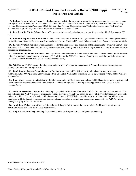## Agency 477 **2009-11 Revised Omnibus Operating Budget (2010 Supp) Dept of Fish and Wildlife**

 **7. Reduce Fisheries Mgmt Authority -** Reductions are made to the expenditure authority for five accounts for projected revenue during the 2009-11 biennium. No planned work will be reduced. (Special Wildlife Account-Federal, Sea Cucumber Dive Fishery Account-Nonappropriated, Puget Sound Crab Pot Buoy Tag Account-Nonappropriated, Washington Coastal Crab Pot Buoy Tag Account-Nonappropriated, Recreational Fisheries Enhancement Account-State)

**8. Less Scientific TA for Salmon Rcvry -** Technical assistance to local salmon recovery efforts is reduced by 2.5 percent in FY 2011.

 **9. Eliminate Reg Fisheries Enh Board # -** Pursuant to Substitute House Bill 2617 (boards and commissions) funding is eliminated for the Regional Fisheries Enhancement Group Advisory Board. (Regional Fisheries Enhancement Group Account-Nonappropriated)

**10. Restore Aviation Funding -** Funding is restored for the maintenance and operation of the Department's Partenavia aircraft. The Partenavia will continue to be used for survey missions and fish planting, and will assist the Department of Natural Resources with fire suppression coordination.

 **11. Maintain Core Admin Functions -** The Department's indirect rate for administration and overhead from federal grants has been reduced, resulting in a net loss of approximately \$3.8 million for the 2009-11 biennium. Funding is provided to partially restore the loss from the lower indirect rate. (State Wildlife Account-State)

 **12. Wildfire on WDFW Lands -** Funding is provided to WDFW to pay for Department of Natural Resources fire suppression activity costs incurred during FY 2010.

**13. Fund Support Prgrms Proportionately - Funding is provided in FY 2011 to pay for administrative support services.** Additionally, \$250,000 per fiscal year will support the automated Washington Interactive Licensing Database system. (State Wildlife Account-State)

 **14. Incr Hunter Access on Private Land -** Funding is provided for the Department to bring 200,000 additional acres of private land under contract for recreational access. The program is funded through special hunting permit application fees. (State Wildlife Account-State)

 **15. Outdoor Recreation Information -** Funding is provided for Substitute House Bill 2569 (outdoor recreation information). The bill authorizes the WDFW to collect information relating to outdoor recreational access on a page of its website that is only accessible to license holders. The cost of a Vehicle Use Permit issued by the WDFW is increased in steps from \$10 to \$30. Individuals who purchase a wildlife-themed or personalized license plate are permitted to park at land access sites managed by the WDFW without having to display a Vehicle Use Permit.

 **16. Spirit Lake Fishery -** A raffle-based limited trout fishery in Spirit Lake at the base of Mount St. Helens is authorized by Substitute House Bill 1838 (Spirit Lake trout fishery).

 **17. Voight Creek Hatchery -** Funding is provided to enhance fish production at Voight Creek Hatchery.

<sup>\*</sup> Near General Fund-State = GF-S + ELT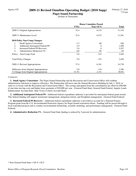## Agency 478 **2009-11 Revised Omnibus Operating Budget (2010 Supp)**

**Puget Sound Partnership** (Dollars in Thousands)

|                                                | <b>House Committee Passed</b> |           |        |
|------------------------------------------------|-------------------------------|-----------|--------|
|                                                | <b>FTEs</b>                   | Near GF-S | Total  |
| 2009-11 Original Appropriations                | 32.4                          | 6,315     | 11,334 |
| 2009-11 Maintenance Level                      | 32.4                          | 6,333     | 11,281 |
| 2010 Policy Non-Comp Changes:                  |                               |           |        |
| 1.<br><b>Small Agency Consortium</b>           | $-1.5$                        | -60       | $-106$ |
| <b>Additional Anticipated Federal PS</b><br>2. | 2.9                           | $\theta$  | 1,400  |
| 3.<br><b>Increased Federal PS Recovery</b>     | 3.6                           | $\theta$  | 2,247  |
| 4.<br>Administrative Reduction 5%              | 0.0                           | $-92$     | $-92$  |
| Policy -- Non-Comp Total                       | 5.0                           | $-152$    | 3,449  |
| <b>Total Policy Changes</b>                    | 5.0                           | $-152$    | 3,449  |
| 2009-11 Revised Appropriations                 | 37.4                          | 6,181     | 14,730 |
| Difference from Original Appropriations        | 5.0                           | $-134$    | 3,396  |
| % Change from Original Appropriations          | 15.3%                         | $-2.1\%$  | 30.0%  |

#### *Comments:*

 **1. Small Agency Consortium -** The Puget Sound Partnership and the Recreation and Conservation Office will combine administrative functions to improve efficiency. The Partnership will move into the Natural Resources Building by July 1, 2010, in order to co-locate with the Recreation and Conservation Office. The savings anticipated from the consolidation are offset by \$90,000 of one-time moving costs and higher lease payments of \$20,000 per year. (General Fund-State, General Fund-Federal, Aquatic Lands Enhancement Account-State, State Toxics Control Account-State)

 **2. Additional Anticipated Federal PS -** Additional federal expenditure authority is provided for anticipated federal grant awards. This federal funding will support stormwater management, mitigation reform, and floodplain management. (General Fund-Federal)

 **3. Increased Federal PS Recovery -** Additional federal expenditure authority is provided to account for a National Estuary Program grant from the U.S. Environmental Protection Agency for Puget Sound restoration efforts. Funding will be passed through to local watershed projects and to conduct environmental monitoring, scientific modeling, and performance management. (General Fund-Federal)

 **4. Administrative Reduction 5% -** General Fund-State funding is reduced by 5 percent for administration.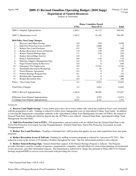## Agency 490 **2009-11 Revised Omnibus Operating Budget (2010 Supp)**

**Department of Natural Resources** (Dollars in Thousands)

|     |                                         |             | <b>House Committee Passed</b> |                |
|-----|-----------------------------------------|-------------|-------------------------------|----------------|
|     |                                         | <b>FTEs</b> | Near GF-S                     | <b>Total</b>   |
|     | 2009-11 Original Appropriations         | 1,365.2     | 81,132                        | 360,354        |
|     | 2009-11 Maintenance Level               | 1,365.2     | 81,142                        | 360,385        |
|     | 2010 Policy Non-Comp Changes:           |             |                               |                |
| 1.  | <b>Recover Land Mgmt Savings</b>        | 0.0         | $-950$                        | $-1,650$       |
| 2.  | Shift Fire Protection Costs to FFPA     | 0.0         | $-5,000$                      | $\overline{0}$ |
| 3.  | <b>Reduce New Land Purchases</b>        | $-0.5$      | $-100$                        | $-100$         |
| 4.  | Reduce Recreation Access & Enfremt      | $-1.8$      | $-278$                        | $-278$         |
| 5.  | Reduce Natural Heritage Pgm             | $-1.7$      | $-218$                        | $-218$         |
| 6.  | Reduce Survey/Maps Activity             | 0.0         | $\Omega$                      | $-200$         |
| 7.  | Reduce Administration                   | $-0.6$      | $-110$                        | $-110$         |
| 8.  | Maintain Adaptive Management Pgm        | 0.0         | $\Omega$                      | 1,530          |
| 9.  | Puget Sound Cleanup & Recovery          | 0.0         | $\Omega$                      | 640            |
| 10. | <b>Emergency Fire Suppression</b>       | 0.0         | 11,542                        | 11,542         |
| 11. | <b>Sustainable Recreation Workgroup</b> | 0.3         | 56                            | 56             |
| 12. | <b>Forest Biomass Agreements</b>        | 0.4         | 0                             | 87             |
| 13. | Natural Heritage Program Fees           | 0.1         | $\Omega$                      | 143            |
| 14. | Reimbursable Agreements                 | 1.0         | $\theta$                      | 1,000          |
| 15. | <b>Reopen Recreation Sites</b>          | 0.4         | $\Omega$                      | 200            |
|     | Policy -- Non-Comp Total                | $-2.4$      | 4,942                         | 12,642         |
|     | <b>Total Policy Changes</b>             | $-2.4$      | 4,942                         | 12,642         |
|     | 2009-11 Revised Appropriations          | 1,362.8     | 86,084                        | 373,027        |
|     | Difference from Original Appropriations | $-2.4$      | 4,952                         | 12,673         |
|     | % Change from Original Appropriations   | $-0.2%$     | 6.1%                          | 3.5%           |

#### *Comments:*

 **1. Recover Land Mgmt Savings -** Lower timber prices have led to fewer timber sales which has resulted in fewer costs associated with the preparation of sales. Funding is reduced to reflect lower management costs on Agricultural College Trust Lands. In addition to lowering the Department's expenditure authority in the Agricultural College Trust Management Account (ACTMA), the amount of General Fund-State funding provided for deposit into the ACTMA is also reduced. (General Fund-State, Agricultural College Trust Management Account-State)

 **2. Shift Fire Protection Costs to FFPA -** Fire preparedness and prevention costs are shifted from the General Fund-State to the Forest Fire Protection Assessment Account-Nonappropriated. (General Fund-State, Forest Fire Protection Assessment Account-Nonappropriated)

 **3. Reduce New Land Purchases -** Funding is eliminated for a staff position that applies for new land acquisitions from state grant programs.

 **4. Reduce Recreation Access & Enfrcmt -** Funding for staffing recreation programs is reduced by 4 percent in FY 2011. This reduction results in the closure of 22 primitive facilities throughout the state. One law enforcement position is also reduced.

 **5. Reduce Natural Heritage Pgm -** General Fund-State support of the Natural Heritage Program is reduced. The Program provides data that is used by a number of agencies, organizations, companies, and individuals for conservation planning, environmental review processes, and other information requests. The Department is authorized to charge fees pursuant to House Bill 3122 (Natural heritage program/DNR) to recover costs associated with providing this service.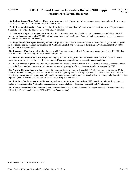**6. Reduce Survey/Maps Activity -** Due to lower revenue into the Survey and Maps Account, expenditure authority for mapping and surveys is reduced. (Survey and Maps Account-State)

 **7. Reduce Administration -** Funding is reduced for the proportionate share of administrative costs from the the Department of Natural Resources' (DNR) other General Fund-State reductions.

 **8. Maintain Adaptive Management Pgm -** Funding is provided to continue DNR's adaptive management activities. FY 2011 funding for this program includes \$970,000 of redirected Forest and Fish Support Account funding. (Aquatic Lands Enhancement Account-State, General Fund-Federal)

**9. Puget Sound Cleanup & Recovery -** Funding is provided for projects that remove contaminants from Puget Sound. Projects include completing the remedial investigation of Whitmarsh Landfill, and repairing a sediment cap in Commencement Bay. (State Toxics Control Account-State)

 **10. Emergency Fire Suppression -** Funding is provided for costs associated with fire suppression activities during FY 2010 that were above the DNR's existing fire suppression appropriation.

 **11. Sustainable Recreation Workgroup -** Funding is provided for Engrossed Second Substitute House Bill 2480 (sustainable recreation work group). The bill specifies fees that the Department may charge for access to recreational areas.

 **12. Forest Biomass Agreements -** Funding is provided for Second Substitute House Bill 2481 (forest biomass agreements) which permits DNR to enter into contracts for the purpose of providing a supply of forest biomass from lands managed by DNR.

 **13. Natural Heritage Program Fees -** Expenditure Authority is provided for House Bill 3122 (natural heritage program/DNR) which allows DNR to charge access fees for the Natural Heritage Program. The Program provides data that is used by a number of agencies, organizations, companies, and individuals for conservation planning, environmental review processes, and other information requests. (Natural Resources Conservation Areas Stewardship Account-State)

 **14. Reimbursable Agreements -** Additional expenditure authority is provided to allow DNR to utilize reimbursable agreements related to reforestation, the Washington Conservation Corps, and habitat restoration. (General Fund-Private/Local)

 **15. Reopen Recreation Sites -** Funding is provided from the Off Road Vehicle Account to support access to 13 recreational sites utilized by off road vehicle users. (Off Road Vehicle Account-State)

<sup>\*</sup> Near General Fund-State = GF-S + ELT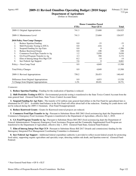### Agency 495 **2009-11 Revised Omnibus Operating Budget (2010 Supp)**

**Department of Agriculture** (Dollars in Thousands)

|                                           | <b>House Committee Passed</b> |                  |              |
|-------------------------------------------|-------------------------------|------------------|--------------|
|                                           | <b>FTEs</b>                   | <b>Near GF-S</b> | <b>Total</b> |
| 2009-11 Original Appropriations           | 741.3                         | 23,600           | 126,925      |
| 2009-11 Maintenance Level                 | 741.3                         | 23,604           | 126,937      |
| 2010 Policy Non-Comp Changes:             |                               |                  |              |
| 1.<br>Reduce Spartina Funding             | $0.0\,$                       | $-33$            | $-33$        |
| 2.<br>Shift Pesticides Testing to STCA    | 0.0                           | $-416$           | $\Omega$     |
| 3.<br>Suspend Funding for Agr Fairs       | $0.0\,$                       | $\Omega$         | $-1,200$     |
| <b>Reduce Knotweed Grants</b><br>4.       | 0.0                           | $-108$           | $-108$       |
| 5.<br>Commerce Food Pgm Transfer to Ag    | 1.2                           | 5,030            | 5,030        |
| 6.<br>GA Food Program Transfer to Ag      | 2.3                           | 390              | 3,172        |
| 7.<br>Elim of Interag Integr Pest Mgt CC# | $-0.2$                        | $-14$            | $-14$        |
| 8.<br>Incr Federal Agr Support            | 5.6                           | $\Omega$         | 6,661        |
| Policy -- Non-Comp Total                  | 8.9                           | 4,849            | 13,508       |
| <b>Total Policy Changes</b>               | 8.9                           | 4,849            | 13,508       |
| 2009-11 Revised Appropriations            | 750.2                         | 28,453           | 140,445      |
| Difference from Original Appropriations   | 8.9                           | 4,853            | 13,520       |
| % Change from Original Appropriations     | 1.2%                          | 20.6%            | $10.7\%$     |

#### *Comments:*

 **1. Reduce Spartina Funding -** Funding for the eradication of Spartina is reduced.

 **2. Shift Pesticides Testing to STCA -** Environmental pesticide testing is transferred to the State Toxics Control Account from the state general fund. (General Fund-State, State Toxics Control Account-State)

 **3. Suspend Funding for Agr Fairs -** The transfer of \$2 million state general fund dollars to the Fair Fund for agricultural fairs is eliminated for FY 2011. Available fund balance in the Fair Fund will offset about half of the reduction. Funding for youth shows will not be reduced during the 2009-11 biennium. (Fair Fund-Nonappropriated)

**4. Reduce Knotweed Grants - Grants for Knotweed removal projects are reduced.** 

 **5. Commerce Food Pgm Transfer to Ag -** Pursuant to Substitute House Bill 2863 (food assistance/ag dept) the Department of Commerce's Emergency Food Assistance Program is transferred to the Department of Agriculture, effective July 1, 2010.

 **6. GA Food Program Transfer to Ag -** Pursuant to Substitute House Bill 2863 (food assistance/ag dept) the Department of General Administration's Temporary Emergency Food Assistance Program and the Commodity Supplemental Food Program are transferred to the Department of Agriculture, effective July 1, 2010. (General Fund-State, General Fund-Federal)

 **7. Elim of Interag Integr Pest Mgt CC# -** Pursuant to Substitute House Bill 2617 (boards and commissions) funding for the Interagency Integrated Pest Management Coordinating Committee is eliminated.

 **8. Incr Federal Agr Support -** Additional federal expenditure authority is provided to reflect recent federal awards for protecting food safety, supporting organic agriculture and specialty crops, detecting sudden oak death, and Spartina removal. (General Fund-Federal)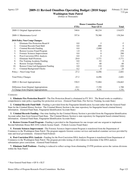#### Agency 225 **2009-11 Revised Omnibus Operating Budget (2010 Supp)**

**Washington State Patrol**

(Dollars in Thousands)

|     |                                         | <b>House Committee Passed</b> |           |              |
|-----|-----------------------------------------|-------------------------------|-----------|--------------|
|     |                                         | <b>FTEs</b>                   | Near GF-S | <b>Total</b> |
|     | 2009-11 Original Appropriations         | 548.6                         | 80,234    | 134,875      |
|     | 2009-11 Maintenance Level               | 557.6                         | 79,380    | 139,264      |
|     | 2010 Policy Non-Comp Changes:           |                               |           |              |
| 1.  | Eliminate Fire Protection Board #       | 0.0                           | $-3$      | $-5$         |
| 2.  | Criminal Records Fund Shift             | 0.0                           | $-800$    | $\Omega$     |
| 3.  | Criminal Records Funding                | 0.0                           | $-2,000$  | $\theta$     |
| 4.  | Restore License Fraud Program           | 1.0                           | $\theta$  | 270          |
| 5.  | Forensic Sciences Improvement           | 0.0                           | $_{0}$    | 288          |
| 6.  | Post-Conviction DNA Analysis            | 0.0                           | 0         | 313          |
| 7.  | <b>Eliminate Staff Positions</b>        | $-29.0$                       | $-3,771$  | $-3,771$     |
| 8.  | Fire Training Academy Funding           | 0.0                           | $-92$     | $\Omega$     |
| 9.  | <b>Restore Trooper Funding</b>          | 0.7                           | 60        | 60           |
| 10. | Restore Crime Lab Equipment Funding     | 0.0                           | 110       | 220          |
| 11. | Criminal Background Checks              | 0.2                           | 0         | 24           |
|     | Policy -- Non-Comp Total                | $-27.2$                       | $-6,496$  | $-2,601$     |
|     | <b>Total Policy Changes</b>             | $-27.2$                       | $-6,496$  | $-2,601$     |
|     | 2009-11 Revised Appropriations          | 530.5                         | 72,884    | 136,663      |
|     | Difference from Original Appropriations | $-18.1$                       | $-7,350$  | 1,788        |
|     | % Change from Original Appropriations   | $-3.3\%$                      | $-9.2%$   | 1.3%         |

#### *Comments:*

 **1. Eliminate Fire Protection Board # -** The Fire Protection Board is eliminated in FY 2011. The Board works to establish a comprehensive state policy regarding fire protection services. (General Fund-State, Fire Service Training Account-State)

 **2. Criminal Records Fund Shift -** Funding is provided from the Fingerprint Identification Account rather than the General Fund-State for the Criminal History Section. The Criminal History Section is the state repository for fingerprint based criminal history information. (General Fund-State, Fingerprint Identification Account-State)

**3. Criminal Records Funding -** One-time funding for the Criminal History Section is provided from the Fingerprint Identification Account rather than from General Fund-State. The Criminal History Section is state repository for fingerprint based criminal history information. (General Fund-State, Fingerprint Identification Account-State)

 **4. Restore License Fraud Program -** Funding is provided to the Department for one trooper and one sergeant to implement Second Substitute House Bill 2436 (vehicle license fraud). (Vehicle License Fraud-State)

 **5. Forensic Sciences Improvement -** The Forensic Sciences Improvement Program is transferred from the Department of Commerce to the Washington State Patrol. The program supports forensic science services and medical examiner services provided by state and local governments. (General Fund-Federal)

 **6. Post-Conviction DNA Analysis -** Funding for the Post-Conviction DNA Analysis Program is transferred from Department of Commerce to the Washington State Patrol. The program provides testing of old evidence to determine if the DNA analysis substantiates prior convictions. (General Fund-Federal)

 **7. Eliminate Staff Positions -** Funding is reduced to reflect savings from eliminating 25 FTE positions across the various divisions within the State Patrol.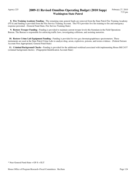### Agency 225 **2009-11 Revised Omnibus Operating Budget (2010 Supp) Washington State Patrol**

 **8. Fire Training Academy Funding -** The remaining state general funds are removed from the State Patrol Fire Training Academy (FTA) and funding is provided from the Fire Service Training Account. The FTA provides live fire training to fire and emergency response personnel. (General Fund-State, Fire Service Training-State)

 **9. Restore Trooper Funding -** Funding is provided to maintain current trooper levels this biennium in the Field Operations Bureau. The Bureau is responsible for enforcing traffic laws, investigating collisions, and assisting motorists.

 **10. Restore Crime Lab Equipment Funding -** Funding is provided for two gas chromatograph/mass spectrometers. These instruments are used at the State Patrol Crime Labs to analyze drug, arson, explosives, poisons, and toxins evidence. (Federal Seizure Account-Non Appropriated, General Fund-State)

 **11. Criminal Background Checks -** Funding is provided for the additional workload associated with implementing House Bill 2437 (criminal background checks). (Fingerprint Identification Account-State)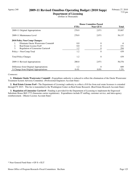## Agency 240 **2009-11 Revised Omnibus Operating Budget (2010 Supp)**

**Department of Licensing** (Dollars in Thousands)

|                                           | <b>House Committee Passed</b> |           |              |
|-------------------------------------------|-------------------------------|-----------|--------------|
|                                           | <b>FTEs</b>                   | Near GF-S | <b>Total</b> |
| 2009-11 Original Appropriations           | 278.9                         | 2,971     | 55,887       |
| 2009-11 Maintenance Level                 | 278.9                         | 2,971     | 56,137       |
| 2010 Policy Non-Comp Changes:             |                               |           |              |
| Eliminate Onsite Wastewater Commit#<br>1. | 0.0                           | 0         | -6           |
| 2.<br>Real Estate License Fee#            | 0.0                           | 0         | 151          |
| 3.<br>Regulation of Limousine Carriers#   | 1.2                           |           | 294          |
| Policy -- Non-Comp Total                  | 1.2                           | $\theta$  | 439          |
| <b>Total Policy Changes</b>               | 1.2                           | $\theta$  | 439          |
| 2009-11 Revised Appropriations            | 280.0                         | 2,971     | 56,576       |
| Difference from Original Appropriations   | 1.2                           | $\Omega$  | 689          |
| % Change from Original Appropriations     | $0.4\%$                       | $0.0\%$   | $1.2\%$      |

#### *Comments:*

 **1. Eliminate Onsite Wastewater Commit# -** Expenditure authority is reduced to reflect the elimination of the Onsite Wastewater Treatment System Advisory Committee. (Professional Engineers Account-State)

 **2. Real Estate License Fee# -** The Department of Licensing's authority to collect a \$10 fee from real estate licensees is extended through FY 2015. This fee is transmitted to the Washington Center on Real Estate Research. (Real Estate Research Account-State)

 **3. Regulation of Limousine Carriers# -** Funding is provided for the Department of Licensing to implement the Engrossed Substitute House Bill 1775 (limousine carrier regulations). Expenditures include IT staffing, customer service, and intra-agency reimbursement. (Master License Account-State)

<sup>\*</sup> Near General Fund-State = GF-S + ELT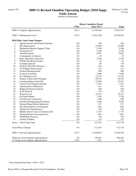# Agency 350 **2009-11 Revised Omnibus Operating Budget (2010 Supp)**

**Public Schools**

|     |                                         |             | <b>House Committee Passed</b> |              |
|-----|-----------------------------------------|-------------|-------------------------------|--------------|
|     |                                         | <b>FTEs</b> | Near GF-S                     | <b>Total</b> |
|     | 2009-11 Original Appropriations         | 291.2       | 13,310,462                    | 15,647,542   |
|     | 2009-11 Maintenance Level               | 291.2       | 13,561,188                    | 16,028,874   |
|     | 2010 Policy Non-Comp Changes:           |             |                               |              |
| 1.  | Apportionment and Financial Systems     | 0.0         | 250                           | 250          |
| 2.  | <b>Bus Depreciation</b>                 | 0.0         | $-22,090$                     | $-22,090$    |
| 3.  | Beginning Educator Support Team         | 0.0         | $-2,348$                      | $-2,348$     |
| 4.  | Navigation 101                          | 0.0         | $-3,220$                      | $-3,220$     |
| 5.  | <b>Alternate Routes</b>                 | 0.0         | $-2,053$                      | $-2,053$     |
| 6.  | <b>Communities in Schools</b>           | 0.0         | $-25$                         | $-25$        |
| 7.  | <b>Basic Education Allocation</b>       | 0.0         | 2,518                         | 2,518        |
| 8.  | WWII Oral History Project               | 0.0         | $-25$                         | $-25$        |
| 9.  | Compana Quetzal                         | 0.0         | $-50$                         | $-50$        |
| 10. | <b>Dyslexia Pilot Best Practices</b>    | 0.0         | $-145$                        | $-145$       |
| 11. | Civil Rights Enforcement                | 0.0         | 133                           | 133          |
| 12. | Dropout Reengagement                    | 0.0         | 500                           | 500          |
| 13. | <b>Focused Assistance</b>               | 0.0         | $-3,046$                      | $-3,046$     |
| 14. | K-4 Staffing Levels                     | 0.0         | $-11,234$                     | $-11,234$    |
| 15. | Student Achievement Program             | 0.0         | $-78,519$                     | $-78,519$    |
| 16. | Learning Improvement Day                | 0.0         | $-15,650$                     | $-15,657$    |
| 17. | <b>Current Year Program Savings</b>     | 0.0         | $-1,245$                      | $-1,245$     |
| 18. | <b>Administrative Reductions</b>        | 0.0         | $-413$                        | $-413$       |
| 19. | Higher Ed Internet Schools              | 0.0         | 250                           | 250          |
| 20. | K-20 Network                            | 0.0         | $-776$                        | $-776$       |
| 21. | School Levies                           | 0.0         | 25,331                        | 25,331       |
| 22. | Per Pupil Inflator                      | 0.0         | 7,230                         | 7,230        |
| 23. | LAP Income Verification                 | 0.0         | $-208$                        | $-208$       |
| 24. | Nat Board Challenging Sch Bonus         | 0.0         | $-3,550$                      | $-3,550$     |
| 25. | National Board Bonus Reduction          | 0.0         | $-517$                        | $-517$       |
| 26. | Nat'l Board Bonus for Principals        | 0.0         | $-810$                        | $-810$       |
| 27. | Pipeline for Paraeducators              | 0.0         | $-150$                        | $-150$       |
| 28. | Middle School Career & Technical Ed     | 0.0         | $-1,775$                      | $-1,775$     |
| 29. | <b>National Board Assessment Fees</b>   | 0.0         | $-801$                        | $-801$       |
| 30. | <b>STEM Best Practices</b>              | 0.0         | 150                           | 150          |
| 31. | At Risk Children                        | 0.0         | 125                           | 125          |
|     | Policy -- Non-Comp Total                | 0.0         | $-112,163$                    | $-112,170$   |
|     | <b>Total Policy Changes</b>             | 0.0         | $-112,163$                    | $-112,170$   |
|     | 2009-11 Revised Appropriations          | 291.2       | 13,449,025                    | 15,916,704   |
|     | Difference from Original Appropriations | 0.0         | 138,563                       | 269,162      |
|     | % Change from Original Appropriations   | $0.0\%$     | $1.0\%$                       | 1.7%         |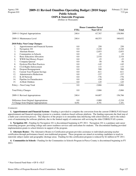**OSPI & Statewide Programs** (Dollars in Thousands)

|     |                                         | <b>House Committee Passed</b> |           |              |  |
|-----|-----------------------------------------|-------------------------------|-----------|--------------|--|
|     |                                         | <b>FTEs</b>                   | Near GF-S | <b>Total</b> |  |
|     | 2009-11 Original Appropriations         | 240.4                         | 67,767    | 158,984      |  |
|     | 2009-11 Maintenance Level               | 240.4                         | 68,553    | 160,632      |  |
|     | 2010 Policy Non-Comp Changes:           |                               |           |              |  |
| 1.  | Apportionment and Financial Systems     | 0.0                           | 250       | 250          |  |
| 2.  | Navigation 101                          | 0.0                           | $-3,220$  | $-3,220$     |  |
| 3.  | <b>Alternate Routes</b>                 | 0.0                           | $-2,053$  | $-2,053$     |  |
| 4.  | Communities in Schools                  | 0.0                           | $-25$     | $-25$        |  |
| 5.  | <b>Basic Education Allocation</b>       | 0.0                           | 2,518     | 2,518        |  |
| 6.  | WWII Oral History Project               | 0.0                           | $-25$     | $-25$        |  |
| 7.  | Compana Quetzal                         | 0.0                           | $-50$     | $-50$        |  |
| 8.  | <b>Dyslexia Pilot Best Practices</b>    | 0.0                           | $-145$    | $-145$       |  |
| 9.  | Civil Rights Enforcement                | 0.0                           | 133       | 133          |  |
| 10. | Dropout Reengagement                    | 0.0                           | 500       | 500          |  |
| 11. | <b>Current Year Program Savings</b>     | 0.0                           | $-611$    | $-611$       |  |
| 12. | <b>Administrative Reductions</b>        | 0.0                           | $-337$    | $-337$       |  |
| 13. | K-20 Network                            | 0.0                           | $-776$    | $-776$       |  |
| 14. | Pipeline for Paraeducators              | 0.0                           | $-150$    | $-150$       |  |
| 15. | At Risk Children                        | 0.0                           | 125       | 125          |  |
|     | Policy -- Non-Comp Total                | 0.0                           | $-3,866$  | $-3,866$     |  |
|     | <b>Total Policy Changes</b>             | 0.0                           | $-3,866$  | $-3,866$     |  |
|     | 2009-11 Revised Appropriations          | 240.4                         | 64,687    | 156,766      |  |
|     | Difference from Original Appropriations | 0.0                           | $-3,080$  | $-2,218$     |  |
|     | % Change from Original Appropriations   | $0.0\%$                       | $-4.5\%$  | $-1.4%$      |  |

#### *Comments:*

 **1. Apportionment and Financial Systems -** Funding is provided to complete the conversion from the current COBOL/VAX-based apportionment and financial reporting systems to a modern, windows-based software platform. The funding represents the final step of a multi-year conversion process. The objective of the project is to streamline data interfacing with school districts, and to the reduce costs of maintaining the software platform, due to the limited supply of contractors still servicing the older COBOL/VAX systems.

 **2. Navigation 101 -** Funding for Navigation 101 is discontinued beginning in FY 2011. Navigation 101 is a guidance and career counseling program providing college and career readiness services and curriculum for students. The discontinued funding provided implementation grants to school districts in support of the program.

 **3. Alternate Routes -** The Alternative Routes to Certification program provides assistance to individuals pursuing teacher certification through performance-based, non-traditional programs. These programs are aimed at recruiting candidates to teach in statewide subject matter and geographic shortage areas. Funding for this certification program is reduced by \$2 million in FY 2011.

 **4. Communities in Schools -** Funding for the Communities in Schools Program in Pierce County is discontinued beginning in FY 2011.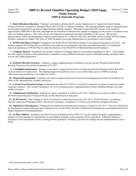#### **2009-11 Revised Omnibus Operating Budget (2010 Supp) Public Schools OSPI & Statewide Programs**

 **5. Basic Education Allocation -** Funding is provided to develop the IT systems infrastructure to support the school funding formula provisions contained in Substitute House Bill 2776 (K-12 education funding). The funding primarily supports reprogramming for the pupil transportation and general apportionment funding formulas. The pupil transportation IT systems work comprises approximately \$800,000 of this total, and funds the development of infrastructure capable of mapping out bus routes to document route miles for funding purposes. The work will also development of enhanced reporting capabilities in the system. The general apportionment system reprogramming comprises approximately \$1.7 million of this total, and funds systems to align with the funding formulas contained in Chapter 548, Laws of 2009, including structuring funding based on prototypical school models.

 **6. WWII Oral History Project -** Funding for the World War II Oral History Project is discontinued beginning in FY 2011. The funding supports the development of oral history presentations, documentation, and other curriculum materials for teaching the historical significance of World War II, under the direction of the World War II Memorial Education Foundation.

 **7. Compana Quetzal -** Funding for the Seattle Coalition of Campaña Quetzal is discontined beginning FY 2011. The program provides support program to the Latino/Latina community in early childhood education, parent leadership training; and high school success and college preparation.

 **8. Dyslexia Pilot Best Practices -** Funding to support implementation of findings from the Lorraine Wojahn Dyslexia Pilot Reading Program is discontinued beginning in FY 2011.

 **9. Civil Rights Enforcement -** Funding is provided to support the provisions of Engrossed Second Substitute House Bill 3026 (state & federal civil rights laws). The funding supports the staff necessary to carryout the duties given to OSPI concerning enforcement and monitoring of civil rights in schools.

 **10. Dropout Reengagement -** Funding is provided to support drop-out prevention and reengagement activities developed by the office of the superintendent of public instruction.

 **11. Current Year Program Savings -** Reductions are made in FY 2010 to several K-12 programs to capture savings from underexpended contracts. This includes Navigation 101, K-20 communications, longitudinal data systems, Building Bridges, and other smaller programs.

 **12. Administrative Reductions -** Funding for agency operations is reduced in FY 2011. Reductions are made to OSPI, as well as the Professional Educators' Standards Board, and the State Board of Education.

**13. K-20 Network - State funding for the K-20 network is reduced by 40 percent in FY 2011. K-20 Network is a technology** network connecting Washington State's educational community, including K-12 schools and institutions of higher education.

 **14. Pipeline for Paraeducators -** Funding for the pipeline for paraeducators program is reduced for FY 2011. Prior year allocations for this program remain underspent and available for use via the Future Teachers Conditional Scholarship Account administered by the Higher Education Coordinating Board.

 **15. At Risk Children -** Funding is provided for Second Substitute House Bill 2731 (at-risk children program), implementing a program of early learning for educationally at-risk children within the state's program of basic education. Additional funding is provided for the Department of Early Learning for this legislation. Funding is provided for staffing and pre-implementation costs at OSPI.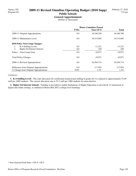# **General Apportionment**

(Dollars in Thousands)

|                                         | <b>House Committee Passed</b> |                  |              |
|-----------------------------------------|-------------------------------|------------------|--------------|
|                                         | <b>FTEs</b>                   | <b>Near GF-S</b> | <b>Total</b> |
| 2009-11 Original Appropriations         | 0.0                           | 10,186,760       | 10,186,760   |
| 2009-11 Maintenance Level               | 0.0                           | 10,315,685       | 10,315,685   |
| <b>2010 Policy Non-Comp Changes:</b>    |                               |                  |              |
| K-4 Staffing Levels<br>1.               | 0.0                           | $-11,221$        | $-11,221$    |
| 2.<br>Higher Ed Internet Schools        | 0.0                           | 250              | 250          |
| Policy -- Non-Comp Total                | 0.0                           | $-10,971$        | $-10,971$    |
| <b>Total Policy Changes</b>             | 0.0                           | $-10.971$        | $-10,971$    |
| 2009-11 Revised Appropriations          | 0.0                           | 10,304,714       | 10,304,714   |
| Difference from Original Appropriations | 0.0                           | 117.954          | 117,954      |
| % Change from Original Appropriations   | $0.0\%$                       | $1.2\%$          | $1.2\%$      |

#### *Comments:*

 **1. K-4 Staffing Levels -** The state allocation for certificated instructional staffing in grades K-4 is reduced to approximately 52.69 staff per 1000 students. The current allocation rate is 53.2 staff per 1000 students for most districts.

 **2. Higher Ed Internet Schools -** Funding is provided to enable Institutions of Higher Education to provide K-12 instruction in digital and online settings, as outlined in House Bill 2852 (college level learning).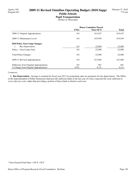# **Pupil Transportation**

(Dollars in Thousands)

|                                         | <b>House Committee Passed</b> |                  |              |
|-----------------------------------------|-------------------------------|------------------|--------------|
|                                         | <b>FTEs</b>                   | <b>Near GF-S</b> | <b>Total</b> |
| 2009-11 Original Appropriations         | 0.0                           | 614,427          | 614,427      |
| 2009-11 Maintenance Level               | 0.0                           | 635,936          | 635,936      |
| <b>2010 Policy Non-Comp Changes:</b>    |                               |                  |              |
| <b>Bus Depreciation</b><br>1.           | 0.0                           | $-22,090$        | $-22,090$    |
| Policy -- Non-Comp Total                | 0.0                           | $-22,090$        | $-22,090$    |
| <b>Total Policy Changes</b>             | 0.0                           | $-22.090$        | $-22,090$    |
| 2009-11 Revised Appropriations          | 0.0                           | 613.846          | 613,846      |
| Difference from Original Appropriations | 0.0                           | $-581$           | $-581$       |
| % Change from Original Appropriations   | $0.0\%$                       | $-0.1\%$         | $-0.1\%$     |

#### *Comments:*

 **1. Bus Depreciation -** Savings is assumed for fiscal year 2011 by postponing sales tax payments for bus depreciation. The Office of the Superintendent of Public Instruction shall provide sufficient funds in the last year of a bus's expected life cycle sufficient to cover sales tax costs, rather than providing a portion of these funds to districts each year.

<sup>\*</sup> Near General Fund-State = GF-S + ELT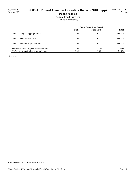# **School Food Services**

(Dollars in Thousands)

|                                         | <b>House Committee Passed</b> |           |              |
|-----------------------------------------|-------------------------------|-----------|--------------|
|                                         | <b>FTEs</b>                   | Near GF-S | <b>Total</b> |
| 2009-11 Original Appropriations         | 0.0                           | 6,318     | 433,318      |
| 2009-11 Maintenance Level               | 0.0                           | 6,318     | 543,318      |
| 2009-11 Revised Appropriations          | 0.0                           | 6.318     | 543,318      |
| Difference from Original Appropriations | 0.0                           | $\theta$  | 110,000      |
| % Change from Original Appropriations   | $0.0\%$                       | $0.0\%$   | 25.4%        |

*Comments:*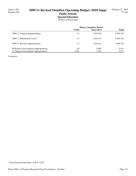## **2009-11 Revised Omnibus Operating Budget (2010 Supp) Public Schools Special Education**

(Dollars in Thousands)

|                                         | <b>House Committee Passed</b> |                  |              |
|-----------------------------------------|-------------------------------|------------------|--------------|
|                                         | <b>FTEs</b>                   | <b>Near GF-S</b> | <b>Total</b> |
| 2009-11 Original Appropriations         | 1.5                           | 1,294,103        | 1,950,155    |
| 2009-11 Maintenance Level               | 1.5                           | 1,284,141        | 1,948,742    |
| 2009-11 Revised Appropriations          | 1.5                           | 1,284,141        | 1,948,742    |
| Difference from Original Appropriations | 0.0                           | $-9,962$         | $-1,413$     |
| % Change from Original Appropriations   | $0.0\%$                       | $-0.8\%$         | $-0.1\%$     |

*Comments:*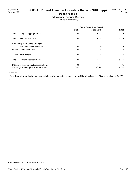# **Educational Service Districts**

(Dollars in Thousands)

|                                         | <b>House Committee Passed</b> |           |              |
|-----------------------------------------|-------------------------------|-----------|--------------|
|                                         | <b>FTEs</b>                   | Near GF-S | <b>Total</b> |
| 2009-11 Original Appropriations         | 0.0                           | 16,789    | 16,789       |
| 2009-11 Maintenance Level               | 0.0                           | 16,789    | 16,789       |
| <b>2010 Policy Non-Comp Changes:</b>    |                               |           |              |
| <b>Administrative Reductions</b>        | 0.0                           | $-76$     | -76          |
| Policy -- Non-Comp Total                | 0.0                           | $-76$     | $-76$        |
| <b>Total Policy Changes</b>             | 0.0                           | $-76$     | -76          |
| 2009-11 Revised Appropriations          | 0.0                           | 16,713    | 16,713       |
| Difference from Original Appropriations | 0.0                           | $-76$     | -76          |
| % Change from Original Appropriations   | $0.0\%$                       | $-0.5\%$  | $-0.5\%$     |

#### *Comments:*

 **1. Administrative Reductions -** An administrative reduction is applied to the Educational Service District core budget for FY 2011.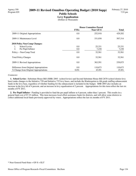# **Levy Equalization**

(Dollars in Thousands)

|                                         | <b>House Committee Passed</b> |                  |              |
|-----------------------------------------|-------------------------------|------------------|--------------|
|                                         | <b>FTEs</b>                   | <b>Near GF-S</b> | <b>Total</b> |
| 2009-11 Original Appropriations         | 0.0                           | 252,918          | 429,202      |
| 2009-11 Maintenance Level               | 0.0                           | 331,030          | 507,314      |
| <b>2010 Policy Non-Comp Changes:</b>    |                               |                  |              |
| School Levies<br>1.                     | 0.0                           | 25,331           | 25,331       |
| 2.<br>Per Pupil Inflator                | 0.0                           | 7,230            | 7,230        |
| Policy -- Non-Comp Total                | 0.0                           | 32,561           | 32,561       |
| <b>Total Policy Changes</b>             | 0.0                           | 32.561           | 32,561       |
| 2009-11 Revised Appropriations          | 0.0                           | 363,591          | 539,875      |
| Difference from Original Appropriations | 0.0                           | 110.673          | 110,673      |
| % Change from Original Appropriations   | $0.0\%$                       | 43.8%            | 25.8%        |

#### *Comments:*

 **1. School Levies -** Substitute House Bill (SHB) 2893 (school levies) and Second Substitute House Bill 2670 (school district levy base) make changes to the Initiative 728 and Initiative 732 levy bases, and include the Kindergarten to 4th grade staffing enhancement funds in the levy base, regardless of whether funding for the enhancement is included in the budget. SHB 2893 also includes an increase in the levy lid of 4 percent, and an increase in levy equalization of 2 percent. Appropriations for this item reflect the last six months of FY 2011.

 **2. Per Pupil Inflator -** Funding is provided to fund the per pupil inflator at 4 percent, rather than 1 percent. This results in a general fund cost of \$7.23 million. This item increases local effort assistance funds for districts, and will allow some districts to collect additional local funds previously approved by voters. Appropriations reflect the last six months of FY 2011.

<sup>\*</sup> Near General Fund-State = GF-S + ELT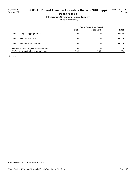# **Elementary/Secondary School Improv**

(Dollars in Thousands)

|                                         | <b>House Committee Passed</b> |           |              |
|-----------------------------------------|-------------------------------|-----------|--------------|
|                                         | <b>FTEs</b>                   | Near GF-S | <b>Total</b> |
| 2009-11 Original Appropriations         | 0.0                           | $\theta$  | 43,450       |
| 2009-11 Maintenance Level               | 0.0                           | 0         | 43,886       |
| 2009-11 Revised Appropriations          | 0.0                           | $\theta$  | 43,886       |
| Difference from Original Appropriations | 0.0                           | 0         | 436          |
| % Change from Original Appropriations   | $0.0\%$                       | $0.0\%$   | $1.0\%$      |

*Comments:*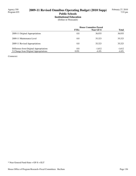### **Institutional Education**

(Dollars in Thousands)

|                                         | <b>House Committee Passed</b> |                  |              |
|-----------------------------------------|-------------------------------|------------------|--------------|
|                                         | <b>FTEs</b>                   | <b>Near GF-S</b> | <b>Total</b> |
| 2009-11 Original Appropriations         | 0.0                           | 36,935           | 36,935       |
| 2009-11 Maintenance Level               | 0.0                           | 35.323           | 35,323       |
| 2009-11 Revised Appropriations          | 0.0                           | 35.323           | 35,323       |
| Difference from Original Appropriations | 0.0                           | $-1,612$         | $-1,612$     |
| % Change from Original Appropriations   | $0.0\%$                       | $-4.4\%$         | $-4.4\%$     |

*Comments:*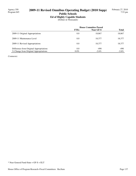# **Ed of Highly Capable Students**

(Dollars in Thousands)

|                                         | <b>House Committee Passed</b> |                  |              |
|-----------------------------------------|-------------------------------|------------------|--------------|
|                                         | <b>FTEs</b>                   | <b>Near GF-S</b> | <b>Total</b> |
| 2009-11 Original Appropriations         | 0.0                           | 18,867           | 18,867       |
| 2009-11 Maintenance Level               | 0.0                           | 18.377           | 18,377       |
| 2009-11 Revised Appropriations          | 0.0                           | 18.377           | 18,377       |
| Difference from Original Appropriations | 0.0                           | $-490$           | $-490$       |
| % Change from Original Appropriations   | $0.0\%$                       | $-2.6\%$         | $-2.6\%$     |

*Comments:*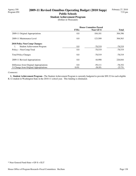**Student Achievement Program** (Dollars in Thousands)

|                                         | <b>House Committee Passed</b> |           |              |
|-----------------------------------------|-------------------------------|-----------|--------------|
|                                         | <b>FTEs</b>                   | Near GF-S | <b>Total</b> |
| 2009-11 Original Appropriations         | 0.0                           | 104.101   | 304,396      |
| 2009-11 Maintenance Level               | 0.0                           | 123,509   | 304,563      |
| <b>2010 Policy Non-Comp Changes:</b>    |                               |           |              |
| Student Achievement Program<br>1.       | 0.0                           | $-78,519$ | $-78,519$    |
| Policy -- Non-Comp Total                | 0.0                           | $-78.519$ | $-78,519$    |
| <b>Total Policy Changes</b>             | 0.0                           | $-78.519$ | $-78,519$    |
| 2009-11 Revised Appropriations          | 0.0                           | 44,990    | 226,044      |
| Difference from Original Appropriations | 0.0                           | $-59,111$ | $-78,352$    |
| % Change from Original Appropriations   | $0.0\%$                       | $-56.8\%$ | $-25.7\%$    |

#### *Comments:*

 **1. Student Achievement Program -** The Student Achievement Program is currently budgeted to provide \$99.32 for each eligible K-12 student in Washington State in the 2010-11 school year. This funding is eliminated.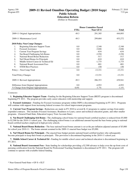#### **Education Reform**

(Dollars in Thousands)

|                                           | <b>House Committee Passed</b> |           |              |
|-------------------------------------------|-------------------------------|-----------|--------------|
|                                           | <b>FTEs</b>                   | Near GF-S | <b>Total</b> |
| 2009-11 Original Appropriations           | 49.3                          | 291,305   | 444,893      |
| 2009-11 Maintenance Level                 | 49.3                          | 299,684   | 453,272      |
| <b>2010 Policy Non-Comp Changes:</b>      |                               |           |              |
| 1.<br>Beginning Educator Support Team     | 0.0                           | $-2,348$  | $-2,348$     |
| 2.<br><b>Focused Assistance</b>           | 0.0                           | $-3,046$  | $-3,046$     |
| 3.<br><b>Current Year Program Savings</b> | 0.0                           | $-634$    | $-634$       |
| Nat Board Challenging Sch Bonus<br>4.     | 0.0                           | $-3,550$  | $-3,550$     |
| 5.<br>National Board Bonus Reduction      | 0.0                           | $-517$    | $-517$       |
| 6.<br>Nat'l Board Bonus for Principals    | 0.0                           | $-810$    | $-810$       |
| 7.<br>Middle School Career & Technical Ed | 0.0                           | $-1,775$  | $-1,775$     |
| 8.<br>National Board Assessment Fees      | 0.0                           | $-801$    | $-801$       |
| 9.<br><b>STEM Best Practices</b>          | 0.0                           | 150       | 150          |
| Policy -- Non-Comp Total                  | 0.0                           | $-13,331$ | $-13,331$    |
| <b>Total Policy Changes</b>               | 0.0                           | $-13,331$ | $-13,331$    |
| 2009-11 Revised Appropriations            | 49.3                          | 286,353   | 439,941      |
| Difference from Original Appropriations   | 0.0                           | $-4,952$  | $-4,952$     |
| % Change from Original Appropriations     | $0.0\%$                       | $-1.7\%$  | $-1.1\%$     |

#### *Comments:*

 **1. Beginning Educator Support Team -** Funding for the Beginning Educator Support Team (BEST) program is discontinued beginning FY 2011. The program provides early career educators with mentorship and support.

 **2. Focused Assistance -** Funding for Focused Assistance programs within OSPI is discontinued beginning in FY 2011. Programs will continue with support from increasing federal revenues for school improvement programs.

 **3. Current Year Program Savings -** Reductions are made in FY 2010 to several K-12 programs to capture savings from underexpended contracts. This includes Focused Assistance, Readiness to Learn, career and technical education grants, and other smaller programs. (General Fund-State, Education Legacy Trust Account-State)

 **4. Nat Board Challenging Sch Bonus -** The challenging school bonus for national board certified teachers is reduced from \$5,000 to \$2,500 for the 2010-11 school year. The challenging school bonus is an additional amount beyond the base bonus going to national board certified teachers employed in high-poverty schools.

 **5. National Board Bonus Reduction -** The base national board bonus amount is set at the pre-inflation adjusted amount of \$5,000 for school year 2010-11. The bonus amount assumed in the 2009-11 enacted base budget was \$5,090.

 **6. Nat'l Board Bonus for Principals -** The enacted base budget permits national board certified teachers who subsequently become principals to keep their bonus as principals. This provision is discontinued beginning in the 2010-11 school year.

 **7. Middle School Career & Technical Ed -** Funding for middle school career and technical education is discontinued beginning in FY 2011.

 **8. National Board Assessment Fees -** State funding for scholarships providing a \$2,500 advance to help cover the up-front costs of pursuing certification from the National Board for Professional Teaching Standards is discontinued in FY 2011. The program will continue to operate with available federal funding.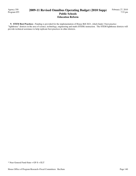Agency 350 Program 055

#### **2009-11 Revised Omnibus Operating Budget (2010 Supp) Public Schools Education Reform**

 **9. STEM Best Practices -** Funding is provided for the implementation of House Bill 2621, which funds 3 best practice "lighthouse" districts in the area of science, technology, engineering and math (STEM) instruction. The STEM lighthouse districts will provide technical assistance to help replicate best practices in other districts.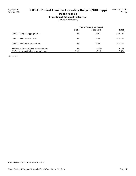# **Transitional Bilingual Instruction**

(Dollars in Thousands)

|                                         | <b>House Committee Passed</b> |                  |              |
|-----------------------------------------|-------------------------------|------------------|--------------|
|                                         | <b>FTEs</b>                   | <b>Near GF-S</b> | <b>Total</b> |
| 2009-11 Original Appropriations         | 0.0                           | 158.931          | 204,194      |
| 2009-11 Maintenance Level               | 0.0                           | 154.091          | 219.354      |
| 2009-11 Revised Appropriations          | 0.0                           | 154.091          | 219,354      |
| Difference from Original Appropriations | 0.0                           | -4.840           | 15,160       |
| % Change from Original Appropriations   | $0.0\%$                       | $-3.1\%$         | 7.4%         |

*Comments:*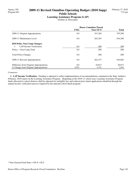### **Learning Assistance Program (LAP)**

(Dollars in Thousands)

|                                         | <b>House Committee Passed</b> |                  |              |
|-----------------------------------------|-------------------------------|------------------|--------------|
|                                         | <b>FTEs</b>                   | <b>Near GF-S</b> | <b>Total</b> |
| 2009-11 Original Appropriations         | 0.0                           | 251,284          | 795,209      |
| 2009-11 Maintenance Level               | 0.0                           | 262,365          | 816,290      |
| <b>2010 Policy Non-Comp Changes:</b>    |                               |                  |              |
| LAP Income Verification                 | 0.0                           | $-208$           | $-208$       |
| Policy -- Non-Comp Total                | 0.0                           | $-208$           | $-208$       |
| <b>Total Policy Changes</b>             | 0.0                           | $-208$           | $-208$       |
| 2009-11 Revised Appropriations          | 0.0                           | 262,157          | 816,082      |
| Difference from Original Appropriations | 0.0                           | 10.873           | 20,873       |
| % Change from Original Appropriations   | $0.0\%$                       | $4.3\%$          | $2.6\%$      |

#### *Comments:*

1. LAP Income Verification - Funding is adjusted to reflect implementation of recommendations contained in the State Auditor's February, 2010 report on the Learning Assistance Program. Beginning in the 2010-11 school year, Learning Assistance Program funds allocated to school districts shall be adjusted for ineligible free and reduced price lunch applications identified through the annual income verification process required by the national school lunch program.

<sup>\*</sup> Near General Fund-State = GF-S + ELT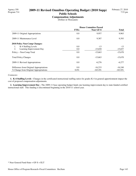# **2009-11 Revised Omnibus Operating Budget (2010 Supp)**

# **Public Schools**

**Compensation Adjustments** (Dollars in Thousands)

|                                         | <b>House Committee Passed</b> |            |              |
|-----------------------------------------|-------------------------------|------------|--------------|
|                                         | <b>FTEs</b>                   | Near GF-S  | <b>Total</b> |
| 2009-11 Original Appropriations         | 0.0                           | 9,957      | 9,963        |
| 2009-11 Maintenance Level               | 0.0                           | 9,387      | 9,393        |
| <b>2010 Policy Non-Comp Changes:</b>    |                               |            |              |
| K-4 Staffing Levels<br>1.               | 0.0                           | $-13$      | $-13$        |
| 2.<br>Learning Improvement Day          | 0.0                           | $-15,650$  | $-15,657$    |
| Policy -- Non-Comp Total                | 0.0                           | $-15,663$  | $-15,670$    |
| <b>Total Policy Changes</b>             | 0.0                           | $-15,663$  | $-15,670$    |
| 2009-11 Revised Appropriations          | 0.0                           | $-6,276$   | $-6,277$     |
| Difference from Original Appropriations | 0.0                           | $-16,233$  | $-16,240$    |
| % Change from Original Appropriations   | $0.0\%$                       | $-163.0\%$ | $-163.0\%$   |

#### *Comments:*

 **1. K-4 Staffing Levels -** Changes in the certificated instructional staffing ratios for grades K-4 in general apportionment impact the cost of proposed compensation adjustments.

 **2. Learning Improvement Day -** The 2009-11 base operating budget funds one learning improvement day to state-funded certified instructional staff. This funding is discontinued beginning in the 2010-11 school year.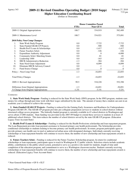## Agency 343 **2009-11 Revised Omnibus Operating Budget (2010 Supp)**

**Higher Education Coordinating Board** (Dollars in Thousands)

|     |                                         | <b>House Committee Passed</b> |           |                |
|-----|-----------------------------------------|-------------------------------|-----------|----------------|
|     |                                         | <b>FTEs</b>                   | Near GF-S | <b>Total</b>   |
|     | 2009-11 Original Appropriations         | 100.7                         | 534,919   | 582,489        |
|     | 2009-11 Maintenance Level               | 100.7                         | 534,921   | 575,091        |
|     | 2010 Policy Non-Comp Changes:           |                               |           |                |
| 1.  | <b>State Work Study Program</b>         | 0.0                           | $-7,722$  | $-7,722$       |
| 2.  | State-Funded GEAR-UP Projects           | 0.0                           | $-500$    | $-500$         |
| 3.  | Health Prof'l Loans & Scholarships      | 0.0                           | $-1,417$  | $-1,417$       |
| 4.  | Future Teachers Schol.                  | 0.0                           | $-326$    | $-326$         |
| 5.  | <b>Expenditure Authority Adjustment</b> | 0.0                           | $\Omega$  | $-6,000$       |
| 6.  | Community Schol. Matching Grants        | 0.0                           | $-81$     | $-81$          |
| 7.  | Leadership 1000                         | 0.0                           | $-163$    | $-163$         |
| 8.  | <b>HECB</b> Administrative Reduction    | $-1.3$                        | $-384$    | $-384$         |
| 9.  | State Need Grant Adjustment             | 0.0                           | $-6,099$  | $-6,099$       |
| 10. | Eliminate HECB Advisory Council         | 0.0                           | $-1$      | $-1$           |
| 11. | <b>Fund Source Change</b>               | 0.0                           | $\theta$  | $\overline{0}$ |
|     | Policy -- Non-Comp Total                | $-1.3$                        | $-16,693$ | $-22,693$      |
|     | <b>Total Policy Changes</b>             | $-1.3$                        | $-16,693$ | $-22,693$      |
|     | 2009-11 Revised Appropriations          | 99.5                          | 518,228   | 552,398        |
|     | Difference from Original Appropriations | $-1.3$                        | $-16,691$ | $-30,091$      |
|     | % Change from Original Appropriations   | $-1.2%$                       | $-3.1%$   | $-5.2\%$       |

### *Comments:*

 **1. State Work Study Program -** Funding is reduced for the State Work Study (SWS) program. In the SWS program, students earn money for college through part-time work with their wages subsidized by the state. The amount of money that a student can earn in an academic year is reduced to achieve this savings.

 **2. State-Funded GEAR-UP Projects -** Funding is reduced for the Gaining Early Awareness and Readiness for Undergraduates Program (GEAR UP). The GEAR-UP program provides pre-collegiate preparation services to students in school districts without structured college access programs. The federally-funded program is currently available in 43 school districts in Washington and serves about 27,000 students. State funding was provided in the 2007-09 budget to extend these services to students in at least 25 additional school districts. This item reduces the number of school districts served by the state GEAR-UP program. (Education Legacy Trust Account-State)

 **3. Health Prof'l Loans & Scholarships -** Funding is reduced for the Health Professions scholarship and loan repayment program. The Loan Repayment provides loan payment assistance to licensed primary care health professionals. The Scholarship provides conditional scholarships to students training to become primary care health professionals. In return, program participants agree to provide primary care health care in rural or underserved urban areas with designated shortages. Individuals currently receiving scholarships or loan repayment benefits will continue to receive them, the number of new scholarship and loan repayments awards is reduced.

 **4. Future Teachers Schol. -** Funding is reduced for the Future Teachers Scholarship program. In return for conditional scholarships or loan repayments, participants agree to teach in Washington K-12 public schools. Selection criteria include academic ability, contributions to the public school system, potential to serve as a positive role model for students, length of time until completion of the education program, and commitment to serve as a Washington classroom teacher. Students currently receiving scholarships or loan repayment benefits will continue to receive them, the number of new scholarship and loan repayments awards is reduced. (Education Legacy Trust Account-State)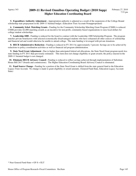**5. Expenditure Authority Adjustment -** Appropriation authority is adjusted as a result of the suspension of the College Bound scholarship state prepayment in the 2009-11 biennial budget. (Education Trust Account-Nonappropriated)

 **6. Community Schol. Matching Grants -** Funding for the Community Scholarship Matching Grant Program (CSMS) is reduced. CSMS provides \$2,000 matching awards as an incentive for non-profit, community-based organizations to raise local dollars for college student scholarships.

 **7. Leadership 1000 -** Funding is reduced for the board to contract with the Leadership 1000 Scholarship Program. The program matches private benefactors with selected economically-disadvantaged students who have exhausted all other sources of scholarship and financial aid and would otherwise be unable to attend college. The state funding is leveraged with private donations.

**8. HECB Administrative Reduction -** Funding is reduced in FY 2011 by approximately 3 percent. Savings are to be achieved by reductions to policy coordination activities as well as financial aid program administration.

 **9. State Need Grant Adjustment -** Due to higher than anticipated federal aid allocations, the State Need Grant program needs less state funding in FY 2011 than previously estimated. This item does not change eligibility or grant awards; the policy enacted in the 2009-11 biennial budget is not changed.

 **10. Eliminate HECB Advisory Council -** Funding is reduced to reflect savings achieved through implementation of Substitute House Bill 2617 (boards and commissions). The Higher Education Coordinating Board Advisory Council is eliminated.

 **11. Fund Source Change -** Funding for a portion of the State Need Grant is shifted from the state general fund to the Education Legacy Trust Account. No change is made to grant eligibility or award amounts. (General Fund-State, Education Legacy Account-State)

<sup>\*</sup> Near General Fund-State = GF-S + ELT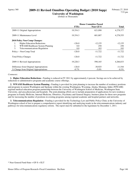### Agency 360 **2009-11 Revised Omnibus Operating Budget (2010 Supp)**

**University of Washington**

(Dollars in Thousands)

|                                          | <b>House Committee Passed</b> |                  |              |
|------------------------------------------|-------------------------------|------------------|--------------|
|                                          | <b>FTEs</b>                   | <b>Near GF-S</b> | <b>Total</b> |
| 2009-11 Original Appropriations          | 19,354.3                      | 621,090          | 4,278,377    |
| 2009-11 Maintenance Level                | 19,354.3                      | 601,887          | 4,278,555    |
| 2010 Policy Non-Comp Changes:            |                               |                  |              |
| <b>Higher Education Reductions</b><br>1. | $-126.0$                      | $-12,155$        | $-12,155$    |
| WWAMI Healthcare System Planning<br>2.   | 0.0                           | 250              | 250          |
| 3.<br>Telecommunications Regulation      | 0.0                           | 183              | 183          |
| Policy -- Non-Comp Total                 | $-126.0$                      | $-11,722$        | $-11,722$    |
| <b>Total Policy Changes</b>              | $-126.0$                      | $-11,722$        | $-11,722$    |
| 2009-11 Revised Appropriations           | 19,228.3                      | 590.165          | 4,266,833    |
| Difference from Original Appropriations  | $-126.0$                      | $-30,925$        | $-11,544$    |
| % Change from Original Appropriations    | $-0.7\%$                      | $-5.0\%$         | $-0.3\%$     |

### *Comments:*

 **1. Higher Education Reductions -** Funding is reduced in FY 2011 by approximately 4 percent. Savings are to be achieved by reductions to administrative programs and academic course offerings.

 **2. WWAMI Healthcare System Planning -** Funding is provided for joint planning to increase the number of residency positions and programs in eastern Washington and Spokane within the existing Washington, Wyoming, Alaska, Montana, Idaho (WWAMI) regional medical education program partnership between the University of Washington School of Medicine, Washington State University, and area physicians and hospitals. The joint planning efforts are to include preparation of applications for new residency programs in Family Medicine, Internal Medicine, Obstetrics, Psychiatry and General Surgery; business plans for those new programs and for increasing the number of positions in existing programs among regional academic and hospital partners and networks.

 **3. Telecommunications Regulation -** Funding is provided for the Technology Law and Public Policy Clinic at the University of Washington school of law to prepare a comprehensive report identifying and analzying trends in the telecommunications industry and pathways for telecommunications regulatory reform. The report must be submitted to the legislature by December 1, 2011.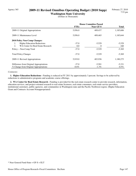### Agency 365 **2009-11 Revised Omnibus Operating Budget (2010 Supp)**

**Washington State University**

(Dollars in Thousands)

|                                          | <b>House Committee Passed</b> |           |              |
|------------------------------------------|-------------------------------|-----------|--------------|
|                                          | <b>FTEs</b>                   | Near GF-S | <b>Total</b> |
| 2009-11 Original Appropriations          | 5,956.0                       | 409,437   | 1,185,606    |
| 2009-11 Maintenance Level                | 5,956.0                       | 409.465   | 1,185,644    |
| <b>2010 Policy Non-Comp Changes:</b>     |                               |           |              |
| <b>Higher Education Reductions</b><br>1. | $-37.0$                       | $-5,529$  | $-5,529$     |
| WA Center for Real Estate Research<br>2. | 0.0                           | 0         | 160          |
| Policy -- Non-Comp Total                 | $-37.0$                       | $-5,529$  | $-5,369$     |
| <b>Total Policy Changes</b>              | $-37.0$                       | $-5,529$  | $-5,369$     |
| 2009-11 Revised Appropriations           | 5,919.0                       | 403.936   | 1,180,275    |
| Difference from Original Appropriations  | $-37.0$                       | $-5,501$  | $-5,331$     |
| % Change from Original Appropriations    | $-0.6\%$                      | $-1.3\%$  | $-0.5\%$     |

### *Comments:*

 **1. Higher Education Reductions -** Funding is reduced in FY 2011 by approximately 3 percent. Savings to be achieved by reductions to administrative programs and academic course offerings.

 **2. WA Center for Real Estate Research -** Funding is provided for the real estate research center to provide research, information, education services, and project-oriented research to real estate licensees, real estate consumers, real estate service providers, institutional customers, public agencies, and communities in Washington state and the Pacific Northwest region. (Higher Education Grant and Contracts Account-Nonappropriated)

<sup>\*</sup> Near General Fund-State = GF-S + ELT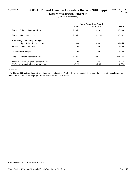# Agency 370 **2009-11 Revised Omnibus Operating Budget (2010 Supp)**

**Eastern Washington University** (Dollars in Thousands)

|                                          | <b>House Committee Passed</b> |           |              |
|------------------------------------------|-------------------------------|-----------|--------------|
|                                          | <b>FTEs</b>                   | Near GF-S | <b>Total</b> |
| 2009-11 Original Appropriations          | 1,305.2                       | 91,568    | 235,883      |
| 2009-11 Maintenance Level                | 1,305.2                       | 91,576    | 235,891      |
| 2010 Policy Non-Comp Changes:            |                               |           |              |
| <b>Higher Education Reductions</b><br>1. | $-9.0$                        | $-1,465$  | $-1,465$     |
| Policy -- Non-Comp Total                 | $-9.0$                        | $-1,465$  | $-1,465$     |
| <b>Total Policy Changes</b>              | $-9.0$                        | $-1,465$  | $-1,465$     |
| 2009-11 Revised Appropriations           | 1,296.2                       | 90,111    | 234,426      |
| Difference from Original Appropriations  | $-9.0$                        | $-1,457$  | $-1,457$     |
| % Change from Original Appropriations    | $-0.7\%$                      | $-1.6\%$  | $-0.6\%$     |

### *Comments:*

 **1. Higher Education Reductions -** Funding is reduced in FY 2011 by approximately 3 percent. Savings are to be achieved by reductions to administrative programs and academic course offerings.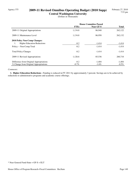# Agency 375 **2009-11 Revised Omnibus Operating Budget (2010 Supp)**

**Central Washington University** (Dollars in Thousands)

|                                          | <b>House Committee Passed</b> |           |              |
|------------------------------------------|-------------------------------|-----------|--------------|
|                                          | <b>FTEs</b>                   | Near GF-S | <b>Total</b> |
| 2009-11 Original Appropriations          | 1,134.8                       | 86,940    | 262,122      |
| 2009-11 Maintenance Level                | 1,134.8                       | 86,950    | 262,132      |
| <b>2010 Policy Non-Comp Changes:</b>     |                               |           |              |
| <b>Higher Education Reductions</b><br>1. | $-8.2$                        | $-1,414$  | $-1,414$     |
| Policy -- Non-Comp Total                 | $-8.2$                        | $-1,414$  | $-1,414$     |
| <b>Total Policy Changes</b>              | $-8.2$                        | $-1,414$  | $-1,414$     |
| 2009-11 Revised Appropriations           | 1,126.6                       | 85,536    | 260,718      |
| Difference from Original Appropriations  | $-8.2$                        | $-1,404$  | $-1,404$     |
| % Change from Original Appropriations    | $-0.7\%$                      | $-1.6\%$  | $-0.5\%$     |

### *Comments:*

 **1. Higher Education Reductions -** Funding is reduced in FY 2011 by approximately 3 percent. Savings are to be achieved by reductions to administrative programs and academic course offerings.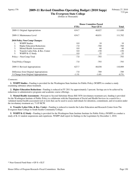### Agency 376 **2009-11 Revised Omnibus Operating Budget (2010 Supp)**

**The Evergreen State College** (Dollars in Thousands)

|                                                       | <b>House Committee Passed</b> |                  |          |
|-------------------------------------------------------|-------------------------------|------------------|----------|
|                                                       | <b>FTEs</b>                   | <b>Near GF-S</b> | Total    |
| 2009-11 Original Appropriations                       | 634.7                         | 48,827           | 111,698  |
| 2009-11 Maintenance Level                             | 634.7                         | 48,831           | 111,702  |
| <b>2010 Policy Non-Comp Changes:</b>                  |                               |                  |          |
| <b>WSIPP Studies</b><br>1.                            | 0.0                           | 10               | 10       |
| 2.<br><b>Higher Education Reductions</b>              | $-7.0$                        | $-768$           | $-768$   |
| 3.<br><b>Mental Health Assessments</b>                | 0.0                           | 60               | 60       |
| $\overline{4}$ .<br>Transfer Labor Edu. & Res. Center | 0.0                           | $-150$           | $-150$   |
| 5.<br>WSIPP K-12 Study                                | 0.0                           | 55               | 55       |
| Policy -- Non-Comp Total                              | $-7.0$                        | $-793$           | $-793$   |
| <b>Total Policy Changes</b>                           | $-7.0$                        | $-793$           | $-793$   |
| 2009-11 Revised Appropriations                        | 627.7                         | 48,038           | 110,909  |
| Difference from Original Appropriations               | $-7.0$                        | $-789$           | -789     |
| % Change from Original Appropriations                 | $-1.1\%$                      | $-1.6\%$         | $-0.7\%$ |

### *Comments:*

 **1. WSIPP Studies -** Funding is provided for the Washington State Institute for Public Policy (WSIPP) to conduct a study examining substance abuse treatment.

 **2. Higher Education Reductions -** Funding is reduced in FY 2011 by approximately 3 percent. Savings are to be achieved by reductions to administrative programs and academic course offerings.

 **3. Mental Health Assessments -** Pursuant to Second Substitute House Bill 3076 (involuntary treatment act), funding is provided for the Washington Institute of Public Policy to collaborate with the Department of Social and Health Services in a search for a validated mental health assessment tool or tools that can be used to assess individuals for detention, commitment, and revocation under the involuntary treatment act, 71.05 RCW.

 **4. Transfer Labor Edu. & Res. Center -** Funding is reduced to transfer the Labor Education and Research Center from The Evergreen State College to South Seattle Community College.

**5. WSIPP K-12 Study - Funding is provided for the Washington State Institute Institute for Public Policy (WSIPP) to conduct a** study of K-12 student suspensions and expulsions. WSIPP shall report its findings to the Legislature by December 1, 2010.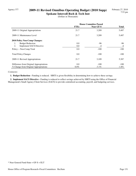## Agency 377 **2009-11 Revised Omnibus Operating Budget (2010 Supp)**

**Spokane Intercoll Rsch & Tech Inst** (Dollars in Thousands)

|                                         | <b>House Committee Passed</b> |           |              |
|-----------------------------------------|-------------------------------|-----------|--------------|
|                                         | <b>FTEs</b>                   | Near GF-S | <b>Total</b> |
| 2009-11 Original Appropriations         | 21.7                          | 3,209     | 5,487        |
| 2009-11 Maintenance Level               | 21.7                          | 3,209     | 5,487        |
| 2010 Policy Non-Comp Changes:           |                               |           |              |
| <b>Budget Reduction</b><br>1.           | 0.0                           | $-96$     | -96          |
| 2.<br><b>Implement SACS Directive</b>   | 0.0                           | $-4$      | $-4$         |
| Policy -- Non-Comp Total                | 0.0                           | $-100$    | $-100$       |
| <b>Total Policy Changes</b>             | 0.0                           | $-100$    | $-100$       |
| 2009-11 Revised Appropriations          | 21.7                          | 3,109     | 5,387        |
| Difference from Original Appropriations | 0.0                           | $-100$    | $-100$       |
| % Change from Original Appropriations   | $0.0\%$                       | $-3.1\%$  | $-1.8\%$     |

*Comments:*

1. Budget Reduction - Funding is reduced. SIRTI is given flexibility in determining how to achieve these savings.

 **2. Implement SACS Directive -** Funding is reduced to reflect savings achieved by SIRTI using the Office of Financial Management's Small Agency Client Services (SACS) to provide centralized accounting, payroll, and budgeting services.

<sup>\*</sup> Near General Fund-State = GF-S + ELT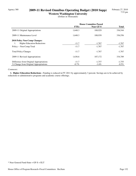# Agency 380 **2009-11 Revised Omnibus Operating Budget (2010 Supp)**

**Western Washington University** (Dollars in Thousands)

|                                          | <b>House Committee Passed</b> |                  |              |
|------------------------------------------|-------------------------------|------------------|--------------|
|                                          | <b>FTEs</b>                   | <b>Near GF-S</b> | <b>Total</b> |
| 2009-11 Original Appropriations          | 1,648.3                       | 108,929          | 336,544      |
| 2009-11 Maintenance Level                | 1,648.3                       | 108.939          | 336,556      |
| <b>2010 Policy Non-Comp Changes:</b>     |                               |                  |              |
| <b>Higher Education Reductions</b><br>1. | $-11.7$                       | $-1,767$         | $-1,767$     |
| Policy -- Non-Comp Total                 | $-11.7$                       | $-1,767$         | $-1,767$     |
| <b>Total Policy Changes</b>              | $-11.7$                       | $-1,767$         | $-1,767$     |
| 2009-11 Revised Appropriations           | 1,636.6                       | 107,172          | 334,789      |
| Difference from Original Appropriations  | $-11.7$                       | $-1,757$         | $-1,755$     |
| % Change from Original Appropriations    | $-0.7\%$                      | $-1.6\%$         | $-0.5\%$     |

### *Comments:*

 **1. Higher Education Reductions -** Funding is reduced in FY 2011 by approximately 3 percent. Savings are to be achieved by reductions to administrative programs and academic course offerings.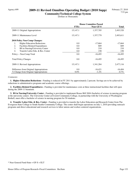### Agency 699 **2009-11 Revised Omnibus Operating Budget (2010 Supp)**

**Community/Technical College System** (Dollars in Thousands)

|                                                       | <b>House Committee Passed</b> |                  |              |
|-------------------------------------------------------|-------------------------------|------------------|--------------|
|                                                       | <b>FTEs</b>                   | <b>Near GF-S</b> | <b>Total</b> |
| 2009-11 Original Appropriations                       | 15,147.1                      | 1,357,705        | 2,493,520    |
| 2009-11 Maintenance Level                             | 15,147.1                      | 1,357,779        | 2,493,611    |
| 2010 Policy Non-Comp Changes:                         |                               |                  |              |
| 1.<br><b>Higher Education Reductions</b>              | 0.0                           | $-17,664$        | $-17,664$    |
| Facilities-Related Expenditures<br>2.                 | 0.0                           | 809              | 809          |
| 3.<br>BS in Nursing/University Center                 | 0.0                           | 210              | 210          |
| $\overline{4}$ .<br>Transfer Labor Edu. & Res. Center | 0.0                           | 150              | 150          |
| Policy -- Non-Comp Total                              | 0.0                           | $-16,495$        | $-16,495$    |
| <b>Total Policy Changes</b>                           | 0.0                           | $-16,495$        | $-16,495$    |
| 2009-11 Revised Appropriations                        | 15,147.1                      | 1,341,284        | 2,477,116    |
| Difference from Original Appropriations               | 0.0                           | $-16,421$        | $-16,404$    |
| % Change from Original Appropriations                 | $0.0\%$                       | $-1.2\%$         | $-0.7\%$     |

### *Comments:*

 **1. Higher Education Reductions -** Funding is reduced in FY 2011 by approximately 2 percent. Savings are to be achieved by reductions to administrative programs and academic course offerings.

 **2. Facilities-Related Expenditures -** Funding is provided for maintenance costs at three instructional facilities that will open during the 2009-11 biennium.

 **3. BS in Nursing/University Center -** Funding is provided to implement House Bill 2694 (bachelor of science in nursing program at the university center). The University Center at Everett Community College, in partnership with the University of Washington-Bothell, must offer a bachelor of science in nursing program for 50 students.

 **4. Transfer Labor Edu. & Res. Center -** Funding is provided to transfer the Labor Education and Research Center from The Evergreen State College to South Seattle Community College. The center shall begin operations on July 1, 2010 providing outreach programs and direct educational and research services to labor unions and worker-centered organizations.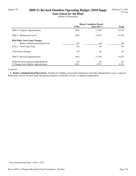# Agency 351 **2009-11 Revised Omnibus Operating Budget (2010 Supp)**

**State School for the Blind** (Dollars in Thousands)

|                                         | <b>House Committee Passed</b> |           |              |
|-----------------------------------------|-------------------------------|-----------|--------------|
|                                         | <b>FTEs</b>                   | Near GF-S | <b>Total</b> |
| 2009-11 Original Appropriations         | 86.0                          | 11,810    | 13,738       |
| 2009-11 Maintenance Level               | 86.0                          | 11,810    | 13,738       |
| 2010 Policy Non-Comp Changes:           |                               |           |              |
| Reduce Administration/Operations<br>1.  | 0.0                           | -64       | -64          |
| Policy -- Non-Comp Total                | 0.0                           | $-64$     | -64          |
| <b>Total Policy Changes</b>             | 0.0                           | -64       | -64          |
| 2009-11 Revised Appropriations          | 86.0                          | 11,746    | 13,674       |
| Difference from Original Appropriations | 0.0                           | -64       | -64          |
| % Change from Original Appropriations   | $0.0\%$                       | $-0.5\%$  | $-0.5\%$     |

### *Comments:*

1. Reduce Administration/Operations - Funding for building and ground maintenance and other administrative costs is reduced. Reductions will not be taken from educational programs, residential services, or student transportation.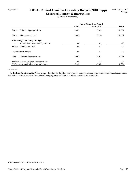# Agency 353 **2009-11 Revised Omnibus Operating Budget (2010 Supp)**

**Childhood Deafness & Hearing Loss** (Dollars in Thousands)

|                                         | <b>House Committee Passed</b> |           |              |
|-----------------------------------------|-------------------------------|-----------|--------------|
|                                         | <b>FTEs</b>                   | Near GF-S | <b>Total</b> |
| 2009-11 Original Appropriations         | 109.2                         | 17,248    | 17,774       |
| 2009-11 Maintenance Level               | 109.2                         | 17.250    | 17,776       |
| 2010 Policy Non-Comp Changes:           |                               |           |              |
| Reduce Administration/Operations<br>1.  | 0.0                           | $-47$     | -47          |
| Policy -- Non-Comp Total                | 0.0                           | $-47$     | $-47$        |
| <b>Total Policy Changes</b>             | 0.0                           | $-47$     | $-47$        |
| 2009-11 Revised Appropriations          | 109.2                         | 17,203    | 17,729       |
| Difference from Original Appropriations | 0.0                           | $-45$     | $-45$        |
| % Change from Original Appropriations   | $0.0\%$                       | $-0.3\%$  | $-0.3\%$     |

### *Comments:*

 **1. Reduce Administration/Operations -** Funding for building and grounds maintenance and other administrative costs is reduced. Reductions will not be taken from educational programs, residential services, or student transportation.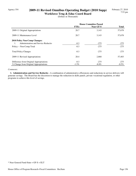## Agency 354 **2009-11 Revised Omnibus Operating Budget (2010 Supp)**

**Workforce Trng & Educ Coord Board** (Dollars in Thousands)

|                                                       | <b>House Committee Passed</b> |           |              |
|-------------------------------------------------------|-------------------------------|-----------|--------------|
|                                                       | <b>FTEs</b>                   | Near GF-S | <b>Total</b> |
| 2009-11 Original Appropriations                       | 20.7                          | 3,143     | 57,678       |
| 2009-11 Maintenance Level                             | 20.7                          | 3,143     | 57,678       |
| 2010 Policy Non-Comp Changes:                         |                               |           |              |
| Administration and Service Reductio<br>$\mathbf{1}$ . | $-0.3$                        | $-275$    | $-275$       |
| Policy -- Non-Comp Total                              | $-0.3$                        | $-275$    | $-275$       |
| <b>Total Policy Changes</b>                           | $-0.3$                        | $-275$    | $-275$       |
| 2009-11 Revised Appropriations                        | 20.4                          | 2,868     | 57,403       |
| Difference from Original Appropriations               | $-0.3$                        | $-275$    | $-275$       |
| % Change from Original Appropriations                 | $-1.5\%$                      | $-8.8\%$  | $-0.5\%$     |

### *Comments:*

 **1. Administration and Service Reductio -** A combination of administrative efficiencies and reductions in service delivery will generate savings. The Board has the discretion to manage the reduction in skills panels, private vocational regulation, or other programs to achieve this level of savings.

<sup>\*</sup> Near General Fund-State = GF-S + ELT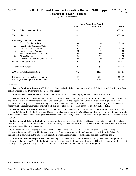### Agency 357 **2009-11 Revised Omnibus Operating Budget (2010 Supp)**

**Department of Early Learning** (Dollars in Thousands)

|                                           | <b>House Committee Passed</b> |                  |         |
|-------------------------------------------|-------------------------------|------------------|---------|
|                                           | <b>FTEs</b>                   | <b>Near GF-S</b> | Total   |
| 2009-11 Original Appropriations           | 188.1                         | 121,323          | 366,182 |
| 2009-11 Maintenance Level                 | 188.1                         | 121,325          | 366,188 |
| 2010 Policy Non-Comp Changes:             |                               |                  |         |
| Federal Funding Adjustment<br>1.          | 0.0                           | $\Omega$         | 3,940   |
| Reduction to Operations/Staff<br>2.       | $-0.1$                        | $-45$            | $-45$   |
| 3.<br>Home Visitation Transfer            | 0.5                           | 1,245            | 1,245   |
| 4.<br><b>Home Visitation Account</b>      | 0.0                           | $\Omega$         | 100     |
| 5.<br>Resource and Referral Reduction     | 0.0                           | $-100$           | $-100$  |
| 6.<br>At-risk Children                    | 0.3                           | 98               | 98      |
| 7.<br>Infant and Toddler Program Transfer | 9.4                           | 0                | 16,795  |
| Policy -- Non-Comp Total                  | 10.1                          | 1,198            | 22,033  |
| <b>Total Policy Changes</b>               | 10.1                          | 1,198            | 22,033  |
| 2009-11 Revised Appropriations            | 198.2                         | 122,523          | 388,221 |
| Difference from Original Appropriations   | 10.1                          | 1,200            | 22,039  |
| % Change from Original Appropriations     | 5.3%                          | $1.0\%$          | $6.0\%$ |

#### *Comments:*

 **1. Federal Funding Adjustment -** Federal expenditure authority is increased due to additional Child Care and Development Fund dollars awarded to the Department. (General Fund-Federal)

 **2. Reduction to Operations/Staff -** Administrative costs for management of programs and contracts is reduced.

 **3. Home Visitation Transfer -** Funding for evidence-based home visiting programs are transferred from the Council for Children and Families within the Department of Social and Health Services to the Department. Of the funds transferred, \$1.1 million is provided to the newly created Home Visiting Services Account. Included within amounts transferred is funding for contracts with home visitation program providers, one FTE staff, and associated expenses. This transfer is effective July 1, 2010.

 **4. Home Visitation Account -** The Home Visiting Services Account account is created in Subsitute House BIll No. 2824. The account shall be used to fund evidence based home home visiting programs. \$100,000 is appropriated to the account for administrative purposes related to the Home Visiting Services account and home visiting contracts. Additional funds provided to the account are nonappropriated.

 **5. Resource and Referral Reduction -** Funding for the Washington State Child Care Resource and Referral Network is reduced from \$425,000 to \$325,000 in FY 2011. American Recovery and Reinvestment Act (ARRA) funds will continue as will other federal funding contracted to the organization.

 **6. At-risk Children -** Funding is provided for Second Substitute House Bill 2731 (at-risk children program), learning for educationally at-risk children within the state's program of basic education. Additional funding is provided for the Office of the Superintendent of Public Instruction for this legislation. Funding is provided for staffing and pre-implementation costs.

 **7. Infant and Toddler Program Transfer -** Funding is provided for Substitute House Bill 2741 (infant and toddler program). The bill transfers the Infant and Toddler Early Intervention Program from the Department of Social and Health Services to the Department of Early Learning effective July 1, 2010. The bill also renames the program the Early Support Program.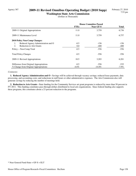## Agency 387 **2009-11 Revised Omnibus Operating Budget (2010 Supp)**

**Washington State Arts Commission** (Dollars in Thousands)

|                                           | <b>House Committee Passed</b> |           |              |
|-------------------------------------------|-------------------------------|-----------|--------------|
|                                           | <b>FTEs</b>                   | Near GF-S | <b>Total</b> |
| 2009-11 Original Appropriations           | 11.0                          | 3,759     | 6,736        |
| 2009-11 Maintenance Level                 | 11.0                          | 3,759     | 6,757        |
| <b>2010 Policy Non-Comp Changes:</b>      |                               |           |              |
| Reduced Agency Administration and O<br>1. | $-0.5$                        | $-156$    | $-156$       |
| <b>Reduction to Arts Grants</b><br>2.     | 0.0                           | $-400$    | -400         |
| Policy -- Non-Comp Total                  | $-0.5$                        | $-556$    | $-556$       |
| <b>Total Policy Changes</b>               | $-0.5$                        | $-556$    | $-556$       |
| 2009-11 Revised Appropriations            | 10.5                          | 3,203     | 6,201        |
| Difference from Original Appropriations   | $-0.5$                        | $-556$    | $-535$       |
| % Change from Original Appropriations     | $-4.6\%$                      | $-14.8\%$ | $-7.9\%$     |

### *Comments:*

 **1. Reduced Agency Administration and O -** Savings will be achieved through vacancy savings; reduced lease payments, data processing, and accounting costs; and reductions in staff hours or other administrative expenses. The Arts Commission also will generate savings by reducing the number of meetings held.

 **2. Reduction to Arts Grants -** State funding for the Community Services art grant programs is reduced by more than 50 percent in FY 2011. This funding constitutes pass-through dollars distributed to local arts organizations. Since federal funding also supports these programs, this constitutes about a 23 percent reduction to the programs.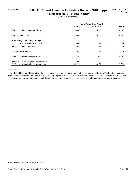## Agency 390 **2009-11 Revised Omnibus Operating Budget (2010 Supp)**

**Washington State Historical Society** (Dollars in Thousands)

|                                          | <b>House Committee Passed</b> |                  |              |
|------------------------------------------|-------------------------------|------------------|--------------|
|                                          | <b>FTEs</b>                   | <b>Near GF-S</b> | <b>Total</b> |
| 2009-11 Original Appropriations          | 43.8                          | 5,228            | 7,737        |
| 2009-11 Maintenance Level                | 43.8                          | 5,228            | 7,737        |
| 2010 Policy Non-Comp Changes:            |                               |                  |              |
| <b>Shared Service Efficiencies</b><br>1. | $-0.8$                        | $-246$           | $-246$       |
| Policy -- Non-Comp Total                 | $-0.8$                        | $-246$           | $-246$       |
| <b>Total Policy Changes</b>              | $-0.8$                        | $-246$           | $-246$       |
| 2009-11 Revised Appropriations           | 43.0                          | 4,982            | 7,491        |
| Difference from Original Appropriations  | $-0.8$                        | $-246$           | $-246$       |
| % Change from Original Appropriations    | $-1.7\%$                      | $-4.7\%$         | $-3.2\%$     |

### *Comments:*

 **1. Shared Service Efficiencies -** Savings are expected from shared administrative services at the Eastern Washington Historical Society and the Washington State Historical Society. Specific areas where the Historical Societies will form a consortium to achieve efficiencies include exhibit planning and sharing, information technology, digital archives, and finance and accounting services.

<sup>\*</sup> Near General Fund-State = GF-S + ELT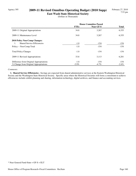## Agency 395 **2009-11 Revised Omnibus Operating Budget (2010 Supp)**

**East Wash State Historical Society** (Dollars in Thousands)

|                                          | <b>House Committee Passed</b> |           |              |
|------------------------------------------|-------------------------------|-----------|--------------|
|                                          | <b>FTEs</b>                   | Near GF-S | <b>Total</b> |
| 2009-11 Original Appropriations          | 34.8                          | 3,267     | 6,355        |
| 2009-11 Maintenance Level                | 34.8                          | 3,267     | 6,355        |
| <b>2010 Policy Non-Comp Changes:</b>     |                               |           |              |
| <b>Shared Service Efficiencies</b><br>1. | $-1.0$                        | $-154$    | $-154$       |
| Policy -- Non-Comp Total                 | $-1.0$                        | $-154$    | $-154$       |
| <b>Total Policy Changes</b>              | $-1.0$                        | $-154$    | $-154$       |
| 2009-11 Revised Appropriations           | 33.8                          | 3,113     | 6,201        |
| Difference from Original Appropriations  | $-1.0$                        | $-154$    | $-154$       |
| % Change from Original Appropriations    | $-2.9\%$                      | $-4.7\%$  | $-2.4\%$     |

### *Comments:*

 **1. Shared Service Efficiencies -** Savings are expected from shared administrative services at the Eastern Washington Historical Society and the Washington State Historical Society. Specific areas where the Historical Societies will form a consortium to achieve efficiencies include exhibit planning and sharing, information technology, digital archives, and finance and accounting services.

<sup>\*</sup> Near General Fund-State = GF-S + ELT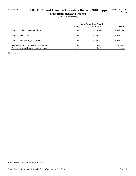# Agency 010 **2009-11 Revised Omnibus Operating Budget (2010 Supp)**

**Bond Retirement and Interest** (Dollars in Thousands)

|                                         | <b>House Committee Passed</b> |                  |              |
|-----------------------------------------|-------------------------------|------------------|--------------|
|                                         | <b>FTEs</b>                   | <b>Near GF-S</b> | <b>Total</b> |
| 2009-11 Original Appropriations         | 0.0                           | 1,813,244        | 1,997,338    |
| 2009-11 Maintenance Level               | 0.0                           | 1,793,797        | 1,977,277    |
| 2009-11 Revised Appropriations          | 0.0                           | 1,793,797        | 1,977,277    |
| Difference from Original Appropriations | 0.0                           | $-19.447$        | $-20,061$    |
| % Change from Original Appropriations   | $0.0\%$                       | $-1.1\%$         | $-1.0\%$     |

*Comments:*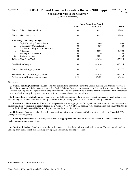### Agency 076 **2009-11 Revised Omnibus Operating Budget (2010 Supp)**

**Special Approps to the Governor** (Dollars in Thousands)

|                                             | <b>House Committee Passed</b> |                  |           |
|---------------------------------------------|-------------------------------|------------------|-----------|
|                                             | <b>FTEs</b>                   | <b>Near GF-S</b> | Total     |
| 2009-11 Original Appropriations             | 0.0                           | 123,992          | 132,492   |
| 2009-11 Maintenance Level                   | 0.0                           | 123,992          | 132,492   |
| 2010 Policy Non-Comp Changes:               |                               |                  |           |
| Capital Building Construction Acct<br>1.    | 0.0                           | $-400$           | $-400$    |
| 2.<br><b>Extraordinary Criminal Justice</b> | 0.0                           | 620              | 620       |
| 3.<br>Election Acct/Help America Vote Act   | 0.0                           | 77               | 77        |
| 4.<br>IT Reform                             | 0.0                           | $-30,000$        | $-30,000$ |
| 5.<br>Reading Achievement Acct              | 0.0                           | 150              | 150       |
| 6.<br><b>Strategic Printing</b>             | 0.0                           | $-3,081$         | $-6,162$  |
| Policy -- Non-Comp Total                    | 0.0                           | $-32,634$        | $-35,715$ |
| <b>Total Policy Changes</b>                 | 0.0                           | $-32,634$        | $-35,715$ |
| 2009-11 Revised Appropriations              | 0.0                           | 91,358           | 96,777    |
| Difference from Original Appropriations     | 0.0                           | $-32,634$        | $-35,715$ |
| % Change from Original Appropriations       | $0.0\%$                       | $-26.3\%$        | $-27.0\%$ |

### *Comments:*

 **1. Capital Building Construction Acct -** The state general fund appropriation into the Capital Building Construction Account is reduced due to increased timber sales revenues. The Capital Building Construction Account is used to pay debt service on the Natural Resources Building and the Legislative Building rehabilitation. The state general fund is used to backfill the account when timber sales revenues, which are the primary source of revenue for the account, do not cover the debt service.

 **2. Extraordinary Criminal Justice -** Funding is provided for counties that have experienced extraordinary criminal justice costs. The funding is to reimburse Jefferson County (\$197,000), Skagit County (\$390,000), and Franklin County (\$33,000).

**3. Election Acct/Help America Vote Act -** State general funds are appropriated for deposit into the Election Account to meet the 5 percent matching requirement to receive federal Help America Vote Act (HAVA) funding. This appropriation will qualify the state to receive \$1.4 million in federal HAVA funding for state and local election efforts.

**4. IT Reform -** Funding is reduced to reflect savings from information technology efficiency efforts outlined in House Bill 3178 (state govt technology use).

 **5. Reading Achievement Acct -** State general funds are appropriated into the Reaching Achievement Account to fund early reading programs in medical offices.

 **6. Strategic Printing -** Funding is reduced to reflect savings achieved through a strategic print strategy. The strategy will include utilizing print management, standardizing envelopes, and streamling printing processes.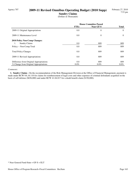# Agency 707 **2009-11 Revised Omnibus Operating Budget (2010 Supp)**

**Sundry Claims**

(Dollars in Thousands)

|                                         | <b>House Committee Passed</b> |                |              |
|-----------------------------------------|-------------------------------|----------------|--------------|
|                                         | <b>FTEs</b>                   | Near GF-S      | <b>Total</b> |
| 2009-11 Original Appropriations         | 0.0                           | $\overline{0}$ | $\Omega$     |
| 2009-11 Maintenance Level               | 0.0                           | $\mathbf{0}$   | $\theta$     |
| <b>2010 Policy Non-Comp Changes:</b>    |                               |                |              |
| <b>Sundry Claims</b><br>1.              | $0.0\,$                       | 809            | 809          |
| Policy -- Non-Comp Total                | $0.0\,$                       | 809            | 809          |
| <b>Total Policy Changes</b>             | $0.0\,$                       | 809            | 809          |
| 2009-11 Revised Appropriations          | $0.0\,$                       | 809            | 809          |
| Difference from Original Appropriations | 0.0                           | 809            | 809          |
| % Change from Original Appropriations   | $0.0\%$                       | $0.0\%$        | $0.0\%$      |

### *Comments:*

 **1. Sundry Claims -** On the recommendation of the Risk Management Division at the Office of Financial Management, payment is made under RCW 9A.16.110 for claims for reimbursement of legal costs and other expenses of criminal defendants acquitted on the basis of self-defense (\$656,000) and under RCW 41.04.017 for a death benefit claim (\$150,000).

<sup>\*</sup> Near General Fund-State = GF-S + ELT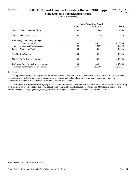## Agency 713 **2009-11 Revised Omnibus Operating Budget (2010 Supp)**

**State Employee Compensation Adjust** (Dollars in Thousands)

|                                         | <b>House Committee Passed</b> |                  |              |
|-----------------------------------------|-------------------------------|------------------|--------------|
|                                         | <b>FTEs</b>                   | <b>Near GF-S</b> | <b>Total</b> |
| 2009-11 Original Appropriations         | $0.0\,$                       | 800              | 1,800        |
| 2009-11 Maintenance Level               | 0.0                           | $\theta$         | $\theta$     |
| 2010 Policy Non-Comp Changes:           |                               |                  |              |
| 1.<br><b>Temporary Layoffs</b>          | 0.0                           | $-38,215$        | $-110,896$   |
| 2.<br><b>Management Compensation</b>    | 0.0                           | $-10,000$        | $-29,360$    |
| Policy -- Non-Comp Total                | 0.0                           | $-48,215$        | $-140,256$   |
| <b>Total Policy Changes</b>             | $0.0\,$                       | $-48,215$        | $-140,256$   |
| 2009-11 Revised Appropriations          | 0.0                           | $-48,215$        | $-140,256$   |
| Difference from Original Appropriations | 0.0                           | $-49.015$        | $-142,056$   |
| % Change from Original Appropriations   | $0.0\%$                       | $-6126.9\%$      | -7892.0%     |

### *Comments:*

 **1. Temporary Layoffs -** Agency appropriations are reduced consistent with amended Substitute Senate Bill 6503 (closing state agencies on specified dates) due to the closure of state agencies and higher education institutions, or approved alternative compensation reduction plans. (General Fund-State, various other funds)

 **2. Management Compensation -** Agency appropriations are reduced consistent with amended Substitute Senate Bill 6503 (closing state agencies on specified dates) due to the reduction in compensation costs requred for Washington Management Services and exempt management employees in general government state agencies. (General Fund-State, various other funds)